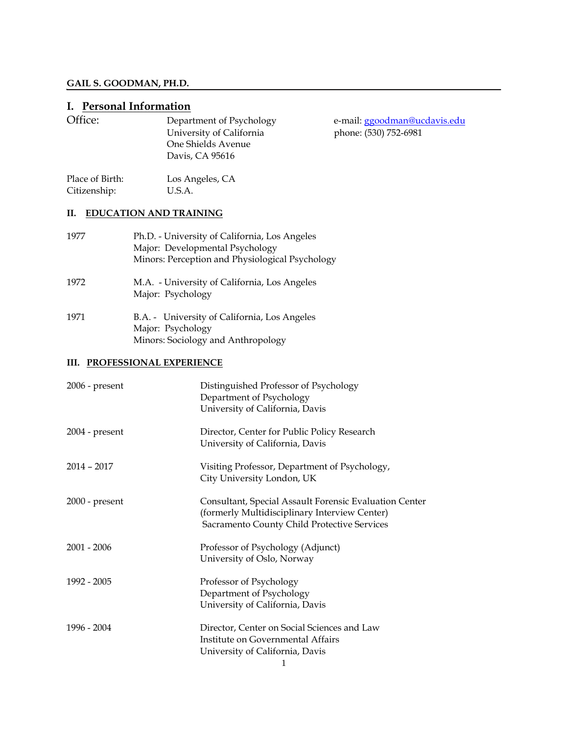# **GAIL S. GOODMAN, PH.D.**

# **I. Personal Information**

| Office:                         | Department of Psychology<br>University of California<br>One Shields Avenue<br>Davis, CA 95616                                       | e-mail: ggoodman@ucdavis.edu<br>phone: (530) 752-6981 |
|---------------------------------|-------------------------------------------------------------------------------------------------------------------------------------|-------------------------------------------------------|
| Place of Birth:<br>Citizenship: | Los Angeles, CA<br>U.S.A.                                                                                                           |                                                       |
| П.                              | <b>EDUCATION AND TRAINING</b>                                                                                                       |                                                       |
| 1977                            | Ph.D. - University of California, Los Angeles<br>Major: Developmental Psychology<br>Minors: Perception and Physiological Psychology |                                                       |
| 1972                            | M.A. - University of California, Los Angeles<br>Major: Psychology                                                                   |                                                       |
| 1971                            | B.A. - University of California, Los Angeles                                                                                        |                                                       |

## **III. PROFESSIONAL EXPERIENCE**

Major: Psychology

Minors: Sociology and Anthropology

| $2006$ - present | Distinguished Professor of Psychology<br>Department of Psychology<br>University of California, Davis                                                   |
|------------------|--------------------------------------------------------------------------------------------------------------------------------------------------------|
| $2004$ - present | Director, Center for Public Policy Research<br>University of California, Davis                                                                         |
| $2014 - 2017$    | Visiting Professor, Department of Psychology,<br>City University London, UK                                                                            |
| $2000$ - present | Consultant, Special Assault Forensic Evaluation Center<br>(formerly Multidisciplinary Interview Center)<br>Sacramento County Child Protective Services |
| 2001 - 2006      | Professor of Psychology (Adjunct)<br>University of Oslo, Norway                                                                                        |
| 1992 - 2005      | Professor of Psychology<br>Department of Psychology<br>University of California, Davis                                                                 |
| 1996 - 2004      | Director, Center on Social Sciences and Law<br>Institute on Governmental Affairs<br>University of California, Davis                                    |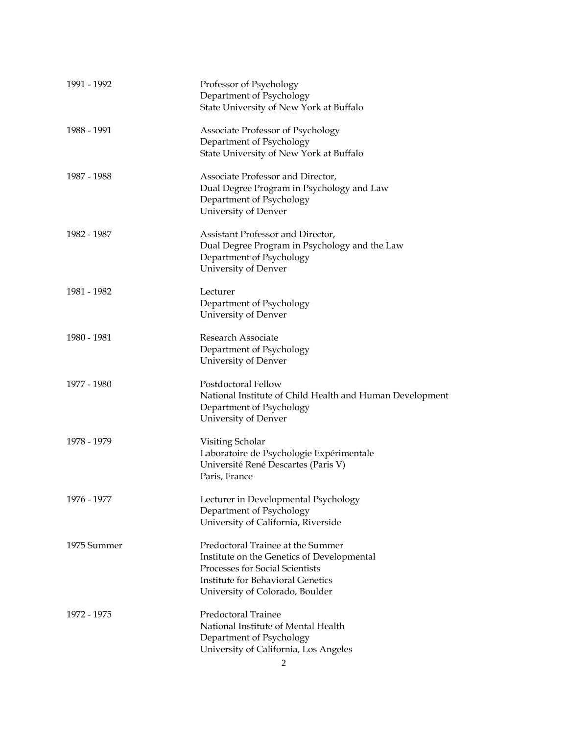| 1991 - 1992 | Professor of Psychology<br>Department of Psychology<br>State University of New York at Buffalo                                                                                                    |
|-------------|---------------------------------------------------------------------------------------------------------------------------------------------------------------------------------------------------|
| 1988 - 1991 | Associate Professor of Psychology<br>Department of Psychology<br>State University of New York at Buffalo                                                                                          |
| 1987 - 1988 | Associate Professor and Director,<br>Dual Degree Program in Psychology and Law<br>Department of Psychology<br>University of Denver                                                                |
| 1982 - 1987 | Assistant Professor and Director,<br>Dual Degree Program in Psychology and the Law<br>Department of Psychology<br>University of Denver                                                            |
| 1981 - 1982 | Lecturer<br>Department of Psychology<br>University of Denver                                                                                                                                      |
| 1980 - 1981 | Research Associate<br>Department of Psychology<br>University of Denver                                                                                                                            |
| 1977 - 1980 | Postdoctoral Fellow<br>National Institute of Child Health and Human Development<br>Department of Psychology<br>University of Denver                                                               |
| 1978 - 1979 | Visiting Scholar<br>Laboratoire de Psychologie Expérimentale<br>Université René Descartes (Paris V)<br>Paris, France                                                                              |
| 1976 - 1977 | Lecturer in Developmental Psychology<br>Department of Psychology<br>University of California, Riverside                                                                                           |
| 1975 Summer | Predoctoral Trainee at the Summer<br>Institute on the Genetics of Developmental<br>Processes for Social Scientists<br><b>Institute for Behavioral Genetics</b><br>University of Colorado, Boulder |
| 1972 - 1975 | Predoctoral Trainee<br>National Institute of Mental Health<br>Department of Psychology<br>University of California, Los Angeles                                                                   |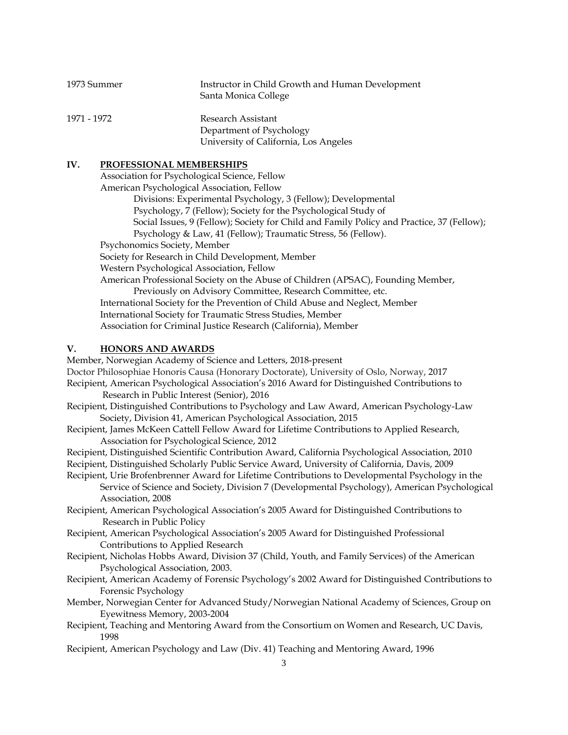| 1973 Summer | Instructor in Child Growth and Human Development<br>Santa Monica College |
|-------------|--------------------------------------------------------------------------|
| 1971 - 1972 | Research Assistant                                                       |
|             | Department of Psychology                                                 |
|             | University of California, Los Angeles                                    |

#### **IV. PROFESSIONAL MEMBERSHIPS**

Association for Psychological Science, Fellow American Psychological Association, Fellow Divisions: Experimental Psychology, 3 (Fellow); Developmental Psychology, 7 (Fellow); Society for the Psychological Study of Social Issues, 9 (Fellow); Society for Child and Family Policy and Practice, 37 (Fellow); Psychology & Law, 41 (Fellow); Traumatic Stress, 56 (Fellow). Psychonomics Society, Member Society for Research in Child Development, Member Western Psychological Association, Fellow American Professional Society on the Abuse of Children (APSAC), Founding Member, Previously on Advisory Committee, Research Committee, etc. International Society for the Prevention of Child Abuse and Neglect, Member International Society for Traumatic Stress Studies, Member Association for Criminal Justice Research (California), Member

## **V. HONORS AND AWARDS**

Member, Norwegian Academy of Science and Letters, 2018-present Doctor Philosophiae Honoris Causa (Honorary Doctorate), University of Oslo, Norway, 2017 Recipient, American Psychological Association's 2016 Award for Distinguished Contributions to Research in Public Interest (Senior), 2016 Recipient, Distinguished Contributions to Psychology and Law Award, American Psychology-Law Society, Division 41, American Psychological Association, 2015 Recipient, James McKeen Cattell Fellow Award for Lifetime Contributions to Applied Research, Association for Psychological Science, 2012 Recipient, Distinguished Scientific Contribution Award, California Psychological Association, 2010 Recipient, Distinguished Scholarly Public Service Award, University of California, Davis, 2009 Recipient, Urie Brofenbrenner Award for Lifetime Contributions to Developmental Psychology in the Service of Science and Society, Division 7 (Developmental Psychology), American Psychological Association, 2008 Recipient, American Psychological Association's 2005 Award for Distinguished Contributions to Research in Public Policy Recipient, American Psychological Association's 2005 Award for Distinguished Professional Contributions to Applied Research Recipient, Nicholas Hobbs Award, Division 37 (Child, Youth, and Family Services) of the American Psychological Association, 2003.

- Recipient, American Academy of Forensic Psychology's 2002 Award for Distinguished Contributions to Forensic Psychology
- Member, Norwegian Center for Advanced Study/Norwegian National Academy of Sciences, Group on Eyewitness Memory, 2003-2004
- Recipient, Teaching and Mentoring Award from the Consortium on Women and Research, UC Davis, 1998
- Recipient, American Psychology and Law (Div. 41) Teaching and Mentoring Award, 1996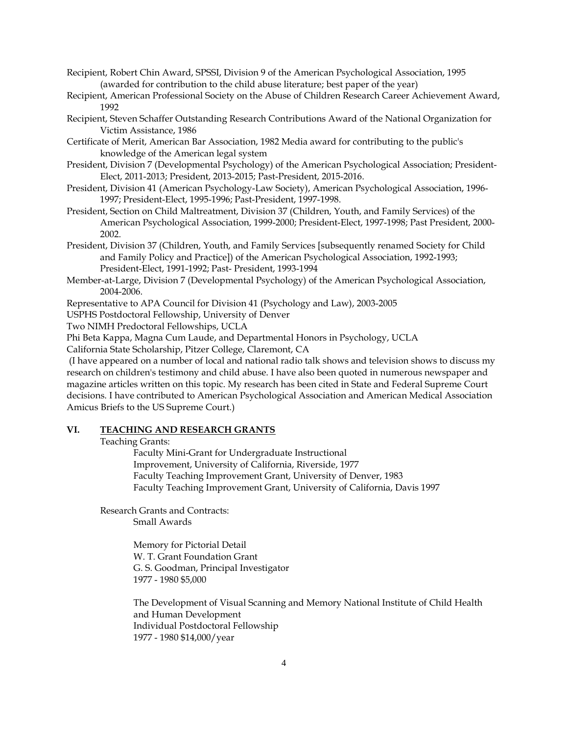Recipient, Robert Chin Award, SPSSI, Division 9 of the American Psychological Association, 1995 (awarded for contribution to the child abuse literature; best paper of the year)

- Recipient, American Professional Society on the Abuse of Children Research Career Achievement Award, 1992
- Recipient, Steven Schaffer Outstanding Research Contributions Award of the National Organization for Victim Assistance, 1986
- Certificate of Merit, American Bar Association, 1982 Media award for contributing to the public's knowledge of the American legal system
- President, Division 7 (Developmental Psychology) of the American Psychological Association; President-Elect, 2011-2013; President, 2013-2015; Past-President, 2015-2016.
- President, Division 41 (American Psychology-Law Society), American Psychological Association, 1996- 1997; President-Elect, 1995-1996; Past-President, 1997-1998.
- President, Section on Child Maltreatment, Division 37 (Children, Youth, and Family Services) of the American Psychological Association, 1999-2000; President-Elect, 1997-1998; Past President, 2000- 2002.
- President, Division 37 (Children, Youth, and Family Services [subsequently renamed Society for Child and Family Policy and Practice]) of the American Psychological Association, 1992-1993; President-Elect, 1991-1992; Past- President, 1993-1994
- Member-at-Large, Division 7 (Developmental Psychology) of the American Psychological Association, 2004-2006.

Representative to APA Council for Division 41 (Psychology and Law), 2003-2005

USPHS Postdoctoral Fellowship, University of Denver

Two NIMH Predoctoral Fellowships, UCLA

Phi Beta Kappa, Magna Cum Laude, and Departmental Honors in Psychology, UCLA

California State Scholarship, Pitzer College, Claremont, CA

(I have appeared on a number of local and national radio talk shows and television shows to discuss my research on children's testimony and child abuse. I have also been quoted in numerous newspaper and magazine articles written on this topic. My research has been cited in State and Federal Supreme Court decisions. I have contributed to American Psychological Association and American Medical Association Amicus Briefs to the US Supreme Court.)

## **VI. TEACHING AND RESEARCH GRANTS**

Teaching Grants:

Faculty Mini-Grant for Undergraduate Instructional Improvement, University of California, Riverside, 1977 Faculty Teaching Improvement Grant, University of Denver, 1983 Faculty Teaching Improvement Grant, University of California, Davis 1997

 Research Grants and Contracts: Small Awards

> Memory for Pictorial Detail W. T. Grant Foundation Grant G. S. Goodman, Principal Investigator 1977 - 1980 \$5,000

The Development of Visual Scanning and Memory National Institute of Child Health and Human Development Individual Postdoctoral Fellowship 1977 - 1980 \$14,000/year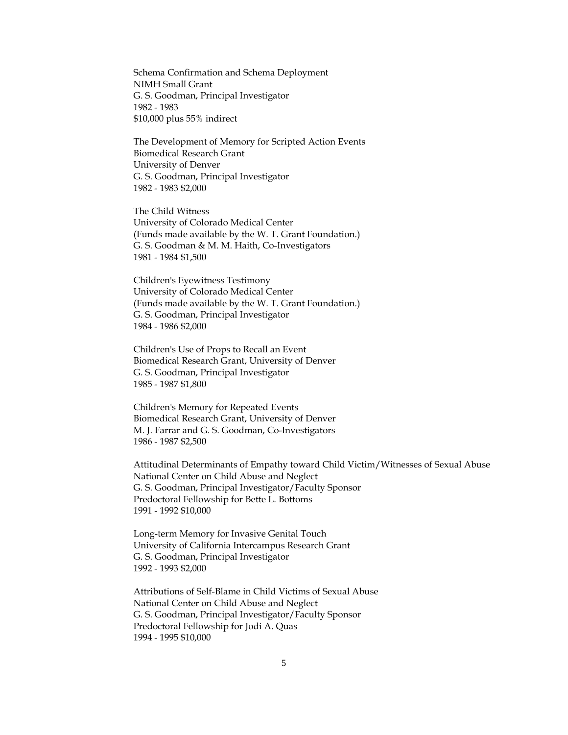Schema Confirmation and Schema Deployment NIMH Small Grant G. S. Goodman, Principal Investigator 1982 - 1983 \$10,000 plus 55% indirect

The Development of Memory for Scripted Action Events Biomedical Research Grant University of Denver G. S. Goodman, Principal Investigator 1982 - 1983 \$2,000

The Child Witness University of Colorado Medical Center (Funds made available by the W. T. Grant Foundation.) G. S. Goodman & M. M. Haith, Co-Investigators 1981 - 1984 \$1,500

Children's Eyewitness Testimony University of Colorado Medical Center (Funds made available by the W. T. Grant Foundation.) G. S. Goodman, Principal Investigator 1984 - 1986 \$2,000

Children's Use of Props to Recall an Event Biomedical Research Grant, University of Denver G. S. Goodman, Principal Investigator 1985 - 1987 \$1,800

Children's Memory for Repeated Events Biomedical Research Grant, University of Denver M. J. Farrar and G. S. Goodman, Co-Investigators 1986 - 1987 \$2,500

Attitudinal Determinants of Empathy toward Child Victim/Witnesses of Sexual Abuse National Center on Child Abuse and Neglect G. S. Goodman, Principal Investigator/Faculty Sponsor Predoctoral Fellowship for Bette L. Bottoms 1991 - 1992 \$10,000

Long-term Memory for Invasive Genital Touch University of California Intercampus Research Grant G. S. Goodman, Principal Investigator 1992 - 1993 \$2,000

Attributions of Self-Blame in Child Victims of Sexual Abuse National Center on Child Abuse and Neglect G. S. Goodman, Principal Investigator/Faculty Sponsor Predoctoral Fellowship for Jodi A. Quas 1994 - 1995 \$10,000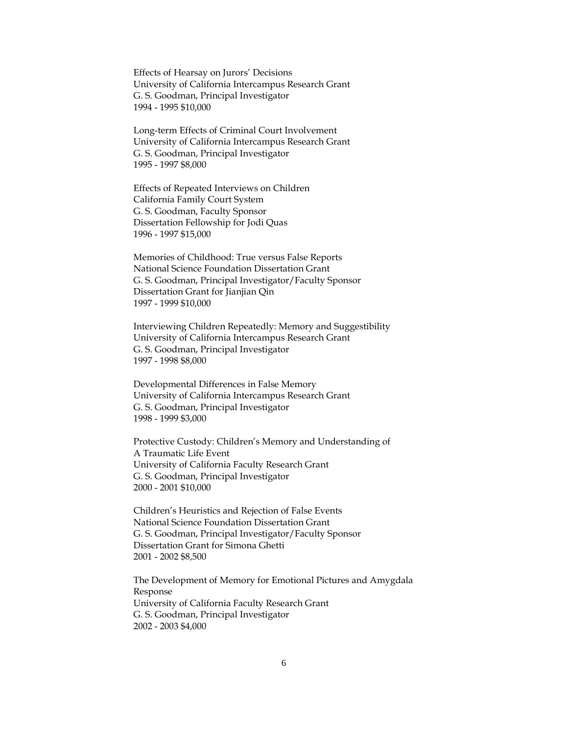Effects of Hearsay on Jurors' Decisions University of California Intercampus Research Grant G. S. Goodman, Principal Investigator 1994 - 1995 \$10,000

Long-term Effects of Criminal Court Involvement University of California Intercampus Research Grant G. S. Goodman, Principal Investigator 1995 - 1997 \$8,000

Effects of Repeated Interviews on Children California Family Court System G. S. Goodman, Faculty Sponsor Dissertation Fellowship for Jodi Quas 1996 - 1997 \$15,000

Memories of Childhood: True versus False Reports National Science Foundation Dissertation Grant G. S. Goodman, Principal Investigator/Faculty Sponsor Dissertation Grant for Jianjian Qin 1997 - 1999 \$10,000

Interviewing Children Repeatedly: Memory and Suggestibility University of California Intercampus Research Grant G. S. Goodman, Principal Investigator 1997 - 1998 \$8,000

Developmental Differences in False Memory University of California Intercampus Research Grant G. S. Goodman, Principal Investigator 1998 - 1999 \$3,000

Protective Custody: Children's Memory and Understanding of A Traumatic Life Event University of California Faculty Research Grant G. S. Goodman, Principal Investigator 2000 - 2001 \$10,000

Children's Heuristics and Rejection of False Events National Science Foundation Dissertation Grant G. S. Goodman, Principal Investigator/Faculty Sponsor Dissertation Grant for Simona Ghetti 2001 - 2002 \$8,500

The Development of Memory for Emotional Pictures and Amygdala Response University of California Faculty Research Grant G. S. Goodman, Principal Investigator 2002 - 2003 \$4,000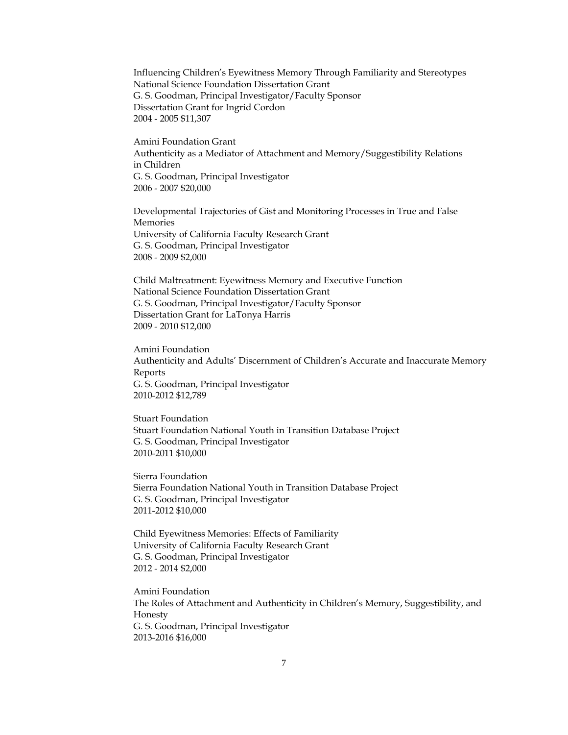Influencing Children's Eyewitness Memory Through Familiarity and Stereotypes National Science Foundation Dissertation Grant G. S. Goodman, Principal Investigator/Faculty Sponsor Dissertation Grant for Ingrid Cordon 2004 - 2005 \$11,307

Amini Foundation Grant Authenticity as a Mediator of Attachment and Memory/Suggestibility Relations in Children G. S. Goodman, Principal Investigator 2006 - 2007 \$20,000

Developmental Trajectories of Gist and Monitoring Processes in True and False Memories University of California Faculty Research Grant G. S. Goodman, Principal Investigator 2008 - 2009 \$2,000

Child Maltreatment: Eyewitness Memory and Executive Function National Science Foundation Dissertation Grant G. S. Goodman, Principal Investigator/Faculty Sponsor Dissertation Grant for LaTonya Harris 2009 - 2010 \$12,000

Amini Foundation Authenticity and Adults' Discernment of Children's Accurate and Inaccurate Memory Reports G. S. Goodman, Principal Investigator 2010-2012 \$12,789

Stuart Foundation Stuart Foundation National Youth in Transition Database Project G. S. Goodman, Principal Investigator 2010-2011 \$10,000

Sierra Foundation Sierra Foundation National Youth in Transition Database Project G. S. Goodman, Principal Investigator 2011-2012 \$10,000

Child Eyewitness Memories: Effects of Familiarity University of California Faculty Research Grant G. S. Goodman, Principal Investigator 2012 - 2014 \$2,000

Amini Foundation The Roles of Attachment and Authenticity in Children's Memory, Suggestibility, and Honesty G. S. Goodman, Principal Investigator 2013-2016 \$16,000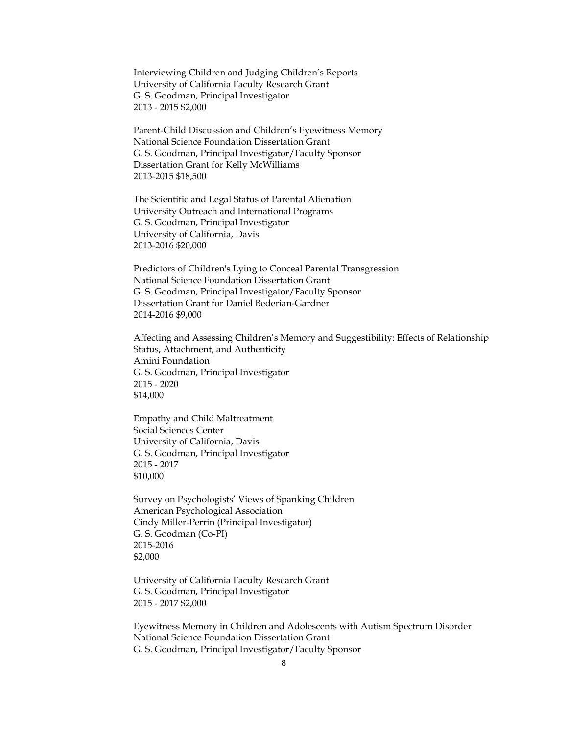Interviewing Children and Judging Children's Reports University of California Faculty Research Grant G. S. Goodman, Principal Investigator 2013 - 2015 \$2,000

Parent-Child Discussion and Children's Eyewitness Memory National Science Foundation Dissertation Grant G. S. Goodman, Principal Investigator/Faculty Sponsor Dissertation Grant for Kelly McWilliams 2013-2015 \$18,500

The Scientific and Legal Status of Parental Alienation University Outreach and International Programs G. S. Goodman, Principal Investigator University of California, Davis 2013-2016 \$20,000

Predictors of Children's Lying to Conceal Parental Transgression National Science Foundation Dissertation Grant G. S. Goodman, Principal Investigator/Faculty Sponsor Dissertation Grant for Daniel Bederian-Gardner 2014-2016 \$9,000

Affecting and Assessing Children's Memory and Suggestibility: Effects of Relationship Status, Attachment, and Authenticity Amini Foundation G. S. Goodman, Principal Investigator 2015 - 2020 \$14,000

Empathy and Child Maltreatment Social Sciences Center University of California, Davis G. S. Goodman, Principal Investigator 2015 - 2017 \$10,000

Survey on Psychologists' Views of Spanking Children American Psychological Association Cindy Miller-Perrin (Principal Investigator) G. S. Goodman (Co-PI) 2015-2016 \$2,000

University of California Faculty Research Grant G. S. Goodman, Principal Investigator 2015 - 2017 \$2,000

Eyewitness Memory in Children and Adolescents with Autism Spectrum Disorder National Science Foundation Dissertation Grant G. S. Goodman, Principal Investigator/Faculty Sponsor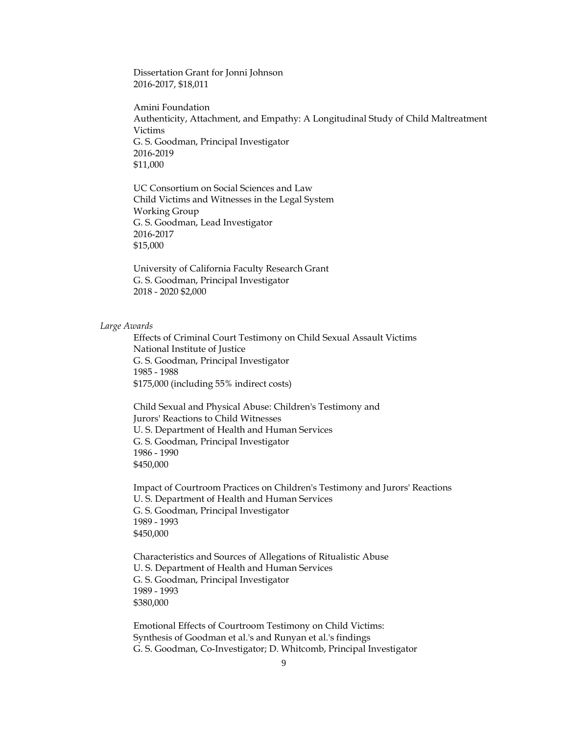Dissertation Grant for Jonni Johnson 2016-2017, \$18,011

Amini Foundation Authenticity, Attachment, and Empathy: A Longitudinal Study of Child Maltreatment Victims G. S. Goodman, Principal Investigator 2016-2019 \$11,000

UC Consortium on Social Sciences and Law Child Victims and Witnesses in the Legal System Working Group G. S. Goodman, Lead Investigator 2016-2017 \$15,000

University of California Faculty Research Grant G. S. Goodman, Principal Investigator 2018 - 2020 \$2,000

#### *Large Awards*

Effects of Criminal Court Testimony on Child Sexual Assault Victims National Institute of Justice G. S. Goodman, Principal Investigator 1985 - 1988 \$175,000 (including 55% indirect costs)

Child Sexual and Physical Abuse: Children's Testimony and Jurors' Reactions to Child Witnesses U. S. Department of Health and Human Services G. S. Goodman, Principal Investigator 1986 - 1990 \$450,000

Impact of Courtroom Practices on Children's Testimony and Jurors' Reactions U. S. Department of Health and Human Services G. S. Goodman, Principal Investigator 1989 - 1993 \$450,000

Characteristics and Sources of Allegations of Ritualistic Abuse U. S. Department of Health and Human Services G. S. Goodman, Principal Investigator 1989 - 1993 \$380,000

Emotional Effects of Courtroom Testimony on Child Victims: Synthesis of Goodman et al.'s and Runyan et al.'s findings G. S. Goodman, Co-Investigator; D. Whitcomb, Principal Investigator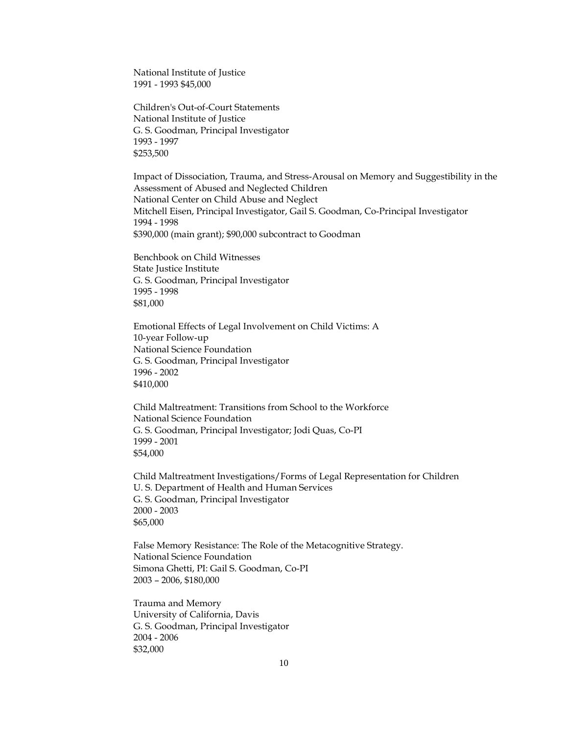National Institute of Justice 1991 - 1993 \$45,000

Children's Out-of-Court Statements National Institute of Justice G. S. Goodman, Principal Investigator 1993 - 1997 \$253,500

Impact of Dissociation, Trauma, and Stress-Arousal on Memory and Suggestibility in the Assessment of Abused and Neglected Children National Center on Child Abuse and Neglect Mitchell Eisen, Principal Investigator, Gail S. Goodman, Co-Principal Investigator 1994 - 1998 \$390,000 (main grant); \$90,000 subcontract to Goodman

Benchbook on Child Witnesses State Justice Institute G. S. Goodman, Principal Investigator 1995 - 1998 \$81,000

Emotional Effects of Legal Involvement on Child Victims: A 10-year Follow-up National Science Foundation G. S. Goodman, Principal Investigator 1996 - 2002 \$410,000

Child Maltreatment: Transitions from School to the Workforce National Science Foundation G. S. Goodman, Principal Investigator; Jodi Quas, Co-PI 1999 - 2001 \$54,000

Child Maltreatment Investigations/Forms of Legal Representation for Children U. S. Department of Health and Human Services G. S. Goodman, Principal Investigator 2000 - 2003 \$65,000

False Memory Resistance: The Role of the Metacognitive Strategy. National Science Foundation Simona Ghetti, PI: Gail S. Goodman, Co-PI 2003 – 2006, \$180,000

Trauma and Memory University of California, Davis G. S. Goodman, Principal Investigator 2004 - 2006 \$32,000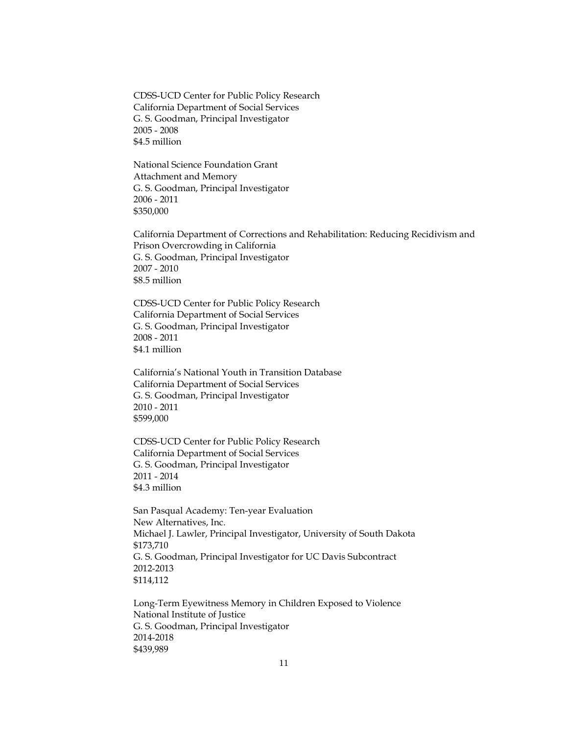CDSS-UCD Center for Public Policy Research California Department of Social Services G. S. Goodman, Principal Investigator 2005 - 2008 \$4.5 million

National Science Foundation Grant Attachment and Memory G. S. Goodman, Principal Investigator 2006 - 2011 \$350,000

California Department of Corrections and Rehabilitation: Reducing Recidivism and Prison Overcrowding in California G. S. Goodman, Principal Investigator 2007 - 2010 \$8.5 million

CDSS-UCD Center for Public Policy Research California Department of Social Services G. S. Goodman, Principal Investigator 2008 - 2011 \$4.1 million

California's National Youth in Transition Database California Department of Social Services G. S. Goodman, Principal Investigator 2010 - 2011 \$599,000

CDSS-UCD Center for Public Policy Research California Department of Social Services G. S. Goodman, Principal Investigator 2011 - 2014 \$4.3 million

San Pasqual Academy: Ten-year Evaluation New Alternatives, Inc. Michael J. Lawler, Principal Investigator, University of South Dakota \$173,710 G. S. Goodman, Principal Investigator for UC Davis Subcontract 2012-2013 \$114,112

Long-Term Eyewitness Memory in Children Exposed to Violence National Institute of Justice G. S. Goodman, Principal Investigator 2014-2018 \$439,989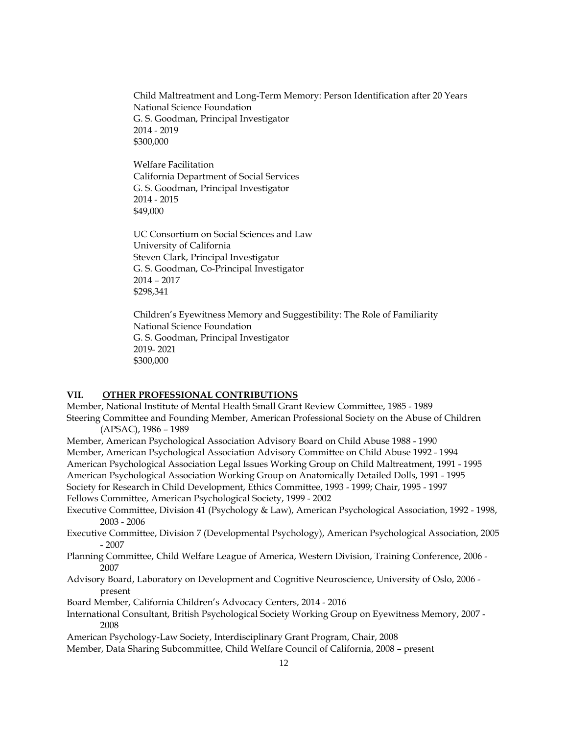Child Maltreatment and Long-Term Memory: Person Identification after 20 Years National Science Foundation G. S. Goodman, Principal Investigator 2014 - 2019 \$300,000

Welfare Facilitation California Department of Social Services G. S. Goodman, Principal Investigator 2014 - 2015 \$49,000

UC Consortium on Social Sciences and Law University of California Steven Clark, Principal Investigator G. S. Goodman, Co-Principal Investigator 2014 – 2017 \$298,341

Children's Eyewitness Memory and Suggestibility: The Role of Familiarity National Science Foundation G. S. Goodman, Principal Investigator 2019- 2021 \$300,000

## **VII. OTHER PROFESSIONAL CONTRIBUTIONS**

Member, National Institute of Mental Health Small Grant Review Committee, 1985 - 1989 Steering Committee and Founding Member, American Professional Society on the Abuse of Children (APSAC), 1986 – 1989

Member, American Psychological Association Advisory Board on Child Abuse 1988 - 1990 Member, American Psychological Association Advisory Committee on Child Abuse 1992 - 1994 American Psychological Association Legal Issues Working Group on Child Maltreatment, 1991 - 1995 American Psychological Association Working Group on Anatomically Detailed Dolls, 1991 - 1995 Society for Research in Child Development, Ethics Committee, 1993 - 1999; Chair, 1995 - 1997

Fellows Committee, American Psychological Society, 1999 - 2002

- Executive Committee, Division 41 (Psychology & Law), American Psychological Association, 1992 1998, 2003 - 2006
- Executive Committee, Division 7 (Developmental Psychology), American Psychological Association, 2005 - 2007
- Planning Committee, Child Welfare League of America, Western Division, Training Conference, 2006 2007
- Advisory Board, Laboratory on Development and Cognitive Neuroscience, University of Oslo, 2006 present
- Board Member, California Children's Advocacy Centers, 2014 2016
- International Consultant, British Psychological Society Working Group on Eyewitness Memory, 2007 2008

American Psychology-Law Society, Interdisciplinary Grant Program, Chair, 2008

Member, Data Sharing Subcommittee, Child Welfare Council of California, 2008 – present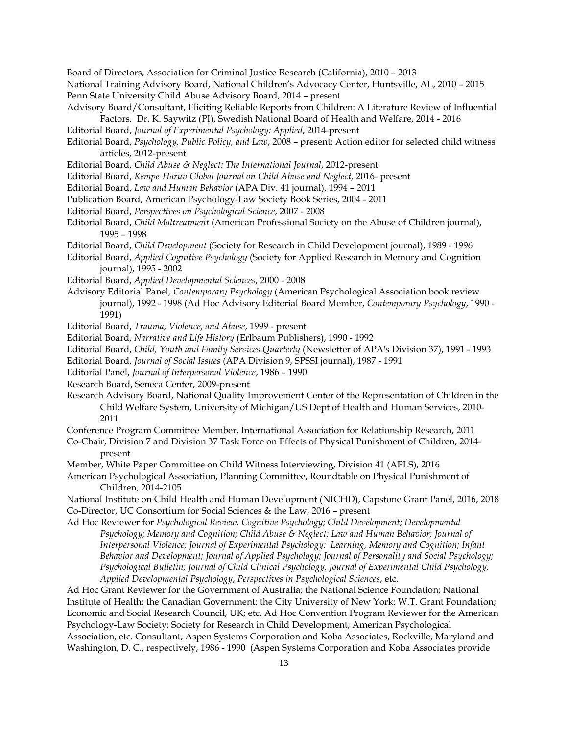Board of Directors, Association for Criminal Justice Research (California), 2010 – 2013 National Training Advisory Board, National Children's Advocacy Center, Huntsville, AL, 2010 – 2015

Penn State University Child Abuse Advisory Board, 2014 – present

- Advisory Board/Consultant, Eliciting Reliable Reports from Children: A Literature Review of Influential Factors. Dr. K. Saywitz (PI), Swedish National Board of Health and Welfare, 2014 - 2016
- Editorial Board, *Journal of Experimental Psychology: Applied*, 2014-present
- Editorial Board, *Psychology, Public Policy, and Law*, 2008 present; Action editor for selected child witness articles, 2012-present
- Editorial Board, *Child Abuse & Neglect: The International Journal*, 2012-present
- Editorial Board, *Kempe-Haruv Global Journal on Child Abuse and Neglect,* 2016- present
- Editorial Board, *Law and Human Behavior* (APA Div. 41 journal), 1994 2011
- Publication Board, American Psychology-Law Society Book Series, 2004 2011
- Editorial Board, *Perspectives on Psychological Science*, 2007 2008
- Editorial Board, *Child Maltreatment* (American Professional Society on the Abuse of Children journal), 1995 – 1998
- Editorial Board, *Child Development* (Society for Research in Child Development journal), 1989 1996
- Editorial Board, *Applied Cognitive Psychology* (Society for Applied Research in Memory and Cognition journal), 1995 - 2002
- Editorial Board, *Applied Developmental Sciences*, 2000 2008
- Advisory Editorial Panel, *Contemporary Psychology* (American Psychological Association book review journal), 1992 - 1998 (Ad Hoc Advisory Editorial Board Member, *Contemporary Psychology*, 1990 - 1991)

Editorial Board, *Trauma, Violence, and Abuse*, 1999 - present

Editorial Board, *Narrative and Life History* (Erlbaum Publishers), 1990 - 1992

- Editorial Board, *Child, Youth and Family Services Quarterly* (Newsletter of APA's Division 37), 1991 1993
- Editorial Board, *Journal of Social Issues* (APA Division 9, SPSSI journal), 1987 1991
- Editorial Panel, *Journal of Interpersonal Violence*, 1986 1990
- Research Board, Seneca Center, 2009-present
- Research Advisory Board, National Quality Improvement Center of the Representation of Children in the Child Welfare System, University of Michigan/US Dept of Health and Human Services, 2010- 2011
- Conference Program Committee Member, International Association for Relationship Research, 2011
- Co-Chair, Division 7 and Division 37 Task Force on Effects of Physical Punishment of Children, 2014 present
- Member, White Paper Committee on Child Witness Interviewing, Division 41 (APLS), 2016
- American Psychological Association, Planning Committee, Roundtable on Physical Punishment of Children, 2014-2105
- National Institute on Child Health and Human Development (NICHD), Capstone Grant Panel, 2016, 2018 Co-Director, UC Consortium for Social Sciences & the Law, 2016 – present

Ad Hoc Reviewer for *Psychological Review, Cognitive Psychology; Child Development; Developmental Psychology; Memory and Cognition; Child Abuse & Neglect; Law and Human Behavior; Journal of Interpersonal Violence; Journal of Experimental Psychology: Learning, Memory and Cognition; Infant Behavior and Development; Journal of Applied Psychology; Journal of Personality and Social Psychology; Psychological Bulletin; Journal of Child Clinical Psychology, Journal of Experimental Child Psychology, Applied Developmental Psychology*, *Perspectives in Psychological Sciences*, etc.

Ad Hoc Grant Reviewer for the Government of Australia; the National Science Foundation; National Institute of Health; the Canadian Government; the City University of New York; W.T. Grant Foundation; Economic and Social Research Council, UK; etc. Ad Hoc Convention Program Reviewer for the American Psychology-Law Society; Society for Research in Child Development; American Psychological Association, etc. Consultant, Aspen Systems Corporation and Koba Associates, Rockville, Maryland and Washington, D. C., respectively, 1986 - 1990 (Aspen Systems Corporation and Koba Associates provide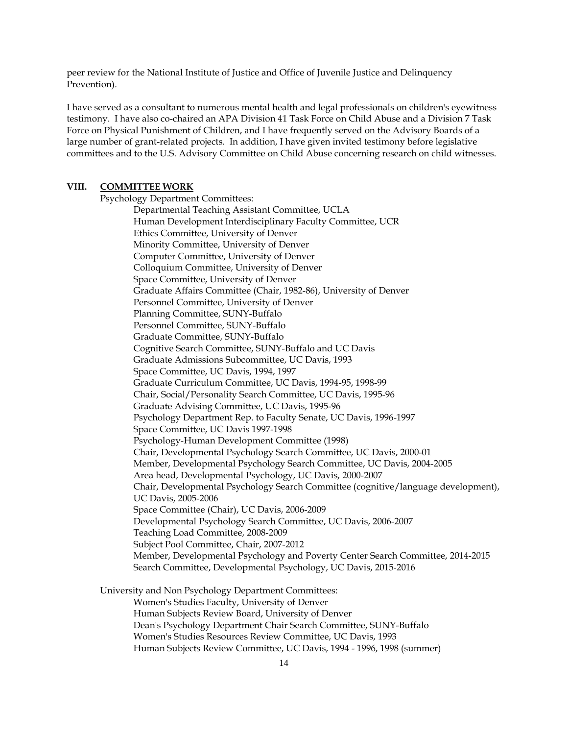peer review for the National Institute of Justice and Office of Juvenile Justice and Delinquency Prevention).

I have served as a consultant to numerous mental health and legal professionals on children's eyewitness testimony. I have also co-chaired an APA Division 41 Task Force on Child Abuse and a Division 7 Task Force on Physical Punishment of Children, and I have frequently served on the Advisory Boards of a large number of grant-related projects. In addition, I have given invited testimony before legislative committees and to the U.S. Advisory Committee on Child Abuse concerning research on child witnesses.

#### **VIII. COMMITTEE WORK**

Psychology Department Committees: Departmental Teaching Assistant Committee, UCLA Human Development Interdisciplinary Faculty Committee, UCR Ethics Committee, University of Denver Minority Committee, University of Denver Computer Committee, University of Denver Colloquium Committee, University of Denver Space Committee, University of Denver Graduate Affairs Committee (Chair, 1982-86), University of Denver Personnel Committee, University of Denver Planning Committee, SUNY-Buffalo Personnel Committee, SUNY-Buffalo Graduate Committee, SUNY-Buffalo Cognitive Search Committee, SUNY-Buffalo and UC Davis Graduate Admissions Subcommittee, UC Davis, 1993 Space Committee, UC Davis, 1994, 1997 Graduate Curriculum Committee, UC Davis, 1994-95, 1998-99 Chair, Social/Personality Search Committee, UC Davis, 1995-96 Graduate Advising Committee, UC Davis, 1995-96 Psychology Department Rep. to Faculty Senate, UC Davis, 1996-1997 Space Committee, UC Davis 1997-1998 Psychology-Human Development Committee (1998) Chair, Developmental Psychology Search Committee, UC Davis, 2000-01 Member, Developmental Psychology Search Committee, UC Davis, 2004-2005 Area head, Developmental Psychology, UC Davis, 2000-2007 Chair, Developmental Psychology Search Committee (cognitive/language development), UC Davis, 2005-2006 Space Committee (Chair), UC Davis, 2006-2009 Developmental Psychology Search Committee, UC Davis, 2006-2007 Teaching Load Committee, 2008-2009 Subject Pool Committee, Chair, 2007-2012 Member, Developmental Psychology and Poverty Center Search Committee, 2014-2015 Search Committee, Developmental Psychology, UC Davis, 2015-2016

University and Non Psychology Department Committees: Women's Studies Faculty, University of Denver Human Subjects Review Board, University of Denver Dean's Psychology Department Chair Search Committee, SUNY-Buffalo Women's Studies Resources Review Committee, UC Davis, 1993 Human Subjects Review Committee, UC Davis, 1994 - 1996, 1998 (summer)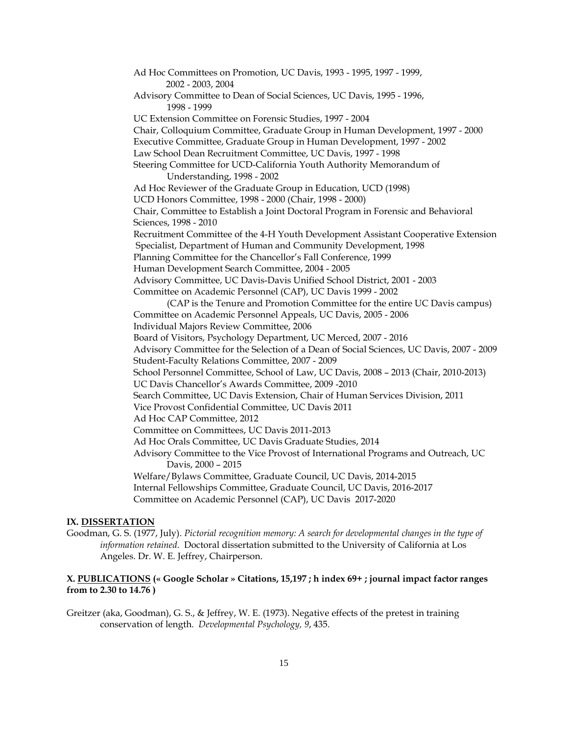Ad Hoc Committees on Promotion, UC Davis, 1993 - 1995, 1997 - 1999, 2002 - 2003, 2004 Advisory Committee to Dean of Social Sciences, UC Davis, 1995 - 1996, 1998 - 1999 UC Extension Committee on Forensic Studies, 1997 - 2004 Chair, Colloquium Committee, Graduate Group in Human Development, 1997 - 2000 Executive Committee, Graduate Group in Human Development, 1997 - 2002 Law School Dean Recruitment Committee, UC Davis, 1997 - 1998 Steering Committee for UCD-California Youth Authority Memorandum of Understanding, 1998 - 2002 Ad Hoc Reviewer of the Graduate Group in Education, UCD (1998) UCD Honors Committee, 1998 - 2000 (Chair, 1998 - 2000) Chair, Committee to Establish a Joint Doctoral Program in Forensic and Behavioral Sciences, 1998 - 2010 Recruitment Committee of the 4-H Youth Development Assistant Cooperative Extension Specialist, Department of Human and Community Development, 1998 Planning Committee for the Chancellor's Fall Conference, 1999 Human Development Search Committee, 2004 - 2005 Advisory Committee, UC Davis-Davis Unified School District, 2001 - 2003 Committee on Academic Personnel (CAP), UC Davis 1999 - 2002 (CAP is the Tenure and Promotion Committee for the entire UC Davis campus) Committee on Academic Personnel Appeals, UC Davis, 2005 - 2006 Individual Majors Review Committee, 2006 Board of Visitors, Psychology Department, UC Merced, 2007 - 2016 Advisory Committee for the Selection of a Dean of Social Sciences, UC Davis, 2007 - 2009 Student-Faculty Relations Committee, 2007 - 2009 School Personnel Committee, School of Law, UC Davis, 2008 – 2013 (Chair, 2010-2013) UC Davis Chancellor's Awards Committee, 2009 -2010 Search Committee, UC Davis Extension, Chair of Human Services Division, 2011 Vice Provost Confidential Committee, UC Davis 2011 Ad Hoc CAP Committee, 2012 Committee on Committees, UC Davis 2011-2013 Ad Hoc Orals Committee, UC Davis Graduate Studies, 2014 Advisory Committee to the Vice Provost of International Programs and Outreach, UC Davis, 2000 – 2015 Welfare/Bylaws Committee, Graduate Council, UC Davis, 2014-2015 Internal Fellowships Committee, Graduate Council, UC Davis, 2016-2017 Committee on Academic Personnel (CAP), UC Davis 2017-2020

#### **IX. DISSERTATION**

Goodman, G. S. (1977, July). *Pictorial recognition memory: A search for developmental changes in the type of information retained*. Doctoral dissertation submitted to the University of California at Los Angeles. Dr. W. E. Jeffrey, Chairperson.

## **X. PUBLICATIONS (« Google Scholar » Citations, 15,197 ; h index 69+ ; journal impact factor ranges from to 2.30 to 14.76 )**

Greitzer (aka, Goodman), G. S., & Jeffrey, W. E. (1973). Negative effects of the pretest in training conservation of length. *Developmental Psychology, 9*, 435.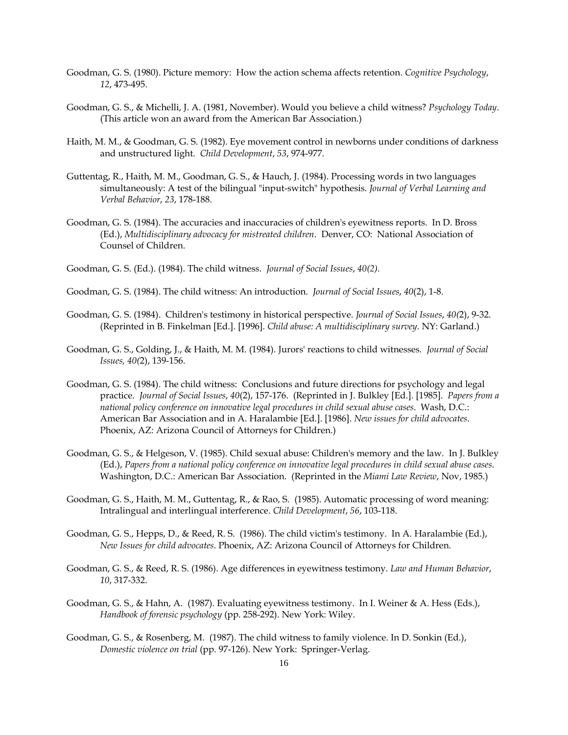- Goodman, G. S. (1980). Picture memory: How the action schema affects retention. *Cognitive Psychology*, *12*, 473-495.
- Goodman, G. S., & Michelli, J. A. (1981, November). Would you believe a child witness? *Psychology Today*. (This article won an award from the American Bar Association.)
- Haith, M. M., & Goodman, G. S. (1982). Eye movement control in newborns under conditions of darkness and unstructured light. *Child Development*, *53*, 974-977.
- Guttentag, R., Haith, M. M., Goodman, G. S., & Hauch, J. (1984). Processing words in two languages simultaneously: A test of the bilingual "input-switch" hypothesis. *Journal of Verbal Learning and Verbal Behavior*, *23*, 178-188.
- Goodman, G. S. (1984). The accuracies and inaccuracies of children's eyewitness reports. In D. Bross (Ed.), *Multidisciplinary advocacy for mistreated children*. Denver, CO: National Association of Counsel of Children.
- Goodman, G. S. (Ed.). (1984). The child witness. *Journal of Social Issues*, *40(2).*
- Goodman, G. S. (1984). The child witness: An introduction. *Journal of Social Issues*, *40*(2), 1-8.
- Goodman, G. S. (1984). Children's testimony in historical perspective. *Journal of Social Issues*, *40(*2), 9-32. (Reprinted in B. Finkelman [Ed.]. [1996]. *Child abuse: A multidisciplinary survey*. NY: Garland.)
- Goodman, G. S., Golding, J., & Haith, M. M. (1984). Jurors' reactions to child witnesses*. Journal of Social Issues, 40(*2), 139-156.
- Goodman, G. S. (1984). The child witness: Conclusions and future directions for psychology and legal practice. *Journal of Social Issues*, *40*(2), 157-176. (Reprinted in J. Bulkley [Ed.]. [1985]. *Papers from a national policy conference on innovative legal procedures in child sexual abuse cases*. Wash, D.C.: American Bar Association and in A. Haralambie [Ed.]. [1986]. *New issues for child advocates*. Phoenix, AZ: Arizona Council of Attorneys for Children.)
- Goodman, G. S., & Helgeson, V. (1985). Child sexual abuse: Children's memory and the law. In J. Bulkley (Ed.), *Papers from a national policy conference on innovative legal procedures in child sexual abuse cases*. Washington, D.C.: American Bar Association. (Reprinted in the *Miami Law Review*, Nov, 1985.)
- Goodman, G. S., Haith, M. M., Guttentag, R., & Rao, S. (1985). Automatic processing of word meaning: Intralingual and interlingual interference. *Child Development*, *56*, 103-118.
- Goodman, G. S., Hepps, D., & Reed, R. S. (1986). The child victim's testimony. In A. Haralambie (Ed.), *New Issues for child advocates*. Phoenix, AZ: Arizona Council of Attorneys for Children.
- Goodman, G. S., & Reed, R. S. (1986). Age differences in eyewitness testimony. *Law and Human Behavior*, *10*, 317-332.
- Goodman, G. S., & Hahn, A. (1987). Evaluating eyewitness testimony. In I. Weiner & A. Hess (Eds.), *Handbook of forensic psychology* (pp. 258-292). New York: Wiley.
- Goodman, G. S., & Rosenberg, M. (1987). The child witness to family violence. In D. Sonkin (Ed.), *Domestic violence on trial* (pp. 97-126). New York: Springer-Verlag.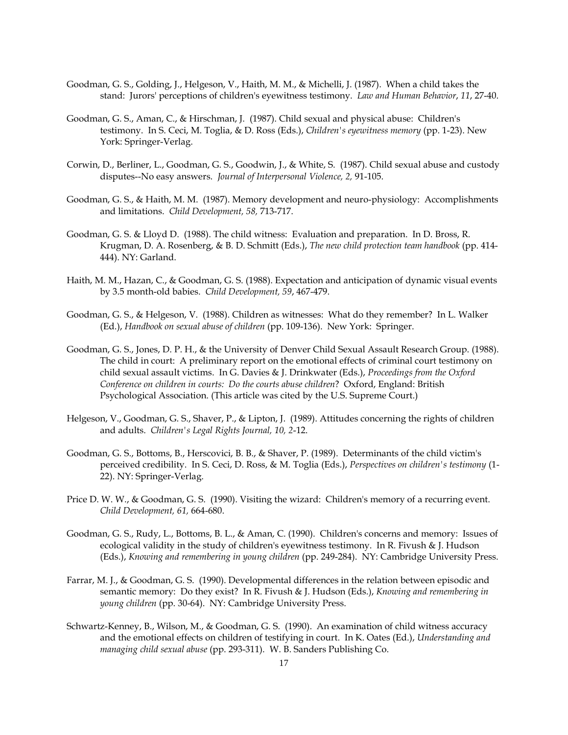- Goodman, G. S., Golding, J., Helgeson, V., Haith, M. M., & Michelli, J. (1987). When a child takes the stand: Jurors' perceptions of children's eyewitness testimony. *Law and Human Behavior*, *11*, 27-40.
- Goodman, G. S., Aman, C., & Hirschman, J. (1987). Child sexual and physical abuse: Children's testimony. In S. Ceci, M. Toglia, & D. Ross (Eds.), *Children's eyewitness memory* (pp. 1-23). New York: Springer-Verlag.
- Corwin, D., Berliner, L., Goodman, G. S., Goodwin, J., & White, S. (1987). Child sexual abuse and custody disputes--No easy answers. *Journal of Interpersonal Violence, 2,* 91-105.
- Goodman, G. S., & Haith, M. M. (1987). Memory development and neuro-physiology: Accomplishments and limitations. *Child Development, 58,* 713-717.
- Goodman, G. S. & Lloyd D. (1988). The child witness: Evaluation and preparation. In D. Bross, R. Krugman, D. A. Rosenberg, & B. D. Schmitt (Eds.), *The new child protection team handbook* (pp. 414- 444). NY: Garland.
- Haith, M. M., Hazan, C., & Goodman, G. S. (1988). Expectation and anticipation of dynamic visual events by 3.5 month-old babies. *Child Development, 59*, 467-479.
- Goodman, G. S., & Helgeson, V. (1988). Children as witnesses: What do they remember? In L. Walker (Ed.), *Handbook on sexual abuse of children* (pp. 109-136). New York: Springer.
- Goodman, G. S., Jones, D. P. H., & the University of Denver Child Sexual Assault Research Group. (1988). The child in court: A preliminary report on the emotional effects of criminal court testimony on child sexual assault victims. In G. Davies & J. Drinkwater (Eds.), *Proceedings from the Oxford Conference on children in courts: Do the courts abuse children*? Oxford, England: British Psychological Association. (This article was cited by the U.S. Supreme Court.)
- Helgeson, V., Goodman, G. S., Shaver, P., & Lipton, J. (1989). Attitudes concerning the rights of children and adults. *Children's Legal Rights Journal, 10, 2*-12.
- Goodman, G. S., Bottoms, B., Herscovici, B. B., & Shaver, P. (1989). Determinants of the child victim's perceived credibility. In S. Ceci, D. Ross, & M. Toglia (Eds.), *Perspectives on children's testimony* (1- 22). NY: Springer-Verlag.
- Price D. W. W., & Goodman, G. S. (1990). Visiting the wizard: Children's memory of a recurring event. *Child Development, 61,* 664-680.
- Goodman, G. S., Rudy, L., Bottoms, B. L., & Aman, C. (1990). Children's concerns and memory: Issues of ecological validity in the study of children's eyewitness testimony. In R. Fivush & J. Hudson (Eds.), *Knowing and remembering in young children* (pp. 249-284). NY: Cambridge University Press.
- Farrar, M. J., & Goodman, G. S. (1990). Developmental differences in the relation between episodic and semantic memory: Do they exist? In R. Fivush & J. Hudson (Eds.), *Knowing and remembering in young children* (pp. 30-64). NY: Cambridge University Press.
- Schwartz-Kenney, B., Wilson, M., & Goodman, G. S. (1990). An examination of child witness accuracy and the emotional effects on children of testifying in court. In K. Oates (Ed.), *Understanding and managing child sexual abuse* (pp. 293-311). W. B. Sanders Publishing Co.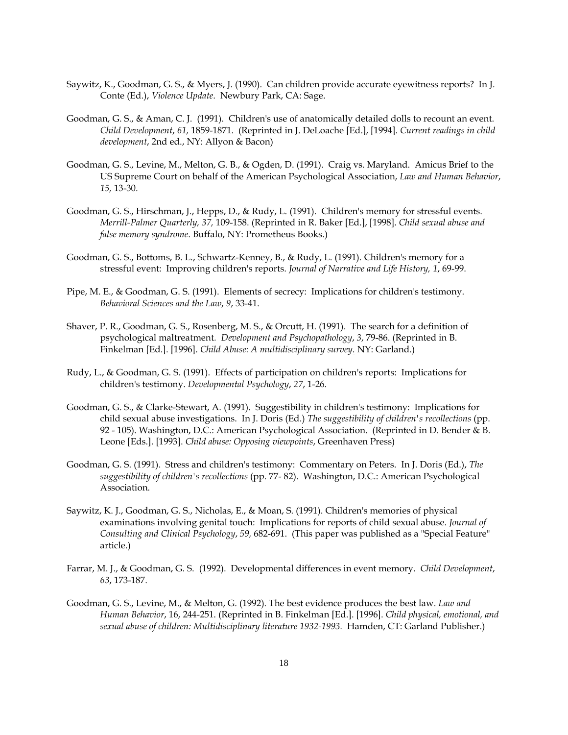- Saywitz, K., Goodman, G. S., & Myers, J. (1990). Can children provide accurate eyewitness reports? In J. Conte (Ed.), *Violence Update*. Newbury Park, CA: Sage.
- Goodman, G. S., & Aman, C. J. (1991). Children's use of anatomically detailed dolls to recount an event. *Child Development*, *61,* 1859-1871. (Reprinted in J. DeLoache [Ed.], [1994]. *Current readings in child development*, 2nd ed., NY: Allyon & Bacon)
- Goodman, G. S., Levine, M., Melton, G. B., & Ogden, D. (1991). Craig vs. Maryland. Amicus Brief to the US Supreme Court on behalf of the American Psychological Association, *Law and Human Behavior*, *15,* 13-30.
- Goodman, G. S., Hirschman, J., Hepps, D., & Rudy, L. (1991). Children's memory for stressful events. *Merrill-Palmer Quarterly, 37,* 109-158. (Reprinted in R. Baker [Ed.], [1998]. *Child sexual abuse and false memory syndrome*. Buffalo, NY: Prometheus Books.)
- Goodman, G. S., Bottoms, B. L., Schwartz-Kenney, B., & Rudy, L. (1991). Children's memory for a stressful event: Improving children's reports. *Journal of Narrative and Life History, 1*, 69-99.
- Pipe, M. E., & Goodman, G. S. (1991). Elements of secrecy: Implications for children's testimony. *Behavioral Sciences and the Law*, *9*, 33-41.
- Shaver, P. R., Goodman, G. S., Rosenberg, M. S., & Orcutt, H. (1991). The search for a definition of psychological maltreatment*. Development and Psychopathology*, *3*, 79-86. (Reprinted in B. Finkelman [Ed.]. [1996]. *Child Abuse: A multidisciplinary survey*. NY: Garland.)
- Rudy, L., & Goodman, G. S. (1991). Effects of participation on children's reports: Implications for children's testimony. *Developmental Psychology*, *27*, 1-26.
- Goodman, G. S., & Clarke-Stewart, A. (1991). Suggestibility in children's testimony: Implications for child sexual abuse investigations. In J. Doris (Ed.) *The suggestibility of children's recollections* (pp. 92 - 105). Washington, D.C.: American Psychological Association. (Reprinted in D. Bender & B. Leone [Eds.]. [1993]. *Child abuse: Opposing viewpoints*, Greenhaven Press)
- Goodman, G. S. (1991). Stress and children's testimony: Commentary on Peters. In J. Doris (Ed.), *The suggestibility of children's recollections* (pp. 77- 82). Washington, D.C.: American Psychological Association.
- Saywitz, K. J., Goodman, G. S., Nicholas, E., & Moan, S. (1991). Children's memories of physical examinations involving genital touch: Implications for reports of child sexual abuse. *Journal of Consulting and Clinical Psychology*, *59,* 682-691. (This paper was published as a "Special Feature" article.)
- Farrar, M. J., & Goodman, G. S. (1992). Developmental differences in event memory. *Child Development*, *63*, 173-187.
- Goodman, G. S., Levine, M., & Melton, G. (1992). The best evidence produces the best law. *Law and Human Behavior*, 16, 244-251. (Reprinted in B. Finkelman [Ed.]. [1996]. *Child physical, emotional, and sexual abuse of children: Multidisciplinary literature 1932-1993.* Hamden, CT: Garland Publisher.)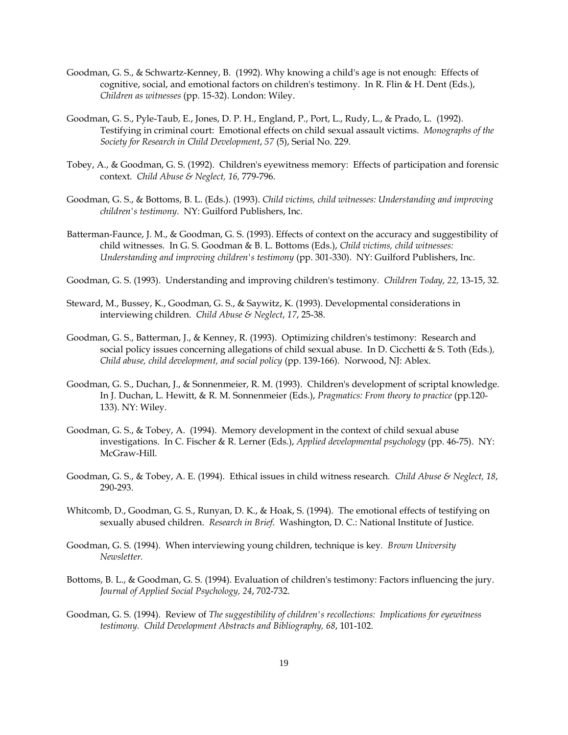- Goodman, G. S., & Schwartz-Kenney, B. (1992). Why knowing a child's age is not enough: Effects of cognitive, social, and emotional factors on children's testimony. In R. Flin & H. Dent (Eds.), *Children as witnesses* (pp. 15-32). London: Wiley.
- Goodman, G. S., Pyle-Taub, E., Jones, D. P. H., England, P., Port, L., Rudy, L., & Prado, L. (1992). Testifying in criminal court: Emotional effects on child sexual assault victims. *Monographs of the Society for Research in Child Development*, *57* (5), Serial No. 229.
- Tobey, A., & Goodman, G. S. (1992). Children's eyewitness memory: Effects of participation and forensic context. *Child Abuse & Neglect, 16,* 779-796.
- Goodman, G. S., & Bottoms, B. L. (Eds.). (1993). *Child victims, child witnesses: Understanding and improving children's testimony*. NY: Guilford Publishers, Inc.
- Batterman-Faunce, J. M., & Goodman, G. S. (1993). Effects of context on the accuracy and suggestibility of child witnesses. In G. S. Goodman & B. L. Bottoms (Eds.), *Child victims, child witnesses: Understanding and improving children's testimony* (pp. 301-330). NY: Guilford Publishers, Inc.
- Goodman, G. S. (1993). Understanding and improving children's testimony*. Children Today, 22,* 13-15, 32.
- Steward, M., Bussey, K., Goodman, G. S., & Saywitz, K. (1993). Developmental considerations in interviewing children. *Child Abuse & Neglect*, *17*, 25-38.
- Goodman, G. S., Batterman, J., & Kenney, R. (1993). Optimizing children's testimony: Research and social policy issues concerning allegations of child sexual abuse. In D. Cicchetti & S. Toth (Eds.)*, Child abuse, child development, and social policy* (pp. 139-166). Norwood, NJ: Ablex.
- Goodman, G. S., Duchan, J., & Sonnenmeier, R. M. (1993). Children's development of scriptal knowledge. In J. Duchan, L. Hewitt, & R. M. Sonnenmeier (Eds.), *Pragmatics: From theory to practice* (pp.120- 133). NY: Wiley.
- Goodman, G. S., & Tobey, A. (1994). Memory development in the context of child sexual abuse investigations. In C. Fischer & R. Lerner (Eds.), *Applied developmental psychology* (pp. 46-75). NY: McGraw-Hill.
- Goodman, G. S., & Tobey, A. E. (1994). Ethical issues in child witness research*. Child Abuse & Neglect, 18*, 290-293.
- Whitcomb, D., Goodman, G. S., Runyan, D. K., & Hoak, S. (1994). The emotional effects of testifying on sexually abused children. *Research in Brief*. Washington, D. C.: National Institute of Justice.
- Goodman, G. S. (1994). When interviewing young children, technique is key*. Brown University Newsletter.*
- Bottoms, B. L., & Goodman, G. S. (1994). Evaluation of children's testimony: Factors influencing the jury. *Journal of Applied Social Psychology, 24*, 702-732.
- Goodman, G. S. (1994). Review of *The suggestibility of children's recollections: Implications for eyewitness testimony. Child Development Abstracts and Bibliography, 68*, 101-102.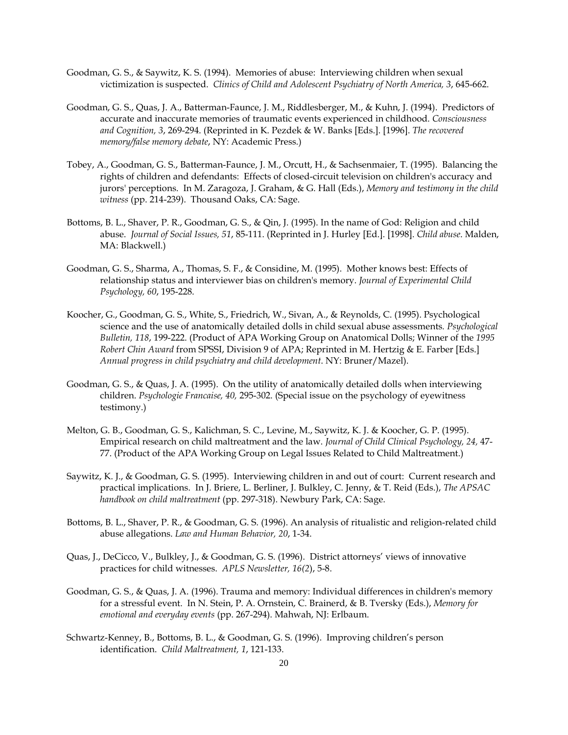- Goodman, G. S., & Saywitz, K. S. (1994). Memories of abuse: Interviewing children when sexual victimization is suspected. *Clinics of Child and Adolescent Psychiatry of North America, 3*, 645-662.
- Goodman, G. S., Quas, J. A., Batterman-Faunce, J. M., Riddlesberger, M., & Kuhn, J. (1994). Predictors of accurate and inaccurate memories of traumatic events experienced in childhood. *Consciousness and Cognition, 3*, 269-294. (Reprinted in K. Pezdek & W. Banks [Eds.]. [1996]. *The recovered memory/false memory debate*, NY: Academic Press.)
- Tobey, A., Goodman, G. S., Batterman-Faunce, J. M., Orcutt, H., & Sachsenmaier, T. (1995). Balancing the rights of children and defendants: Effects of closed-circuit television on children's accuracy and jurors' perceptions. In M. Zaragoza, J. Graham, & G. Hall (Eds.), *Memory and testimony in the child witness* (pp. 214-239). Thousand Oaks, CA: Sage.
- Bottoms, B. L., Shaver, P. R., Goodman, G. S., & Qin, J. (1995). In the name of God: Religion and child abuse. *Journal of Social Issues, 51*, 85-111. (Reprinted in J. Hurley [Ed.]. [1998]. *Child abuse*. Malden, MA: Blackwell.)
- Goodman, G. S., Sharma, A., Thomas, S. F., & Considine, M. (1995). Mother knows best: Effects of relationship status and interviewer bias on children's memory. *Journal of Experimental Child Psychology, 60*, 195-228.
- Koocher, G., Goodman, G. S., White, S., Friedrich, W., Sivan, A., & Reynolds, C. (1995). Psychological science and the use of anatomically detailed dolls in child sexual abuse assessments*. Psychological Bulletin, 118*, 199-222. (Product of APA Working Group on Anatomical Dolls; Winner of the *1995 Robert Chin Award* from SPSSI, Division 9 of APA; Reprinted in M. Hertzig & E. Farber [Eds.] *Annual progress in child psychiatry and child development*. NY: Bruner/Mazel).
- Goodman, G. S., & Quas, J. A. (1995). On the utility of anatomically detailed dolls when interviewing children. *Psychologie Francaise, 40,* 295-302. (Special issue on the psychology of eyewitness testimony.)
- Melton, G. B., Goodman, G. S., Kalichman, S. C., Levine, M., Saywitz, K. J. & Koocher, G. P. (1995). Empirical research on child maltreatment and the law. *Journal of Child Clinical Psychology, 24,* 47- 77. (Product of the APA Working Group on Legal Issues Related to Child Maltreatment.)
- Saywitz, K. J., & Goodman, G. S. (1995). Interviewing children in and out of court: Current research and practical implications. In J. Briere, L. Berliner, J. Bulkley, C. Jenny, & T. Reid (Eds.), *The APSAC handbook on child maltreatment* (pp. 297-318). Newbury Park, CA: Sage.
- Bottoms, B. L., Shaver, P. R., & Goodman, G. S. (1996). An analysis of ritualistic and religion-related child abuse allegations. *Law and Human Behavior, 20*, 1-34.
- Quas, J., DeCicco, V., Bulkley, J., & Goodman, G. S. (1996). District attorneys' views of innovative practices for child witnesses. *APLS Newsletter, 16(2*), 5-8.
- Goodman, G. S., & Quas, J. A. (1996). Trauma and memory: Individual differences in children's memory for a stressful event. In N. Stein, P. A. Ornstein, C. Brainerd, & B. Tversky (Eds.), *Memory for emotional and everyday events* (pp. 267-294). Mahwah, NJ: Erlbaum.
- Schwartz-Kenney, B., Bottoms, B. L., & Goodman, G. S. (1996). Improving children's person identification. *Child Maltreatment, 1*, 121-133.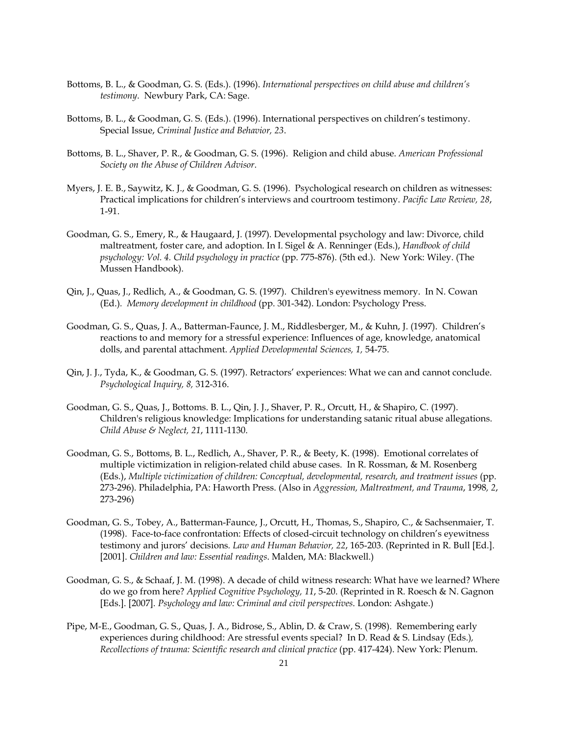- Bottoms, B. L., & Goodman, G. S. (Eds.). (1996). *International perspectives on child abuse and children's testimony*. Newbury Park, CA: Sage.
- Bottoms, B. L., & Goodman, G. S. (Eds.). (1996). International perspectives on children's testimony. Special Issue, *Criminal Justice and Behavior, 23*.
- Bottoms, B. L., Shaver, P. R., & Goodman, G. S. (1996). Religion and child abuse. *American Professional Society on the Abuse of Children Advisor*.
- Myers, J. E. B., Saywitz, K. J., & Goodman, G. S. (1996). Psychological research on children as witnesses: Practical implications for children's interviews and courtroom testimony. *Pacific Law Review, 28*, 1-91.
- Goodman, G. S., Emery, R., & Haugaard, J. (1997). Developmental psychology and law: Divorce, child maltreatment, foster care, and adoption. In I. Sigel & A. Renninger (Eds.), *Handbook of child psychology: Vol. 4. Child psychology in practice* (pp. 775-876). (5th ed.). New York: Wiley. (The Mussen Handbook).
- Qin, J., Quas, J., Redlich, A., & Goodman, G. S. (1997). Children's eyewitness memory. In N. Cowan (Ed.)*. Memory development in childhood* (pp. 301-342). London: Psychology Press.
- Goodman, G. S., Quas, J. A., Batterman-Faunce, J. M., Riddlesberger, M., & Kuhn, J. (1997). Children's reactions to and memory for a stressful experience: Influences of age, knowledge, anatomical dolls, and parental attachment. *Applied Developmental Sciences, 1,* 54-75.
- Qin, J. J., Tyda, K., & Goodman, G. S. (1997). Retractors' experiences: What we can and cannot conclude. *Psychological Inquiry, 8,* 312-316.
- Goodman, G. S., Quas, J., Bottoms. B. L., Qin, J. J., Shaver, P. R., Orcutt, H., & Shapiro, C. (1997). Children's religious knowledge: Implications for understanding satanic ritual abuse allegations. *Child Abuse & Neglect, 21*, 1111-1130.
- Goodman, G. S., Bottoms, B. L., Redlich, A., Shaver, P. R., & Beety, K. (1998). Emotional correlates of multiple victimization in religion-related child abuse cases. In R. Rossman, & M. Rosenberg (Eds.), *Multiple victimization of children: Conceptual, developmental, research, and treatment issues* (pp. 273-296). Philadelphia, PA: Haworth Press. (Also in *Aggression, Maltreatment, and Trauma*, 1998*, 2*, 273-296)
- Goodman, G. S., Tobey, A., Batterman-Faunce, J., Orcutt, H., Thomas, S., Shapiro, C., & Sachsenmaier, T. (1998). Face-to-face confrontation: Effects of closed-circuit technology on children's eyewitness testimony and jurors' decisions*. Law and Human Behavior, 22*, 165-203. (Reprinted in R. Bull [Ed.]. [2001]. *Children and law: Essential readings*. Malden, MA: Blackwell.)
- Goodman, G. S., & Schaaf, J. M. (1998). A decade of child witness research: What have we learned? Where do we go from here? *Applied Cognitive Psychology, 11*, 5-20. (Reprinted in R. Roesch & N. Gagnon [Eds.]. [2007]. *Psychology and law: Criminal and civil perspectives*. London: Ashgate.)
- Pipe, M-E., Goodman, G. S., Quas, J. A., Bidrose, S., Ablin, D. & Craw, S. (1998). Remembering early experiences during childhood: Are stressful events special? In D. Read & S. Lindsay (Eds.)*, Recollections of trauma: Scientific research and clinical practice* (pp. 417-424). New York: Plenum.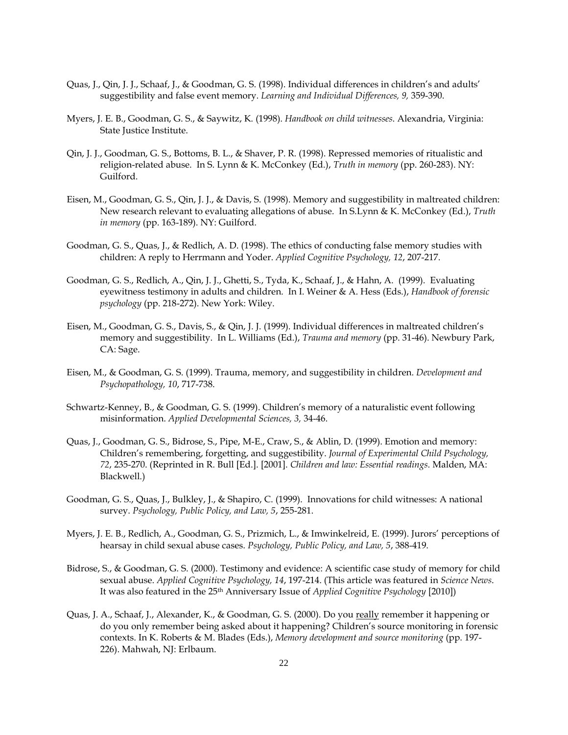- Quas, J., Qin, J. J., Schaaf, J., & Goodman, G. S. (1998). Individual differences in children's and adults' suggestibility and false event memory. *Learning and Individual Differences, 9,* 359-390.
- Myers, J. E. B., Goodman, G. S., & Saywitz, K. (1998). *Handbook on child witnesses*. Alexandria, Virginia: State Justice Institute.
- Qin, J. J., Goodman, G. S., Bottoms, B. L., & Shaver, P. R. (1998). Repressed memories of ritualistic and religion-related abuse. In S. Lynn & K. McConkey (Ed.), *Truth in memory* (pp. 260-283). NY: Guilford.
- Eisen, M., Goodman, G. S., Qin, J. J., & Davis, S. (1998). Memory and suggestibility in maltreated children: New research relevant to evaluating allegations of abuse. In S.Lynn & K. McConkey (Ed.), *Truth in memory* (pp. 163-189). NY: Guilford.
- Goodman, G. S., Quas, J., & Redlich, A. D. (1998). The ethics of conducting false memory studies with children: A reply to Herrmann and Yoder. *Applied Cognitive Psychology, 12*, 207-217.
- Goodman, G. S., Redlich, A., Qin, J. J., Ghetti, S., Tyda, K., Schaaf, J., & Hahn, A. (1999). Evaluating eyewitness testimony in adults and children. In I. Weiner & A. Hess (Eds.), *Handbook of forensic psychology* (pp. 218-272). New York: Wiley.
- Eisen, M., Goodman, G. S., Davis, S., & Qin, J. J. (1999). Individual differences in maltreated children's memory and suggestibility. In L. Williams (Ed.), *Trauma and memory* (pp. 31-46). Newbury Park, CA: Sage.
- Eisen, M., & Goodman, G. S. (1999). Trauma, memory, and suggestibility in children. *Development and Psychopathology, 10*, 717-738.
- Schwartz-Kenney, B., & Goodman, G. S. (1999). Children's memory of a naturalistic event following misinformation. *Applied Developmental Sciences, 3,* 34-46.
- Quas, J., Goodman, G. S., Bidrose, S., Pipe, M-E., Craw, S., & Ablin, D. (1999). Emotion and memory: Children's remembering, forgetting, and suggestibility. *Journal of Experimental Child Psychology, 72*, 235-270. (Reprinted in R. Bull [Ed.]. [2001]. *Children and law: Essential readings*. Malden, MA: Blackwell.)
- Goodman, G. S., Quas, J., Bulkley, J., & Shapiro, C. (1999). Innovations for child witnesses: A national survey. *Psychology, Public Policy, and Law, 5*, 255-281.
- Myers, J. E. B., Redlich, A., Goodman, G. S., Prizmich, L., & Imwinkelreid, E. (1999). Jurors' perceptions of hearsay in child sexual abuse cases. *Psychology, Public Policy, and Law, 5*, 388-419.
- Bidrose, S., & Goodman, G. S. (2000). Testimony and evidence: A scientific case study of memory for child sexual abuse. *Applied Cognitive Psychology, 14*, 197-214. (This article was featured in *Science News*. It was also featured in the 25th Anniversary Issue of *Applied Cognitive Psychology* [2010])
- Quas, J. A., Schaaf, J., Alexander, K., & Goodman, G. S. (2000). Do you really remember it happening or do you only remember being asked about it happening? Children's source monitoring in forensic contexts. In K. Roberts & M. Blades (Eds.), *Memory development and source monitoring* (pp. 197- 226). Mahwah, NJ: Erlbaum.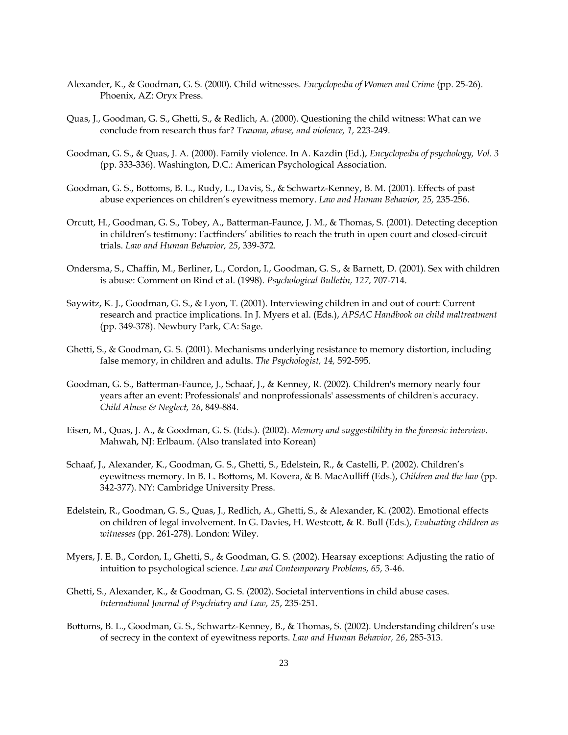- Alexander, K., & Goodman, G. S. (2000). Child witnesses. *Encyclopedia of Women and Crime* (pp. 25-26). Phoenix, AZ: Oryx Press.
- Quas, J., Goodman, G. S., Ghetti, S., & Redlich, A. (2000). Questioning the child witness: What can we conclude from research thus far? *Trauma, abuse, and violence, 1,* 223-249.
- Goodman, G. S., & Quas, J. A. (2000). Family violence. In A. Kazdin (Ed.), *Encyclopedia of psychology, Vol. 3*  (pp. 333-336). Washington, D.C.: American Psychological Association.
- Goodman, G. S., Bottoms, B. L., Rudy, L., Davis, S., & Schwartz-Kenney, B. M. (2001). Effects of past abuse experiences on children's eyewitness memory. *Law and Human Behavior, 25,* 235-256.
- Orcutt, H., Goodman, G. S., Tobey, A., Batterman-Faunce, J. M., & Thomas, S. (2001). Detecting deception in children's testimony: Factfinders' abilities to reach the truth in open court and closed-circuit trials. *Law and Human Behavior, 25*, 339-372.
- Ondersma, S., Chaffin, M., Berliner, L., Cordon, I., Goodman, G. S., & Barnett, D. (2001). Sex with children is abuse: Comment on Rind et al. (1998). *Psychological Bulletin, 127,* 707-714.
- Saywitz, K. J., Goodman, G. S., & Lyon, T. (2001). Interviewing children in and out of court: Current research and practice implications. In J. Myers et al. (Eds.), *APSAC Handbook on child maltreatment*  (pp. 349-378). Newbury Park, CA: Sage.
- Ghetti, S., & Goodman, G. S. (2001). Mechanisms underlying resistance to memory distortion, including false memory, in children and adults. *The Psychologist, 14,* 592-595.
- Goodman, G. S., Batterman-Faunce, J., Schaaf, J., & Kenney, R. (2002). Children's memory nearly four years after an event: Professionals' and nonprofessionals' assessments of children's accuracy. *Child Abuse & Neglect, 26*, 849-884.
- Eisen, M., Quas, J. A., & Goodman, G. S. (Eds.). (2002). *Memory and suggestibility in the forensic interview*. Mahwah, NJ: Erlbaum. (Also translated into Korean)
- Schaaf, J., Alexander, K., Goodman, G. S., Ghetti, S., Edelstein, R., & Castelli, P. (2002). Children's eyewitness memory. In B. L. Bottoms, M. Kovera, & B. MacAulliff (Eds.), *Children and the law* (pp. 342-377). NY: Cambridge University Press.
- Edelstein, R., Goodman, G. S., Quas, J., Redlich, A., Ghetti, S., & Alexander, K. (2002). Emotional effects on children of legal involvement. In G. Davies, H. Westcott, & R. Bull (Eds.), *Evaluating children as witnesses* (pp. 261-278). London: Wiley.
- Myers, J. E. B., Cordon, I., Ghetti, S., & Goodman, G. S. (2002). Hearsay exceptions: Adjusting the ratio of intuition to psychological science. *Law and Contemporary Problems*, *65,* 3-46.
- Ghetti, S., Alexander, K., & Goodman, G. S. (2002). Societal interventions in child abuse cases. *International Journal of Psychiatry and Law, 25*, 235-251.
- Bottoms, B. L., Goodman, G. S., Schwartz-Kenney, B., & Thomas, S. (2002). Understanding children's use of secrecy in the context of eyewitness reports. *Law and Human Behavior, 26*, 285-313.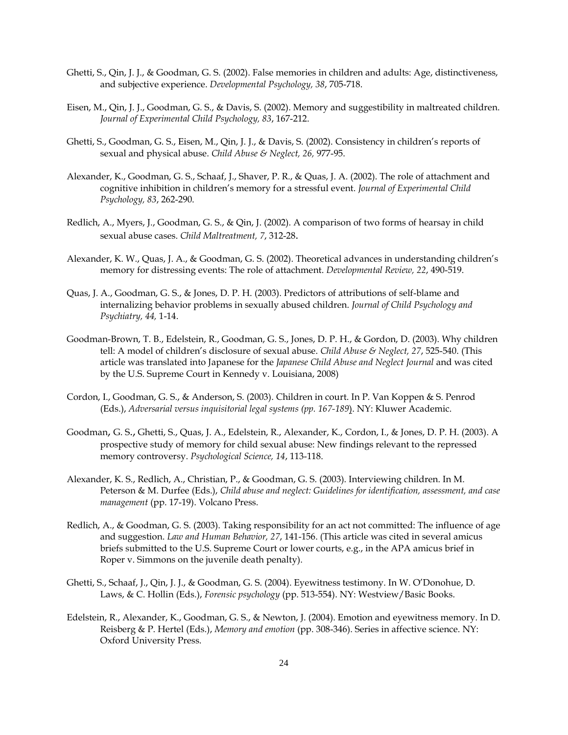- Ghetti, S., Qin, J. J., & Goodman, G. S. (2002). False memories in children and adults: Age, distinctiveness, and subjective experience. *Developmental Psychology, 38*, 705-718.
- Eisen, M., Qin, J. J., Goodman, G. S., & Davis, S. (2002). Memory and suggestibility in maltreated children. *Journal of Experimental Child Psychology, 83*, 167-212.
- Ghetti, S., Goodman, G. S., Eisen, M., Qin, J. J., & Davis, S. (2002). Consistency in children's reports of sexual and physical abuse. *Child Abuse & Neglect, 26,* 977-95.
- Alexander, K., Goodman, G. S., Schaaf, J., Shaver, P. R., & Quas, J. A. (2002). The role of attachment and cognitive inhibition in children's memory for a stressful event. *Journal of Experimental Child Psychology, 83*, 262-290.
- Redlich, A., Myers, J., Goodman, G. S., & Qin, J. (2002). A comparison of two forms of hearsay in child sexual abuse cases. *Child Maltreatment, 7*, 312-28.
- Alexander, K. W., Quas, J. A., & Goodman, G. S. (2002). Theoretical advances in understanding children's memory for distressing events: The role of attachment. *Developmental Review, 22*, 490-519.
- Quas, J. A., Goodman, G. S., & Jones, D. P. H. (2003). Predictors of attributions of self-blame and internalizing behavior problems in sexually abused children. *Journal of Child Psychology and Psychiatry, 44,* 1-14.
- Goodman-Brown, T. B., Edelstein, R., Goodman, G. S., Jones, D. P. H., & Gordon, D. (2003). Why children tell: A model of children's disclosure of sexual abuse. *Child Abuse & Neglect, 27*, 525-540. (This article was translated into Japanese for the *Japanese Child Abuse and Neglect Journal* and was cited by the U.S. Supreme Court in Kennedy v. Louisiana, 2008)
- Cordon, I., Goodman, G. S., & Anderson, S. (2003). Children in court. In P. Van Koppen & S. Penrod (Eds.), *Adversarial versus inquisitorial legal systems (pp. 167-189*). NY: Kluwer Academic.
- Goodman, G. S., Ghetti, S., Quas, J. A., Edelstein, R., Alexander, K., Cordon, I., & Jones, D. P. H. (2003). A prospective study of memory for child sexual abuse: New findings relevant to the repressed memory controversy. *Psychological Science, 14*, 113-118.
- Alexander, K. S., Redlich, A., Christian, P., & Goodman, G. S. (2003). Interviewing children. In M. Peterson & M. Durfee (Eds.), *Child abuse and neglect: Guidelines for identification, assessment, and case management* (pp. 17-19). Volcano Press.
- Redlich, A., & Goodman, G. S. (2003). Taking responsibility for an act not committed: The influence of age and suggestion. *Law and Human Behavior, 27*, 141-156. (This article was cited in several amicus briefs submitted to the U.S. Supreme Court or lower courts, e.g., in the APA amicus brief in Roper v. Simmons on the juvenile death penalty).
- Ghetti, S., Schaaf, J., Qin, J. J., & Goodman, G. S. (2004). Eyewitness testimony. In W. O'Donohue, D. Laws, & C. Hollin (Eds.), *Forensic psychology* (pp. 513-554). NY: Westview/Basic Books.
- Edelstein, R., Alexander, K., Goodman, G. S., & Newton, J. (2004). Emotion and eyewitness memory. In D. Reisberg & P. Hertel (Eds.), *Memory and emotion* (pp. 308-346). Series in affective science. NY: Oxford University Press.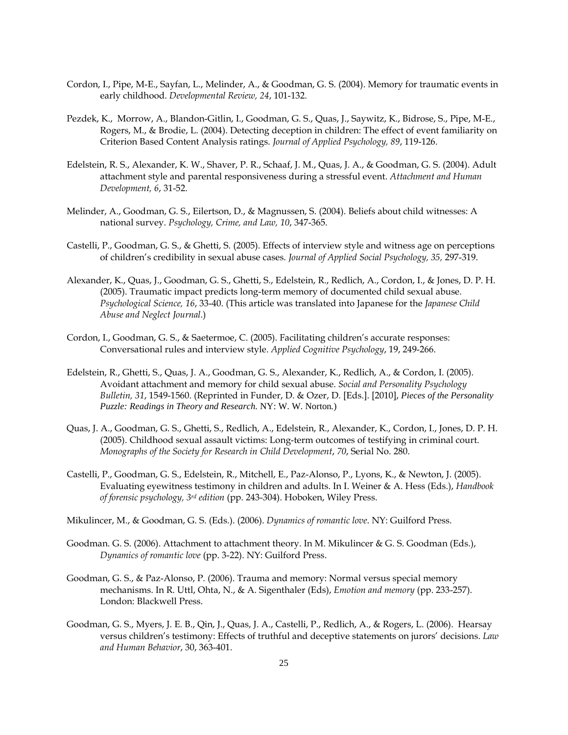- Cordon, I., Pipe, M-E., Sayfan, L., Melinder, A., & Goodman, G. S. (2004). Memory for traumatic events in early childhood. *Developmental Review, 24*, 101-132.
- Pezdek, K., Morrow, A., Blandon-Gitlin, I., Goodman, G. S., Quas, J., Saywitz, K., Bidrose, S., Pipe, M-E., Rogers, M., & Brodie, L. (2004). Detecting deception in children: The effect of event familiarity on Criterion Based Content Analysis ratings. *Journal of Applied Psychology, 89*, 119-126.
- Edelstein, R. S., Alexander, K. W., Shaver, P. R., Schaaf, J. M., Quas, J. A., & Goodman, G. S. (2004). Adult attachment style and parental responsiveness during a stressful event. *Attachment and Human Development, 6*, 31-52.
- Melinder, A., Goodman, G. S., Eilertson, D., & Magnussen, S. (2004). Beliefs about child witnesses: A national survey. *Psychology, Crime, and Law, 10*, 347-365.
- Castelli, P., Goodman, G. S., & Ghetti, S. (2005). Effects of interview style and witness age on perceptions of children's credibility in sexual abuse cases. *Journal of Applied Social Psychology, 35,* 297-319.
- Alexander, K., Quas, J., Goodman, G. S., Ghetti, S., Edelstein, R., Redlich, A., Cordon, I., & Jones, D. P. H. (2005). Traumatic impact predicts long-term memory of documented child sexual abuse. *Psychological Science, 16*, 33-40. (This article was translated into Japanese for the *Japanese Child Abuse and Neglect Journal*.)
- Cordon, I., Goodman, G. S., & Saetermoe, C. (2005). Facilitating children's accurate responses: Conversational rules and interview style. *Applied Cognitive Psychology*, 19, 249-266.
- Edelstein, R., Ghetti, S., Quas, J. A., Goodman, G. S., Alexander, K., Redlich, A., & Cordon, I. (2005). Avoidant attachment and memory for child sexual abuse. *Social and Personality Psychology Bulletin, 31*, 1549-1560. (Reprinted in Funder, D. & Ozer, D. [Eds.]. [2010], *Pieces of the Personality Puzzle: Readings in Theory and Research.* NY: W. W. Norton*.*)
- Quas, J. A., Goodman, G. S., Ghetti, S., Redlich, A., Edelstein, R., Alexander, K., Cordon, I., Jones, D. P. H. (2005). Childhood sexual assault victims: Long-term outcomes of testifying in criminal court. *Monographs of the Society for Research in Child Development*, *70*, Serial No. 280.
- Castelli, P., Goodman, G. S., Edelstein, R., Mitchell, E., Paz-Alonso, P., Lyons, K., & Newton, J. (2005). Evaluating eyewitness testimony in children and adults. In I. Weiner & A. Hess (Eds.), *Handbook of forensic psychology, 3rd edition* (pp. 243-304). Hoboken, Wiley Press.
- Mikulincer, M., & Goodman, G. S. (Eds.). (2006). *Dynamics of romantic love*. NY: Guilford Press.
- Goodman. G. S. (2006). Attachment to attachment theory. In M. Mikulincer & G. S. Goodman (Eds.), *Dynamics of romantic love* (pp. 3-22). NY: Guilford Press.
- Goodman, G. S., & Paz-Alonso, P. (2006). Trauma and memory: Normal versus special memory mechanisms. In R. Uttl, Ohta, N., & A. Sigenthaler (Eds), *Emotion and memory* (pp. 233-257). London: Blackwell Press.
- Goodman, G. S., Myers, J. E. B., Qin, J., Quas, J. A., Castelli, P., Redlich, A., & Rogers, L. (2006). Hearsay versus children's testimony: Effects of truthful and deceptive statements on jurors' decisions. *Law and Human Behavior*, 30, 363-401.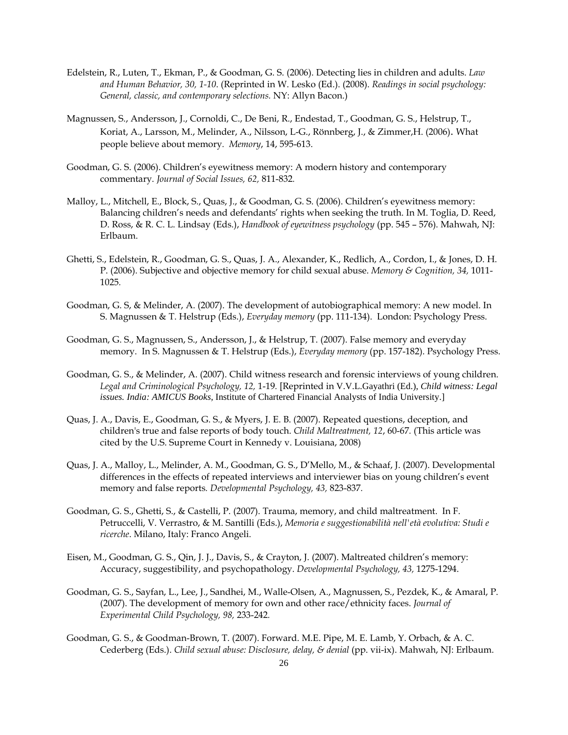- Edelstein, R., Luten, T., Ekman, P., & Goodman, G. S. (2006). Detecting lies in children and adults. *Law and Human Behavior, 30, 1-10*. (Reprinted in W. Lesko (Ed.). (2008). *Readings in social psychology: General, classic, and contemporary selections.* NY: Allyn Bacon.)
- Magnussen, S., Andersson, J., Cornoldi, C., De Beni, R., Endestad, T., Goodman, G. S., Helstrup, T., Koriat, A., Larsson, M., Melinder, A., Nilsson, L-G., Rönnberg, J., & Zimmer,H. (2006). What people believe about memory*. Memory*, 14, 595-613.
- Goodman, G. S. (2006). Children's eyewitness memory: A modern history and contemporary commentary. *Journal of Social Issues, 62,* 811-832*.*
- Malloy, L., Mitchell, E., Block, S., Quas, J., & Goodman, G. S. (2006). Children's eyewitness memory: Balancing children's needs and defendants' rights when seeking the truth. In M. Toglia, D. Reed, D. Ross, & R. C. L. Lindsay (Eds.), *Handbook of eyewitness psychology* (pp. 545 – 576). Mahwah, NJ: Erlbaum.
- Ghetti, S., Edelstein, R., Goodman, G. S., Quas, J. A., Alexander, K., Redlich, A., Cordon, I., & Jones, D. H. P. (2006). Subjective and objective memory for child sexual abuse. *Memory & Cognition, 34,* 1011- 1025*.*
- Goodman, G. S, & Melinder, A. (2007). The development of autobiographical memory: A new model. In S. Magnussen & T. Helstrup (Eds.), *Everyday memory* (pp. 111-134). London: Psychology Press.
- Goodman, G. S., Magnussen, S., Andersson, J., & Helstrup, T. (2007). False memory and everyday memory. In S. Magnussen & T. Helstrup (Eds.), *Everyday memory* (pp. 157-182). Psychology Press.
- Goodman, G. S., & Melinder, A. (2007). Child witness research and forensic interviews of young children. *Legal and Criminological Psychology, 12,* 1-19*.* [Reprinted in V.V.L.Gayathri (Ed.), *Child witness: Legal issues. India: AMICUS Books,* Institute of Chartered Financial Analysts of India University.]
- Quas, J. A., Davis, E., Goodman, G. S., & Myers, J. E. B. (2007). Repeated questions, deception, and children's true and false reports of body touch. *Child Maltreatment, 12*, 60-67*.* (This article was cited by the U.S. Supreme Court in Kennedy v. Louisiana, 2008)
- Quas, J. A., Malloy, L., Melinder, A. M., Goodman, G. S., D'Mello, M., & Schaaf, J. (2007). Developmental differences in the effects of repeated interviews and interviewer bias on young children's event memory and false reports*. Developmental Psychology, 43,* 823-837*.*
- Goodman, G. S., Ghetti, S., & Castelli, P. (2007). Trauma, memory, and child maltreatment. In F. Petruccelli, V. Verrastro, & M. Santilli (Eds.), *Memoria e suggestionabilità nell'età evolutiva: Studi e ricerche*. Milano, Italy: Franco Angeli.
- Eisen, M., Goodman, G. S., Qin, J. J., Davis, S., & Crayton, J. (2007). Maltreated children's memory: Accuracy, suggestibility, and psychopathology. *Developmental Psychology, 43,* 1275-1294.
- Goodman, G. S., Sayfan, L., Lee, J., Sandhei, M., Walle-Olsen, A., Magnussen, S., Pezdek, K., & Amaral, P. (2007). The development of memory for own and other race/ethnicity faces. *Journal of Experimental Child Psychology, 98,* 233-242*.*
- Goodman, G. S., & Goodman-Brown, T. (2007). Forward. M.E. Pipe, M. E. Lamb, Y. Orbach, & A. C. Cederberg (Eds.). *Child sexual abuse: Disclosure, delay, & denial* (pp. vii-ix). Mahwah, NJ: Erlbaum.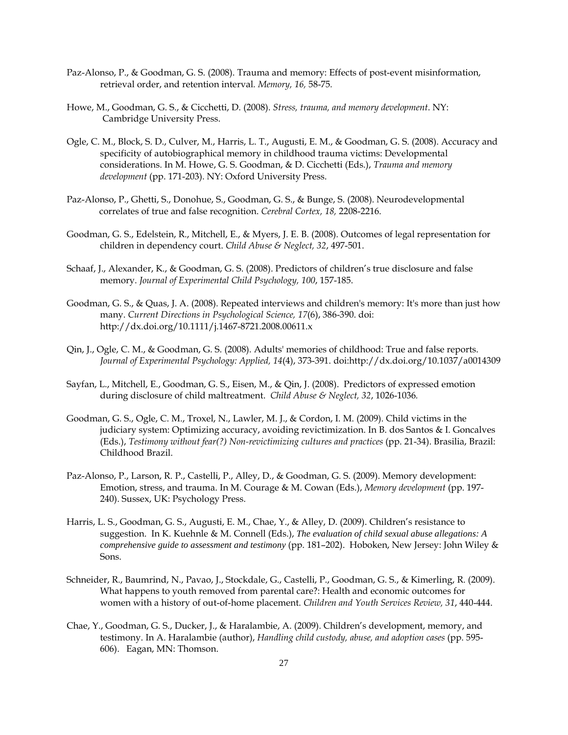- Paz-Alonso, P., & Goodman, G. S. (2008). Trauma and memory: Effects of post-event misinformation, retrieval order, and retention interval*. Memory, 16,* 58-75*.*
- Howe, M., Goodman, G. S., & Cicchetti, D. (2008). *Stress, trauma, and memory development*. NY: Cambridge University Press.
- Ogle, C. M., Block, S. D., Culver, M., Harris, L. T., Augusti, E. M., & Goodman, G. S. (2008). Accuracy and specificity of autobiographical memory in childhood trauma victims: Developmental considerations. In M. Howe, G. S. Goodman, & D. Cicchetti (Eds.), *Trauma and memory development* (pp. 171-203). NY: Oxford University Press.
- Paz-Alonso, P., Ghetti, S., Donohue, S., Goodman, G. S., & Bunge, S. (2008). Neurodevelopmental correlates of true and false recognition. *Cerebral Cortex, 18,* 2208-2216.
- Goodman, G. S., Edelstein, R., Mitchell, E., & Myers, J. E. B. (2008). Outcomes of legal representation for children in dependency court. *Child Abuse & Neglect, 32*, 497-501.
- Schaaf, J., Alexander, K., & Goodman, G. S. (2008). Predictors of children's true disclosure and false memory. *Journal of Experimental Child Psychology, 100*, 157-185.
- Goodman, G. S., & Quas, J. A. (2008). Repeated interviews and children's memory: It's more than just how many. *Current Directions in Psychological Science, 17*(6), 386-390. doi: http://dx.doi.org/10.1111/j.1467-8721.2008.00611.x
- Qin, J., Ogle, C. M., & Goodman, G. S. (2008). Adults' memories of childhood: True and false reports. *Journal of Experimental Psychology: Applied, 14*(4), 373-391. doi:http://dx.doi.org/10.1037/a0014309
- Sayfan, L., Mitchell, E., Goodman, G. S., Eisen, M., & Qin, J. (2008). Predictors of expressed emotion during disclosure of child maltreatment. *Child Abuse & Neglect, 32*, 1026-1036*.*
- Goodman, G. S., Ogle, C. M., Troxel, N., Lawler, M. J., & Cordon, I. M. (2009). Child victims in the judiciary system: Optimizing accuracy, avoiding revictimization. In B. dos Santos & I. Goncalves (Eds.), *Testimony without fear(?) Non-revictimizing cultures and practices* (pp. 21-34). Brasilia, Brazil: Childhood Brazil.
- Paz-Alonso, P., Larson, R. P., Castelli, P., Alley, D., & Goodman, G. S. (2009). Memory development: Emotion, stress, and trauma. In M. Courage & M. Cowan (Eds.), *Memory development* (pp. 197- 240). Sussex, UK: Psychology Press.
- Harris, L. S., Goodman, G. S., Augusti, E. M., Chae, Y., & Alley, D. (2009). Children's resistance to suggestion. In K. Kuehnle & M. Connell (Eds.), *The evaluation of child sexual abuse allegations: A comprehensive guide to assessment and testimony* (pp. 181–202). Hoboken, New Jersey: John Wiley & Sons.
- Schneider, R., Baumrind, N., Pavao, J., Stockdale, G., Castelli, P., Goodman, G. S., & Kimerling, R. (2009). What happens to youth removed from parental care?: Health and economic outcomes for women with a history of out-of-home placement. *Children and Youth Services Review, 31*, 440-444.
- Chae, Y., Goodman, G. S., Ducker, J., & Haralambie, A. (2009). Children's development, memory, and testimony. In A. Haralambie (author), *Handling child custody, abuse, and adoption cases* (pp. 595- 606). Eagan, MN: Thomson.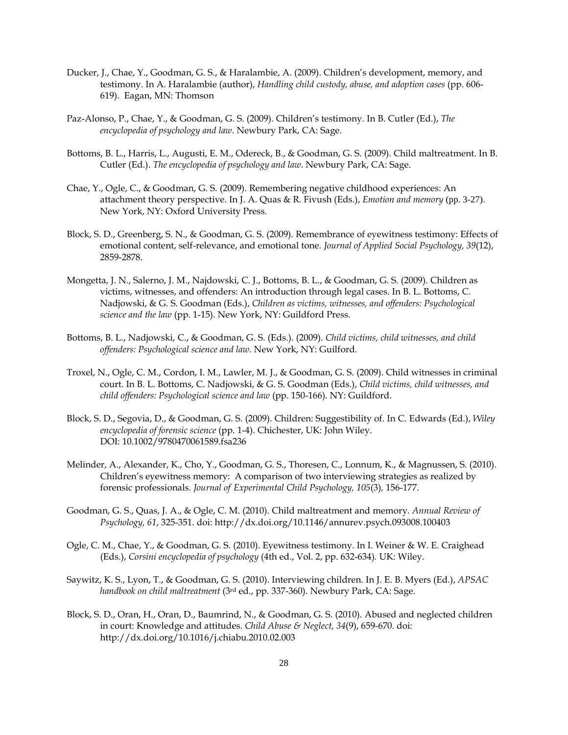- Ducker, J., Chae, Y., Goodman, G. S., & Haralambie, A. (2009). Children's development, memory, and testimony. In A. Haralambie (author), *Handling child custody, abuse, and adoption cases* (pp. 606- 619). Eagan, MN: Thomson
- Paz-Alonso, P., Chae, Y., & Goodman, G. S. (2009). Children's testimony. In B. Cutler (Ed.), *The encyclopedia of psychology and law*. Newbury Park, CA: Sage.
- Bottoms, B. L., Harris, L., Augusti, E. M., Odereck, B., & Goodman, G. S. (2009). Child maltreatment. In B. Cutler (Ed.). *The encyclopedia of psychology and law*. Newbury Park, CA: Sage.
- Chae, Y., Ogle, C., & Goodman, G. S. (2009). Remembering negative childhood experiences: An attachment theory perspective. In J. A. Quas & R. Fivush (Eds.), *Emotion and memory* (pp. 3-27). New York, NY: Oxford University Press.
- Block, S. D., Greenberg, S. N., & Goodman, G. S. (2009). Remembrance of eyewitness testimony: Effects of emotional content, self-relevance, and emotional tone. *Journal of Applied Social Psychology, 39*(12), 2859-2878.
- Mongetta, J. N., Salerno, J. M., Najdowski, C. J., Bottoms, B. L., & Goodman, G. S. (2009). Children as victims, witnesses, and offenders: An introduction through legal cases. In B. L. Bottoms, C. Nadjowski, & G. S. Goodman (Eds.), *Children as victims, witnesses, and offenders: Psychological science and the law* (pp. 1-15). New York, NY: Guildford Press.
- Bottoms, B. L., Nadjowski, C., & Goodman, G. S. (Eds.). (2009). *Child victims, child witnesses, and child offenders: Psychological science and law*. New York, NY: Guilford.
- Troxel, N., Ogle, C. M., Cordon, I. M., Lawler, M. J., & Goodman, G. S. (2009). Child witnesses in criminal court. In B. L. Bottoms, C. Nadjowski, & G. S. Goodman (Eds.), *Child victims, child witnesses, and child offenders: Psychological science and law* (pp. 150-166). NY: Guildford.
- Block, S. D., Segovia, D., & Goodman, G. S. (2009). Children: Suggestibility of. In C. Edwards (Ed.), *Wiley encyclopedia of forensic science* (pp. 1-4). Chichester, UK: John Wiley. DOI: 10.1002/9780470061589.fsa236
- Melinder, A., Alexander, K., Cho, Y., Goodman, G. S., Thoresen, C., Lonnum, K., & Magnussen, S. (2010). Children's eyewitness memory: A comparison of two interviewing strategies as realized by forensic professionals. *Journal of Experimental Child Psychology, 105*(3)*,* 156-177.
- Goodman, G. S., Quas, J. A., & Ogle, C. M. (2010). Child maltreatment and memory. *Annual Review of Psychology, 61*, 325-351. doi: http://dx.doi.org/10.1146/annurev.psych.093008.100403
- Ogle, C. M., Chae, Y., & Goodman, G. S. (2010). Eyewitness testimony. In I. Weiner & W. E. Craighead (Eds.), *Corsini encyclopedia of psychology* (4th ed., Vol. 2, pp. 632-634)*.* UK: Wiley.
- Saywitz, K. S., Lyon, T., & Goodman, G. S. (2010). Interviewing children. In J. E. B. Myers (Ed.), *APSAC handbook on child maltreatment* (3rd ed., pp. 337-360)*.* Newbury Park, CA: Sage.
- Block, S. D., Oran, H., Oran, D., Baumrind, N., & Goodman, G. S. (2010). Abused and neglected children in court: Knowledge and attitudes. *Child Abuse & Neglect, 34*(9), 659-670. doi: http://dx.doi.org/10.1016/j.chiabu.2010.02.003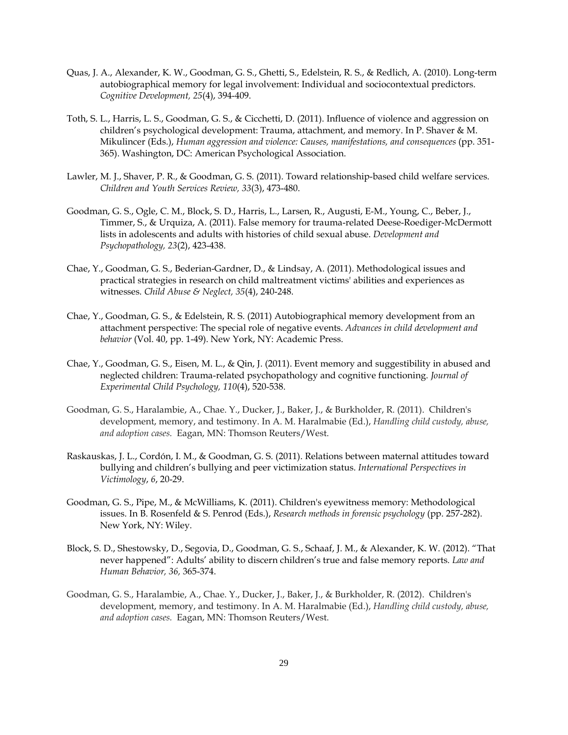- Quas, J. A., Alexander, K. W., Goodman, G. S., Ghetti, S., Edelstein, R. S., & Redlich, A. (2010). Long-term autobiographical memory for legal involvement: Individual and sociocontextual predictors. *Cognitive Development, 25*(4), 394-409.
- Toth, S. L., Harris, L. S., Goodman, G. S., & Cicchetti, D. (2011). Influence of violence and aggression on children's psychological development: Trauma, attachment, and memory. In P. Shaver & M. Mikulincer (Eds.), *Human aggression and violence: Causes, manifestations, and consequences* (pp. 351- 365). Washington, DC: American Psychological Association.
- Lawler, M. J., Shaver, P. R., & Goodman, G. S. (2011). Toward relationship-based child welfare services. *Children and Youth Services Review, 33*(3), 473-480.
- Goodman, G. S., Ogle, C. M., Block, S. D., Harris, L., Larsen, R., Augusti, E-M., Young, C., Beber, J., Timmer, S., & Urquiza, A. (2011). False memory for trauma-related Deese-Roediger-McDermott lists in adolescents and adults with histories of child sexual abuse. *Development and Psychopathology, 23*(2), 423-438.
- Chae, Y., Goodman, G. S., Bederian-Gardner, D., & Lindsay, A. (2011). Methodological issues and practical strategies in research on child maltreatment victims' abilities and experiences as witnesses. *Child Abuse & Neglect, 35*(4), 240-248.
- Chae, Y., Goodman, G. S., & Edelstein, R. S. (2011) Autobiographical memory development from an attachment perspective: The special role of negative events. *Advances in child development and behavior* (Vol. 40, pp. 1-49). New York, NY: Academic Press.
- Chae, Y., Goodman, G. S., Eisen, M. L., & Qin, J. (2011). Event memory and suggestibility in abused and neglected children: Trauma-related psychopathology and cognitive functioning. *Journal of Experimental Child Psychology, 110*(4), 520-538.
- Goodman, G. S., Haralambie, A., Chae. Y., Ducker, J., Baker, J., & Burkholder, R. (2011). Children's development, memory, and testimony. In A. M. Haralmabie (Ed.), *Handling child custody, abuse, and adoption cases.* Eagan, MN: Thomson Reuters/West.
- Raskauskas, J. L., Cordón, I. M., & Goodman, G. S. (2011). Relations between maternal attitudes toward bullying and children's bullying and peer victimization status. *International Perspectives in Victimology*, *6*, 20-29.
- Goodman, G. S., Pipe, M., & McWilliams, K. (2011). Children's eyewitness memory: Methodological issues. In B. Rosenfeld & S. Penrod (Eds.), *Research methods in forensic psychology* (pp. 257-282). New York, NY: Wiley.
- Block, S. D., Shestowsky, D., Segovia, D., Goodman, G. S., Schaaf, J. M., & Alexander, K. W. (2012). "That never happened": Adults' ability to discern children's true and false memory reports*. Law and Human Behavior, 36,* 365-374.
- Goodman, G. S., Haralambie, A., Chae. Y., Ducker, J., Baker, J., & Burkholder, R. (2012). Children's development, memory, and testimony. In A. M. Haralmabie (Ed.), *Handling child custody, abuse, and adoption cases.* Eagan, MN: Thomson Reuters/West.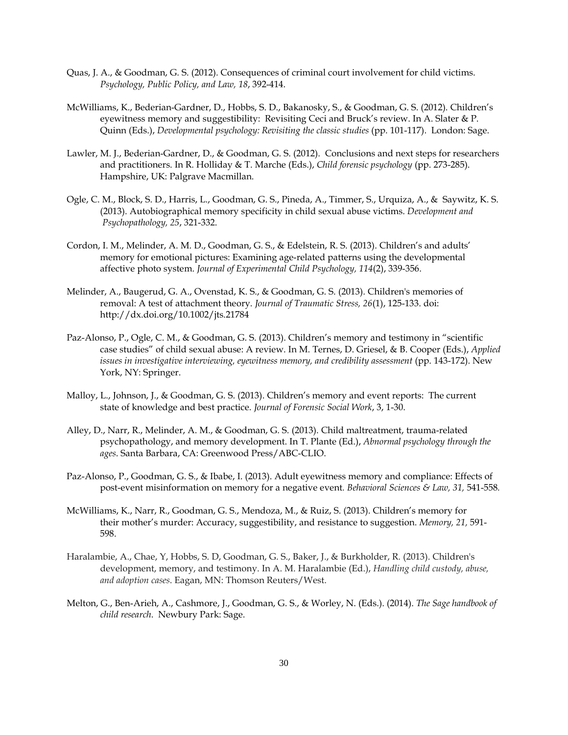- Quas, J. A., & Goodman, G. S. (2012). Consequences of criminal court involvement for child victims. *Psychology, Public Policy, and Law, 18*, 392-414.
- McWilliams, K., Bederian-Gardner, D., Hobbs, S. D., Bakanosky, S., & Goodman, G. S. (2012). Children's eyewitness memory and suggestibility: Revisiting Ceci and Bruck's review. In A. Slater & P. Quinn (Eds.), *Developmental psychology: Revisiting the classic studies* (pp. 101-117). London: Sage.
- Lawler, M. J., Bederian-Gardner, D., & Goodman, G. S. (2012). Conclusions and next steps for researchers and practitioners. In R. Holliday & T. Marche (Eds.), *Child forensic psychology* (pp. 273-285). Hampshire, UK: Palgrave Macmillan.
- Ogle, C. M., Block, S. D., Harris, L., Goodman, G. S., Pineda, A., Timmer, S., Urquiza, A., & Saywitz, K. S. (2013). Autobiographical memory specificity in child sexual abuse victims. *Development and Psychopathology, 25*, 321-332.
- Cordon, I. M., Melinder, A. M. D., Goodman, G. S., & Edelstein, R. S. (2013). Children's and adults' memory for emotional pictures: Examining age-related patterns using the developmental affective photo system. *Journal of Experimental Child Psychology, 114*(2), 339-356.
- Melinder, A., Baugerud, G. A., Ovenstad, K. S., & Goodman, G. S. (2013). Children's memories of removal: A test of attachment theory. *Journal of Traumatic Stress, 26*(1), 125-133. doi: http://dx.doi.org/10.1002/jts.21784
- Paz-Alonso, P., Ogle, C. M., & Goodman, G. S. (2013). Children's memory and testimony in "scientific case studies" of child sexual abuse: A review. In M. Ternes, D. Griesel, & B. Cooper (Eds.), *Applied issues in investigative interviewing, eyewitness memory, and credibility assessment* (pp. 143-172). New York, NY: Springer.
- Malloy, L., Johnson, J., & Goodman, G. S. (2013). Children's memory and event reports: The current state of knowledge and best practice. *Journal of Forensic Social Work*, 3, 1-30.
- Alley, D., Narr, R., Melinder, A. M., & Goodman, G. S. (2013). Child maltreatment, trauma-related psychopathology, and memory development. In T. Plante (Ed.), *Abnormal psychology through the ages*. Santa Barbara, CA: Greenwood Press/ABC-CLIO.
- Paz-Alonso, P., Goodman, G. S., & Ibabe, I. (2013). Adult eyewitness memory and compliance: Effects of post-event misinformation on memory for a negative event*. Behavioral Sciences & Law, 31,* 541-558*.*
- McWilliams, K., Narr, R., Goodman, G. S., Mendoza, M., & Ruiz, S. (2013). Children's memory for their mother's murder: Accuracy, suggestibility, and resistance to suggestion. *Memory, 21,* 591- 598.
- Haralambie, A., Chae, Y, Hobbs, S. D, Goodman, G. S., Baker, J., & Burkholder, R. (2013). Children's development, memory, and testimony. In A. M. Haralambie (Ed.), *Handling child custody, abuse, and adoption cases*. Eagan, MN: Thomson Reuters/West.
- Melton, G., Ben-Arieh, A., Cashmore, J., Goodman, G. S., & Worley, N. (Eds.). (2014). *The Sage handbook of child research*. Newbury Park: Sage.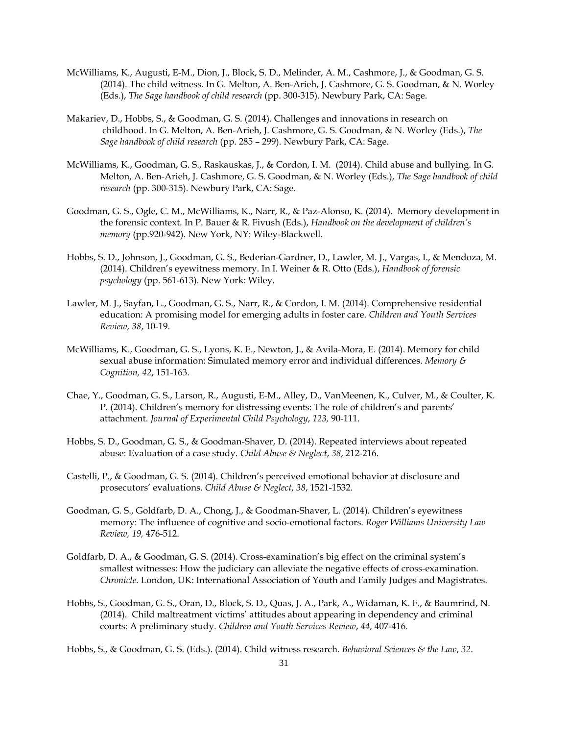- McWilliams, K., Augusti, E-M., Dion, J., Block, S. D., Melinder, A. M., Cashmore, J., & Goodman, G. S. (2014). The child witness. In G. Melton, A. Ben-Arieh, J. Cashmore, G. S. Goodman, & N. Worley (Eds.), *The Sage handbook of child research* (pp. 300-315). Newbury Park, CA: Sage.
- Makariev, D., Hobbs, S., & Goodman, G. S. (2014). Challenges and innovations in research on childhood. In G. Melton, A. Ben-Arieh, J. Cashmore, G. S. Goodman, & N. Worley (Eds.), *The Sage handbook of child research* (pp. 285 – 299). Newbury Park, CA: Sage.
- McWilliams, K., Goodman, G. S., Raskauskas, J., & Cordon, I. M. (2014). Child abuse and bullying. In G. Melton, A. Ben-Arieh, J. Cashmore, G. S. Goodman, & N. Worley (Eds.), *The Sage handbook of child research* (pp. 300-315). Newbury Park, CA: Sage.
- Goodman, G. S., Ogle, C. M., McWilliams, K., Narr, R., & Paz-Alonso, K. (2014). Memory development in the forensic context. In P. Bauer & R. Fivush (Eds.), *Handbook on the development of children's memory* (pp.920-942). New York, NY: Wiley-Blackwell.
- Hobbs, S. D., Johnson, J., Goodman, G. S., Bederian-Gardner, D., Lawler, M. J., Vargas, I., & Mendoza, M. (2014). Children's eyewitness memory. In I. Weiner & R. Otto (Eds.), *Handbook of forensic psychology* (pp. 561-613). New York: Wiley.
- Lawler, M. J., Sayfan, L., Goodman, G. S., Narr, R., & Cordon, I. M. (2014). Comprehensive residential education: A promising model for emerging adults in foster care. *Children and Youth Services Review, 38*, 10-19.
- McWilliams, K., Goodman, G. S., Lyons, K. E., Newton, J., & Avila-Mora, E. (2014). Memory for child sexual abuse information: Simulated memory error and individual differences. *Memory & Cognition, 42*, 151-163.
- Chae, Y., Goodman, G. S., Larson, R., Augusti, E-M., Alley, D., VanMeenen, K., Culver, M., & Coulter, K. P. (2014). Children's memory for distressing events: The role of children's and parents' attachment. *Journal of Experimental Child Psychology*, *123,* 90-111.
- Hobbs, S. D., Goodman, G. S., & Goodman-Shaver, D. (2014). Repeated interviews about repeated abuse: Evaluation of a case study. *Child Abuse & Neglect*, *38*, 212-216.
- Castelli, P., & Goodman, G. S. (2014). Children's perceived emotional behavior at disclosure and prosecutors' evaluations. *Child Abuse & Neglect*, *38*, 1521-1532.
- Goodman, G. S., Goldfarb, D. A., Chong, J., & Goodman-Shaver, L. (2014). Children's eyewitness memory: The influence of cognitive and socio-emotional factors. *Roger Williams University Law Review, 19,* 476-512.
- Goldfarb, D. A., & Goodman, G. S. (2014). Cross-examination's big effect on the criminal system's smallest witnesses: How the judiciary can alleviate the negative effects of cross-examination. *Chronicle*. London, UK: International Association of Youth and Family Judges and Magistrates.
- Hobbs, S., Goodman, G. S., Oran, D., Block, S. D., Quas, J. A., Park, A., Widaman, K. F., & Baumrind, N. (2014). Child maltreatment victims' attitudes about appearing in dependency and criminal courts: A preliminary study. *Children and Youth Services Review*, *44,* 407-416.

Hobbs, S., & Goodman, G. S. (Eds.). (2014). Child witness research. *Behavioral Sciences & the Law*, *32*.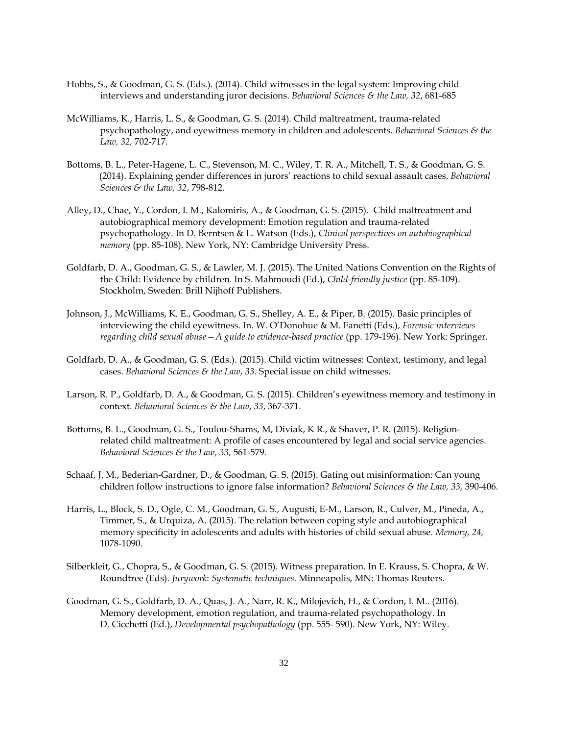- Hobbs, S., & Goodman, G. S. (Eds.). (2014). Child witnesses in the legal system: Improving child interviews and understanding juror decisions. *Behavioral Sciences & the Law, 32*, 681-685
- McWilliams, K., Harris, L. S., & Goodman, G. S. (2014). Child maltreatment, trauma-related psychopathology, and eyewitness memory in children and adolescents. *Behavioral Sciences & the Law, 32,* 702-717*.*
- Bottoms, B. L., Peter-Hagene, L. C., Stevenson, M. C., Wiley, T. R. A., Mitchell, T. S., & Goodman, G. S. (2014). Explaining gender differences in jurors' reactions to child sexual assault cases. *Behavioral Sciences & the Law, 32*, 798-812.
- Alley, D., Chae, Y., Cordon, I. M., Kalomiris, A., & Goodman, G. S. (2015). Child maltreatment and autobiographical memory development: Emotion regulation and trauma-related psychopathology. In D. Berntsen & L. Watson (Eds.), *Clinical perspectives on autobiographical memory* (pp. 85-108). New York, NY: Cambridge University Press.
- Goldfarb, D. A., Goodman, G. S., & Lawler, M. J. (2015). The United Nations Convention on the Rights of the Child: Evidence by children. In S. Mahmoudi (Ed.), *Child-friendly justice* (pp. 85-109). Stockholm, Sweden: Brill Nijhoff Publishers.
- Johnson, J., McWilliams, K. E., Goodman, G. S., Shelley, A. E., & Piper, B. (2015). Basic principles of interviewing the child eyewitness. In. W. O'Donohue & M. Fanetti (Eds.), *Forensic interviews regarding child sexual abuse—A guide to evidence-based practice* (pp. 179-196). New York: Springer.
- Goldfarb, D. A., & Goodman, G. S. (Eds.). (2015). Child victim witnesses: Context, testimony, and legal cases. *Behavioral Sciences & the Law*, *33.* Special issue on child witnesses.
- Larson, R. P., Goldfarb, D. A., & Goodman, G. S. (2015). Children's eyewitness memory and testimony in context. *Behavioral Sciences & the Law*, *33*, 367-371.
- Bottoms, B. L., Goodman, G. S., Toulou-Shams, M, Diviak, K R., & Shaver, P. R. (2015). Religionrelated child maltreatment: A profile of cases encountered by legal and social service agencies. *Behavioral Sciences & the Law, 33,* 561-579*.*
- Schaaf, J. M., Bederian-Gardner, D., & Goodman, G. S. (2015). Gating out misinformation: Can young children follow instructions to ignore false information? *Behavioral Sciences & the Law, 33,* 390-406.
- Harris, L., Block, S. D., Ogle, C. M., Goodman, G. S., Augusti, E-M., Larson, R., Culver, M., Pineda, A., Timmer, S., & Urquiza, A. (2015). The relation between coping style and autobiographical memory specificity in adolescents and adults with histories of child sexual abuse. *Memory, 24,*  1078-1090.
- Silberkleit, G., Chopra, S., & Goodman, G. S. (2015). Witness preparation. In E. Krauss, S. Chopra, & W. Roundtree (Eds). *Jurywork*: *Systematic techniques*. Minneapolis, MN: Thomas Reuters.
- Goodman, G. S., Goldfarb, D. A., Quas, J. A., Narr, R. K., Milojevich, H., & Cordon, I. M.. (2016). Memory development, emotion regulation, and trauma-related psychopathology. In D. Cicchetti (Ed.), *Developmental psychopathology* (pp. 555- 590). New York, NY: Wiley.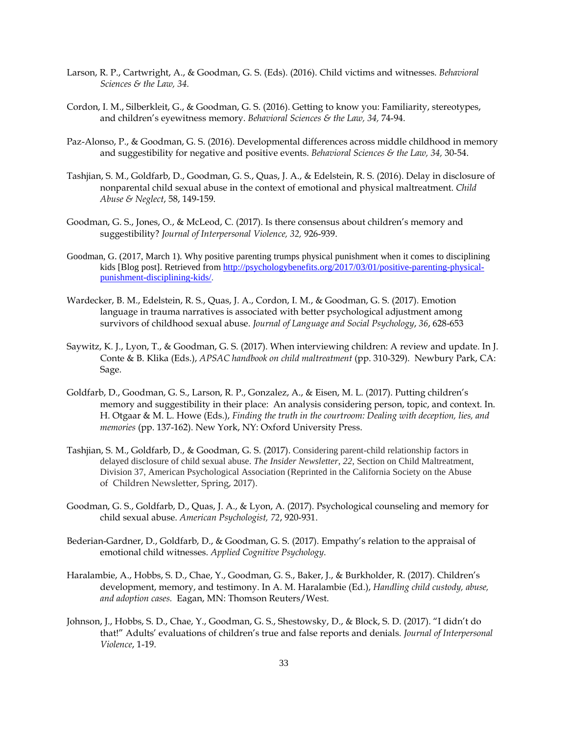- Larson, R. P., Cartwright, A., & Goodman, G. S. (Eds). (2016). Child victims and witnesses. *Behavioral Sciences & the Law, 34.*
- Cordon, I. M., Silberkleit, G., & Goodman, G. S. (2016). Getting to know you: Familiarity, stereotypes, and children's eyewitness memory. *Behavioral Sciences & the Law, 34,* 74-94.
- Paz-Alonso, P., & Goodman, G. S. (2016). Developmental differences across middle childhood in memory and suggestibility for negative and positive events. *Behavioral Sciences & the Law, 34,* 30-54.
- Tashjian, S. M., Goldfarb, D., Goodman, G. S., Quas, J. A., & Edelstein, R. S. (2016). Delay in disclosure of nonparental child sexual abuse in the context of emotional and physical maltreatment. *Child Abuse & Neglect*, 58, 149-159.
- Goodman, G. S., Jones, O., & McLeod, C. (2017). Is there consensus about children's memory and suggestibility? *Journal of Interpersonal Violence, 32,* 926-939.
- Goodman, G. (2017, March 1). Why positive parenting trumps physical punishment when it comes to disciplining kids [Blog post]. Retrieved from [http://psychologybenefits.org/2017/03/01/positive-parenting-physical](http://psychologybenefits.org/2017/03/01/positive-parenting-physical-punishment-disciplining-kids/)[punishment-disciplining-kids/.](http://psychologybenefits.org/2017/03/01/positive-parenting-physical-punishment-disciplining-kids/)
- Wardecker, B. M., Edelstein, R. S., Quas, J. A., Cordon, I. M., & Goodman, G. S. (2017). Emotion language in trauma narratives is associated with better psychological adjustment among survivors of childhood sexual abuse. *Journal of Language and Social Psychology*, *36*, 628-653
- Saywitz, K. J., Lyon, T., & Goodman, G. S. (2017). When interviewing children: A review and update. In J. Conte & B. Klika (Eds.), *APSAC handbook on child maltreatment* (pp. 310-329). Newbury Park, CA: Sage.
- Goldfarb, D., Goodman, G. S., Larson, R. P., Gonzalez, A., & Eisen, M. L. (2017). Putting children's memory and suggestibility in their place: An analysis considering person, topic, and context. In. H. Otgaar & M. L. Howe (Eds.), *Finding the truth in the courtroom: Dealing with deception, lies, and memories* (pp. 137-162). New York, NY: Oxford University Press.
- Tashjian, S. M., Goldfarb, D., & Goodman, G. S. (2017). Considering parent-child relationship factors in delayed disclosure of child sexual abuse. *The Insider Newsletter*, *22*, Section on Child Maltreatment, Division 37, American Psychological Association (Reprinted in the California Society on the Abuse of Children Newsletter, Spring, 2017).
- Goodman, G. S., Goldfarb, D., Quas, J. A., & Lyon, A. (2017). Psychological counseling and memory for child sexual abuse. *American Psychologist, 72*, 920-931.
- Bederian-Gardner, D., Goldfarb, D., & Goodman, G. S. (2017). Empathy's relation to the appraisal of emotional child witnesses. *Applied Cognitive Psychology*.
- Haralambie, A., Hobbs, S. D., Chae, Y., Goodman, G. S., Baker, J., & Burkholder, R. (2017). Children's development, memory, and testimony. In A. M. Haralambie (Ed.), *Handling child custody, abuse, and adoption cases.* Eagan, MN: Thomson Reuters/West.
- Johnson, J., Hobbs, S. D., Chae, Y., Goodman, G. S., Shestowsky, D., & Block, S. D. (2017). "I didn't do that!" Adults' evaluations of children's true and false reports and denials*. Journal of Interpersonal Violence*, 1-19.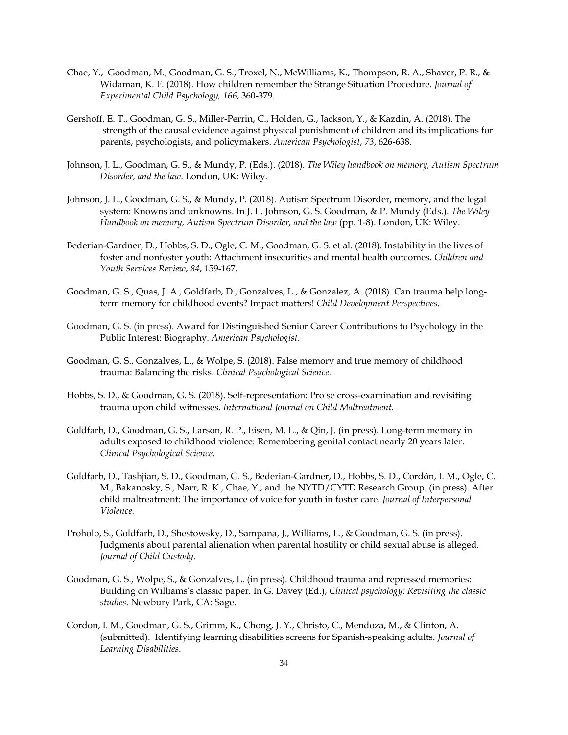- Chae, Y., Goodman, M., Goodman, G. S., Troxel, N., McWilliams, K., Thompson, R. A., Shaver, P. R., & Widaman, K. F. (2018). How children remember the Strange Situation Procedure. *Journal of Experimental Child Psychology, 166*, 360-379.
- Gershoff, E. T., Goodman, G. S., Miller-Perrin, C., Holden, G., Jackson, Y., & Kazdin, A. (2018). The strength of the causal evidence against physical punishment of children and its implications for parents, psychologists, and policymakers. *American Psychologist*, *73*, 626-638.
- Johnson, J. L., Goodman, G. S., & Mundy, P. (Eds.). (2018). *The Wiley handbook on memory, Autism Spectrum Disorder, and the law*. London, UK: Wiley.
- Johnson, J. L., Goodman, G. S., & Mundy, P. (2018). Autism Spectrum Disorder, memory, and the legal system: Knowns and unknowns. In J. L. Johnson, G. S. Goodman, & P. Mundy (Eds.). *The Wiley Handbook on memory, Autism Spectrum Disorder, and the law* (pp. 1-8). London, UK: Wiley.
- Bederian-Gardner, D., Hobbs, S. D., Ogle, C. M., Goodman, G. S. et al. (2018). Instability in the lives of foster and nonfoster youth: Attachment insecurities and mental health outcomes. *Children and Youth Services Review*, *84*, 159-167.
- Goodman, G. S., Quas, J. A., Goldfarb, D., Gonzalves, L., & Gonzalez, A. (2018). Can trauma help longterm memory for childhood events? Impact matters! *Child Development Perspectives*.
- Goodman, G. S. (in press). Award for Distinguished Senior Career Contributions to Psychology in the Public Interest: Biography. *American Psychologist*.
- Goodman, G. S., Gonzalves, L., & Wolpe, S. (2018). False memory and true memory of childhood trauma: Balancing the risks. *Clinical Psychological Science.*
- Hobbs, S. D., & Goodman, G. S. (2018). Self-representation: Pro se cross-examination and revisiting trauma upon child witnesses. *International Journal on Child Maltreatment.*
- Goldfarb, D., Goodman, G. S., Larson, R. P., Eisen, M. L., & Qin, J. (in press). Long-term memory in adults exposed to childhood violence: Remembering genital contact nearly 20 years later. *Clinical Psychological Science*.
- Goldfarb, D., Tashjian, S. D., Goodman, G. S., Bederian-Gardner, D., Hobbs, S. D., Cordón, I. M., Ogle, C. M., Bakanosky, S., Narr, R. K., Chae, Y., and the NYTD/CYTD Research Group. (in press). After child maltreatment: The importance of voice for youth in foster care*. Journal of Interpersonal Violence.*
- Proholo, S., Goldfarb, D., Shestowsky, D., Sampana, J., Williams, L., & Goodman, G. S. (in press). Judgments about parental alienation when parental hostility or child sexual abuse is alleged. *Journal of Child Custody*.
- Goodman, G. S., Wolpe, S., & Gonzalves, L. (in press). Childhood trauma and repressed memories: Building on Williams's classic paper. In G. Davey (Ed.), *Clinical psychology: Revisiting the classic studies*. Newbury Park, CA: Sage.
- Cordon, I. M., Goodman, G. S., Grimm, K., Chong, J. Y., Christo, C., Mendoza, M., & Clinton, A. (submitted). Identifying learning disabilities screens for Spanish-speaking adults. *Journal of Learning Disabilities*.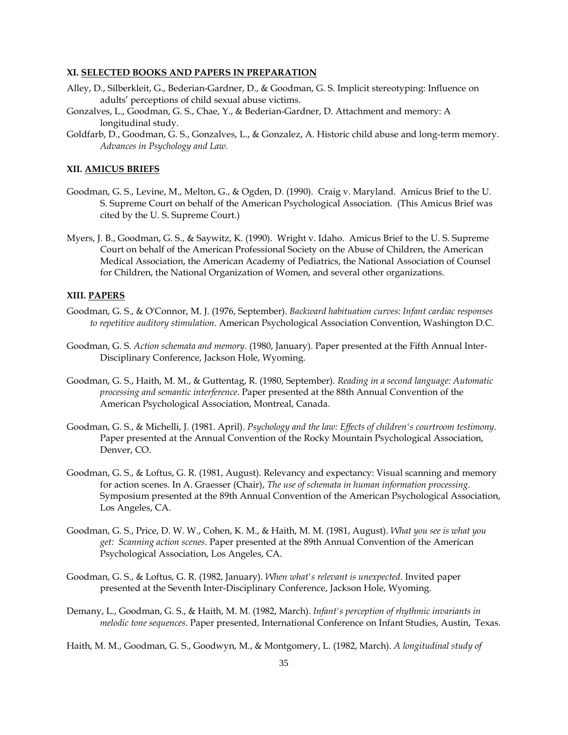## **XI. SELECTED BOOKS AND PAPERS IN PREPARATION**

- Alley, D., Silberkleit, G., Bederian-Gardner, D., & Goodman, G. S. Implicit stereotyping: Influence on adults' perceptions of child sexual abuse victims.
- Gonzalves, L., Goodman, G. S., Chae, Y., & Bederian-Gardner, D. Attachment and memory: A longitudinal study.
- Goldfarb, D., Goodman, G. S., Gonzalves, L., & Gonzalez, A. Historic child abuse and long-term memory. *Advances in Psychology and Law*.

## **XII. AMICUS BRIEFS**

- Goodman, G. S., Levine, M., Melton, G., & Ogden, D. (1990). Craig v. Maryland. Amicus Brief to the U. S. Supreme Court on behalf of the American Psychological Association. (This Amicus Brief was cited by the U. S. Supreme Court.)
- Myers, J. B., Goodman, G. S., & Saywitz, K. (1990). Wright v. Idaho. Amicus Brief to the U. S. Supreme Court on behalf of the American Professional Society on the Abuse of Children, the American Medical Association, the American Academy of Pediatrics, the National Association of Counsel for Children, the National Organization of Women, and several other organizations.

## **XIII. PAPERS**

- Goodman, G. S., & O'Connor, M. J. (1976, September). *Backward habituation curves: Infant cardiac responses to repetitive auditory stimulation*. American Psychological Association Convention, Washington D.C.
- Goodman, G. S. *Action schemata and memory*. (1980, January). Paper presented at the Fifth Annual Inter-Disciplinary Conference, Jackson Hole, Wyoming.
- Goodman, G. S., Haith, M. M., & Guttentag, R. (1980, September). *Reading in a second language: Automatic processing and semantic interference*. Paper presented at the 88th Annual Convention of the American Psychological Association, Montreal, Canada.
- Goodman, G. S., & Michelli, J. (1981. April). *Psychology and the law: Effects of children's courtroom testimony*. Paper presented at the Annual Convention of the Rocky Mountain Psychological Association, Denver, CO.
- Goodman, G. S., & Loftus, G. R. (1981, August). Relevancy and expectancy: Visual scanning and memory for action scenes. In A. Graesser (Chair), *The use of schemata in human information processing*. Symposium presented at the 89th Annual Convention of the American Psychological Association, Los Angeles, CA.
- Goodman, G. S., Price, D. W. W., Cohen, K. M., & Haith, M. M. (1981, August). *What you see is what you get: Scanning action scenes*. Paper presented at the 89th Annual Convention of the American Psychological Association, Los Angeles, CA.
- Goodman, G. S., & Loftus, G. R. (1982, January). *When what's relevant is unexpected*. Invited paper presented at the Seventh Inter-Disciplinary Conference, Jackson Hole, Wyoming.
- Demany, L., Goodman, G. S., & Haith, M. M. (1982, March). *Infant's perception of rhythmic invariants in melodic tone sequences*. Paper presented, International Conference on Infant Studies, Austin, Texas.

Haith, M. M., Goodman, G. S., Goodwyn, M., & Montgomery, L. (1982, March). *A longitudinal study of*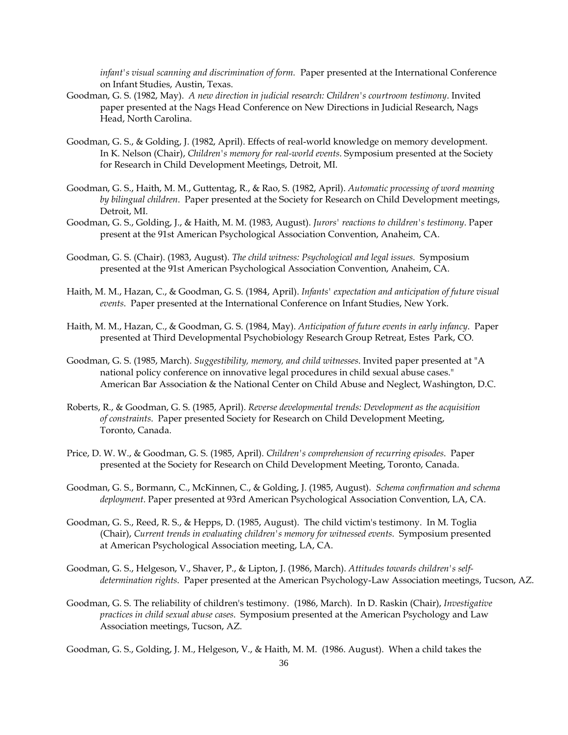*infant's visual scanning and discrimination of form.* Paper presented at the International Conference on Infant Studies, Austin, Texas.

- Goodman, G. S. (1982, May). *A new direction in judicial research: Children's courtroom testimony*. Invited paper presented at the Nags Head Conference on New Directions in Judicial Research, Nags Head, North Carolina.
- Goodman, G. S., & Golding, J. (1982, April). Effects of real-world knowledge on memory development. In K. Nelson (Chair), *Children's memory for real-world events*. Symposium presented at the Society for Research in Child Development Meetings, Detroit, MI.
- Goodman, G. S., Haith, M. M., Guttentag, R., & Rao, S. (1982, April). *Automatic processing of word meaning by bilingual children*. Paper presented at the Society for Research on Child Development meetings, Detroit, MI.
- Goodman, G. S., Golding, J., & Haith, M. M. (1983, August). *Jurors' reactions to children's testimony*. Paper present at the 91st American Psychological Association Convention, Anaheim, CA.
- Goodman, G. S. (Chair). (1983, August). *The child witness: Psychological and legal issues.* Symposium presented at the 91st American Psychological Association Convention, Anaheim, CA.
- Haith, M. M., Hazan, C., & Goodman, G. S. (1984, April). *Infants' expectation and anticipation of future visual events*. Paper presented at the International Conference on Infant Studies, New York.
- Haith, M. M., Hazan, C., & Goodman, G. S. (1984, May). *Anticipation of future events in early infancy*. Paper presented at Third Developmental Psychobiology Research Group Retreat, Estes Park, CO.
- Goodman, G. S. (1985, March). *Suggestibility, memory, and child witnesses*. Invited paper presented at "A national policy conference on innovative legal procedures in child sexual abuse cases." American Bar Association & the National Center on Child Abuse and Neglect, Washington, D.C.
- Roberts, R., & Goodman, G. S. (1985, April). *Reverse developmental trends: Development as the acquisition of constraints*. Paper presented Society for Research on Child Development Meeting, Toronto, Canada.
- Price, D. W. W., & Goodman, G. S. (1985, April). *Children's comprehension of recurring episodes*. Paper presented at the Society for Research on Child Development Meeting, Toronto, Canada.
- Goodman, G. S., Bormann, C., McKinnen, C., & Golding, J. (1985, August). *Schema confirmation and schema deployment*. Paper presented at 93rd American Psychological Association Convention, LA, CA.
- Goodman, G. S., Reed, R. S., & Hepps, D. (1985, August). The child victim's testimony. In M. Toglia (Chair), *Current trends in evaluating children's memory for witnessed events*. Symposium presented at American Psychological Association meeting, LA, CA.
- Goodman, G. S., Helgeson, V., Shaver, P., & Lipton, J. (1986, March). *Attitudes towards children's selfdetermination rights*. Paper presented at the American Psychology-Law Association meetings, Tucson, AZ.
- Goodman, G. S. The reliability of children's testimony. (1986, March). In D. Raskin (Chair), *Investigative practices in child sexual abuse cases*. Symposium presented at the American Psychology and Law Association meetings, Tucson, AZ.

Goodman, G. S., Golding, J. M., Helgeson, V., & Haith, M. M. (1986. August). When a child takes the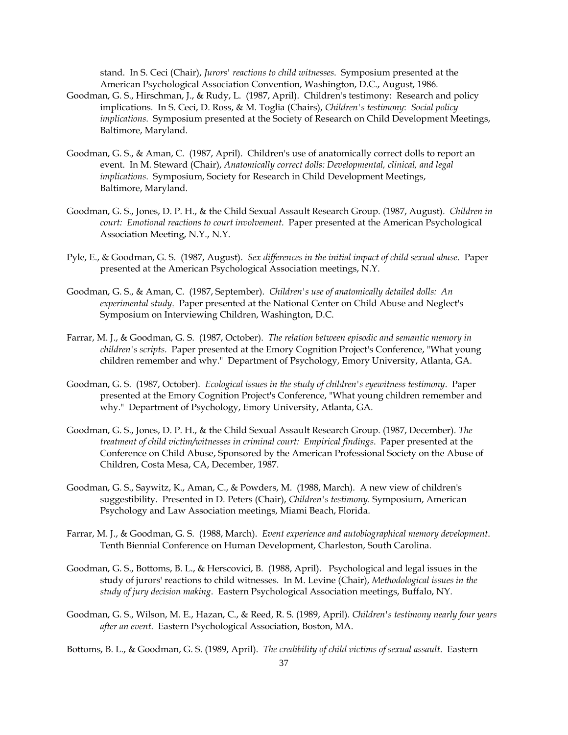stand. In S. Ceci (Chair), *Jurors' reactions to child witnesses*. Symposium presented at the American Psychological Association Convention, Washington, D.C., August, 1986.

- Goodman, G. S., Hirschman, J., & Rudy, L. (1987, April). Children's testimony: Research and policy implications. In S. Ceci, D. Ross, & M. Toglia (Chairs), *Children's testimony*: *Social policy implications*. Symposium presented at the Society of Research on Child Development Meetings, Baltimore, Maryland.
- Goodman, G. S., & Aman, C. (1987, April). Children's use of anatomically correct dolls to report an event. In M. Steward (Chair), *Anatomically correct dolls: Developmental, clinical, and legal implications*. Symposium, Society for Research in Child Development Meetings, Baltimore, Maryland.
- Goodman, G. S., Jones, D. P. H., & the Child Sexual Assault Research Group. (1987, August). *Children in court: Emotional reactions to court involvement*. Paper presented at the American Psychological Association Meeting, N.Y., N.Y.
- Pyle, E., & Goodman, G. S. (1987, August). *Sex differences in the initial impact of child sexual abuse*. Paper presented at the American Psychological Association meetings, N.Y.
- Goodman, G. S., & Aman, C. (1987, September). *Children's use of anatomically detailed dolls: An experimental study*. Paper presented at the National Center on Child Abuse and Neglect's Symposium on Interviewing Children, Washington, D.C.
- Farrar, M. J., & Goodman, G. S. (1987, October). *The relation between episodic and semantic memory in children's scripts*. Paper presented at the Emory Cognition Project's Conference, "What young children remember and why." Department of Psychology, Emory University, Atlanta, GA.
- Goodman, G. S. (1987, October). *Ecological issues in the study of children's eyewitness testimony*. Paper presented at the Emory Cognition Project's Conference, "What young children remember and why." Department of Psychology, Emory University, Atlanta, GA.
- Goodman, G. S., Jones, D. P. H., & the Child Sexual Assault Research Group. (1987, December). *The treatment of child victim/witnesses in criminal court: Empirical findings*. Paper presented at the Conference on Child Abuse, Sponsored by the American Professional Society on the Abuse of Children, Costa Mesa, CA, December, 1987.
- Goodman, G. S., Saywitz, K., Aman, C., & Powders, M. (1988, March). A new view of children's suggestibility. Presented in D. Peters (Chair), *Children's testimony.* Symposium, American Psychology and Law Association meetings, Miami Beach, Florida.
- Farrar, M. J., & Goodman, G. S. (1988, March). *Event experience and autobiographical memory development*. Tenth Biennial Conference on Human Development, Charleston, South Carolina.
- Goodman, G. S., Bottoms, B. L., & Herscovici, B. (1988, April). Psychological and legal issues in the study of jurors' reactions to child witnesses. In M. Levine (Chair), *Methodological issues in the study of jury decision making*. Eastern Psychological Association meetings, Buffalo, NY.
- Goodman, G. S., Wilson, M. E., Hazan, C., & Reed, R. S. (1989, April). *Children's testimony nearly four years after an event*. Eastern Psychological Association, Boston, MA.

Bottoms, B. L., & Goodman, G. S. (1989, April). *The credibility of child victims of sexual assault*. Eastern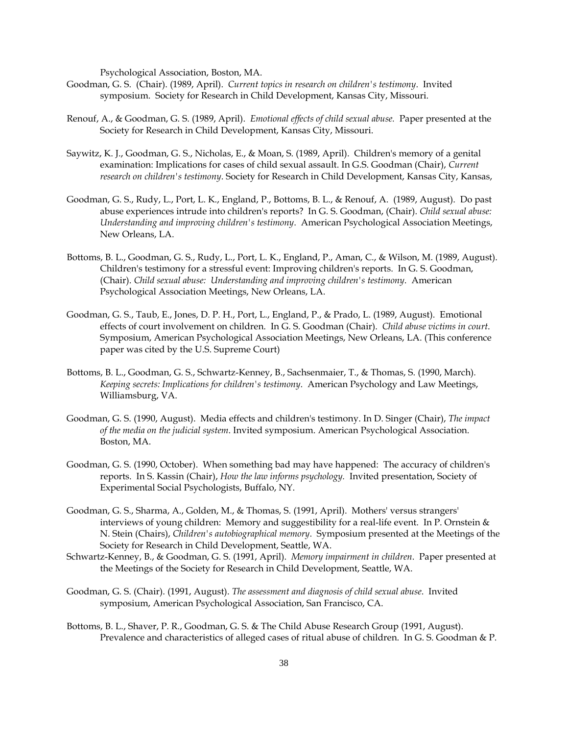Psychological Association, Boston, MA.

- Goodman, G. S. (Chair). (1989, April). *Current topics in research on children's testimony*. Invited symposium. Society for Research in Child Development, Kansas City, Missouri.
- Renouf, A., & Goodman, G. S. (1989, April). *Emotional effects of child sexual abuse.* Paper presented at the Society for Research in Child Development, Kansas City, Missouri.
- Saywitz, K. J., Goodman, G. S., Nicholas, E., & Moan, S. (1989, April). Children's memory of a genital examination: Implications for cases of child sexual assault. In G.S. Goodman (Chair), *Current research on children's testimony*. Society for Research in Child Development, Kansas City, Kansas,
- Goodman, G. S., Rudy, L., Port, L. K., England, P., Bottoms, B. L., & Renouf, A. (1989, August). Do past abuse experiences intrude into children's reports? In G. S. Goodman, (Chair). *Child sexual abuse: Understanding and improving children's testimony*. American Psychological Association Meetings, New Orleans, LA.
- Bottoms, B. L., Goodman, G. S., Rudy, L., Port, L. K., England, P., Aman, C., & Wilson, M. (1989, August). Children's testimony for a stressful event: Improving children's reports. In G. S. Goodman, (Chair). *Child sexual abuse: Understanding and improving children's testimony*. American Psychological Association Meetings, New Orleans, LA.
- Goodman, G. S., Taub, E., Jones, D. P. H., Port, L., England, P., & Prado, L. (1989, August). Emotional effects of court involvement on children. In G. S. Goodman (Chair). *Child abuse victims in court*. Symposium, American Psychological Association Meetings, New Orleans, LA. (This conference paper was cited by the U.S. Supreme Court)
- Bottoms, B. L., Goodman, G. S., Schwartz-Kenney, B., Sachsenmaier, T., & Thomas, S. (1990, March)*. Keeping secrets: Implications for children's testimony*. American Psychology and Law Meetings, Williamsburg, VA.
- Goodman, G. S. (1990, August). Media effects and children's testimony. In D. Singer (Chair), *The impact of the media on the judicial system*. Invited symposium. American Psychological Association. Boston, MA.
- Goodman, G. S. (1990, October). When something bad may have happened: The accuracy of children's reports. In S. Kassin (Chair), *How the law informs psychology.* Invited presentation, Society of Experimental Social Psychologists, Buffalo, NY.
- Goodman, G. S., Sharma, A., Golden, M., & Thomas, S. (1991, April). Mothers' versus strangers' interviews of young children: Memory and suggestibility for a real-life event. In P. Ornstein & N. Stein (Chairs), *Children's autobiographical memory*. Symposium presented at the Meetings of the Society for Research in Child Development, Seattle, WA.
- Schwartz-Kenney, B., & Goodman, G. S. (1991, April). *Memory impairment in children*. Paper presented at the Meetings of the Society for Research in Child Development, Seattle, WA.
- Goodman, G. S. (Chair). (1991, August). *The assessment and diagnosis of child sexual abuse*. Invited symposium, American Psychological Association, San Francisco, CA.
- Bottoms, B. L., Shaver, P. R., Goodman, G. S. & The Child Abuse Research Group (1991, August). Prevalence and characteristics of alleged cases of ritual abuse of children. In G. S. Goodman & P.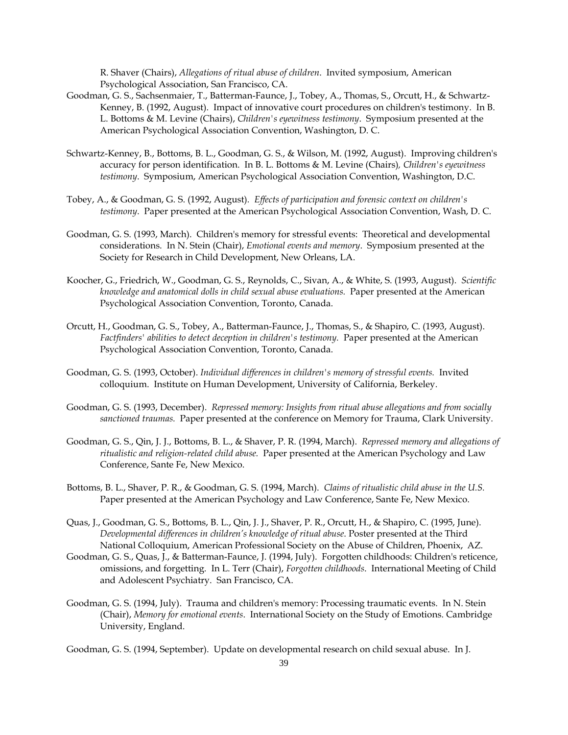R. Shaver (Chairs), *Allegations of ritual abuse of children*. Invited symposium, American Psychological Association, San Francisco, CA.

- Goodman, G. S., Sachsenmaier, T., Batterman-Faunce, J., Tobey, A., Thomas, S., Orcutt, H., & Schwartz-Kenney, B. (1992, August). Impact of innovative court procedures on children's testimony. In B. L. Bottoms & M. Levine (Chairs), *Children's eyewitness testimony*. Symposium presented at the American Psychological Association Convention, Washington, D. C.
- Schwartz-Kenney, B., Bottoms, B. L., Goodman, G. S., & Wilson, M. (1992, August). Improving children's accuracy for person identification. In B. L. Bottoms & M. Levine (Chairs)*, Children's eyewitness testimony*. Symposium, American Psychological Association Convention, Washington, D.C.
- Tobey, A., & Goodman, G. S. (1992, August)*. Effects of participation and forensic context on children's testimony*. Paper presented at the American Psychological Association Convention, Wash, D. C.
- Goodman, G. S. (1993, March). Children's memory for stressful events: Theoretical and developmental considerations. In N. Stein (Chair), *Emotional events and memory*. Symposium presented at the Society for Research in Child Development, New Orleans, LA.
- Koocher, G., Friedrich, W., Goodman, G. S., Reynolds, C., Sivan, A., & White, S. (1993, August). *Scientific knowledge and anatomical dolls in child sexual abuse evaluations.* Paper presented at the American Psychological Association Convention, Toronto, Canada.
- Orcutt, H., Goodman, G. S., Tobey, A., Batterman-Faunce, J., Thomas, S., & Shapiro, C. (1993, August). *Factfinders' abilities to detect deception in children's testimony.* Paper presented at the American Psychological Association Convention, Toronto, Canada.
- Goodman, G. S. (1993, October). *Individual differences in children's memory of stressful events.* Invited colloquium. Institute on Human Development, University of California, Berkeley.
- Goodman, G. S. (1993, December). *Repressed memory: Insights from ritual abuse allegations and from socially sanctioned traumas.* Paper presented at the conference on Memory for Trauma, Clark University.
- Goodman, G. S., Qin, J. J., Bottoms, B. L., & Shaver, P. R. (1994, March). *Repressed memory and allegations of ritualistic and religion-related child abuse.* Paper presented at the American Psychology and Law Conference, Sante Fe, New Mexico.
- Bottoms, B. L., Shaver, P. R., & Goodman, G. S. (1994, March). *Claims of ritualistic child abuse in the U.S.* Paper presented at the American Psychology and Law Conference, Sante Fe, New Mexico.
- Quas, J., Goodman, G. S., Bottoms, B. L., Qin, J. J., Shaver, P. R., Orcutt, H., & Shapiro, C. (1995, June). *Developmental differences in children's knowledge of ritual abuse*. Poster presented at the Third National Colloquium, American Professional Society on the Abuse of Children, Phoenix, AZ.
- Goodman, G. S., Quas, J., & Batterman-Faunce, J. (1994, July). Forgotten childhoods: Children's reticence, omissions, and forgetting. In L. Terr (Chair), *Forgotten childhoods*. International Meeting of Child and Adolescent Psychiatry. San Francisco, CA.
- Goodman, G. S. (1994, July). Trauma and children's memory: Processing traumatic events. In N. Stein (Chair), *Memory for emotional events*. International Society on the Study of Emotions. Cambridge University, England.

Goodman, G. S. (1994, September). Update on developmental research on child sexual abuse. In J.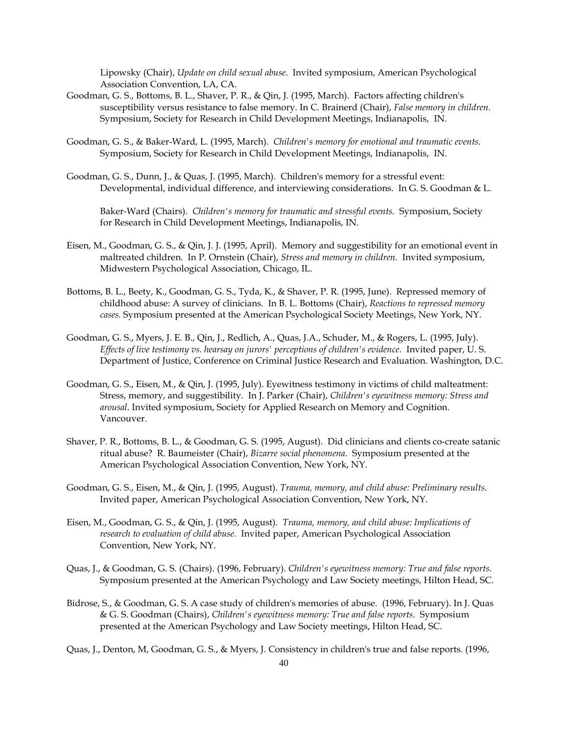Lipowsky (Chair), *Update on child sexual abuse*. Invited symposium, American Psychological Association Convention, LA, CA.

- Goodman, G. S., Bottoms, B. L., Shaver, P. R., & Qin, J. (1995, March). Factors affecting children's susceptibility versus resistance to false memory. In C. Brainerd (Chair), *False memory in children*. Symposium, Society for Research in Child Development Meetings, Indianapolis, IN.
- Goodman, G. S., & Baker-Ward, L. (1995, March). *Children's memory for emotional and traumatic events.* Symposium, Society for Research in Child Development Meetings, Indianapolis, IN.
- Goodman, G. S., Dunn, J., & Quas, J. (1995, March). Children's memory for a stressful event: Developmental, individual difference, and interviewing considerations. In G. S. Goodman & L.

Baker-Ward (Chairs). *Children's memory for traumatic and stressful events.* Symposium, Society for Research in Child Development Meetings, Indianapolis, IN.

- Eisen, M., Goodman, G. S., & Qin, J. J. (1995, April). Memory and suggestibility for an emotional event in maltreated children. In P. Ornstein (Chair), *Stress and memory in children.* Invited symposium, Midwestern Psychological Association, Chicago, IL.
- Bottoms, B. L., Beety, K., Goodman, G. S., Tyda, K., & Shaver, P. R. (1995, June). Repressed memory of childhood abuse: A survey of clinicians. In B. L. Bottoms (Chair), *Reactions to repressed memory cases.* Symposium presented at the American Psychological Society Meetings, New York, NY.
- Goodman, G. S., Myers, J. E. B., Qin, J., Redlich, A., Quas, J.A., Schuder, M., & Rogers, L. (1995, July). *Effects of live testimony vs. hearsay on jurors' perceptions of children's evidence.* Invited paper, U. S. Department of Justice, Conference on Criminal Justice Research and Evaluation. Washington, D.C.
- Goodman, G. S., Eisen, M., & Qin, J. (1995, July). Eyewitness testimony in victims of child malteatment: Stress, memory, and suggestibility. In J. Parker (Chair), *Children's eyewitness memory: Stress and arousal*. Invited symposium, Society for Applied Research on Memory and Cognition. Vancouver.
- Shaver, P. R., Bottoms, B. L., & Goodman, G. S. (1995, August). Did clinicians and clients co-create satanic ritual abuse? R. Baumeister (Chair), *Bizarre social phenomena*. Symposium presented at the American Psychological Association Convention, New York, NY.
- Goodman, G. S., Eisen, M., & Qin, J. (1995, August). *Trauma, memory, and child abuse: Preliminary results*. Invited paper, American Psychological Association Convention, New York, NY.
- Eisen, M., Goodman, G. S., & Qin, J. (1995, August). *Trauma, memory, and child abuse: Implications of research to evaluation of child abuse*. Invited paper, American Psychological Association Convention, New York, NY.
- Quas, J., & Goodman, G. S. (Chairs). (1996, February). *Children's eyewitness memory: True and false reports*. Symposium presented at the American Psychology and Law Society meetings, Hilton Head, SC.
- Bidrose, S., & Goodman, G. S. A case study of children's memories of abuse. (1996, February). In J. Quas & G. S. Goodman (Chairs), *Children's eyewitness memory: True and false reports*. Symposium presented at the American Psychology and Law Society meetings, Hilton Head, SC.

Quas, J., Denton, M, Goodman, G. S., & Myers, J. Consistency in children's true and false reports. (1996,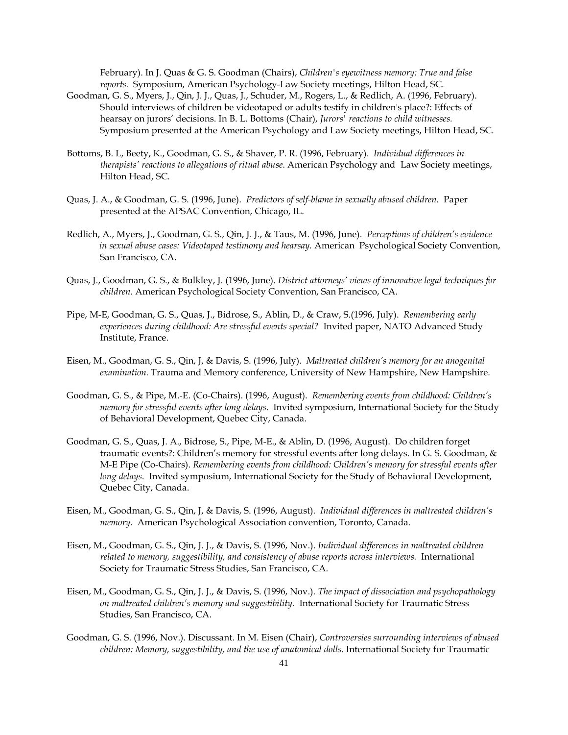February). In J. Quas & G. S. Goodman (Chairs), *Children's eyewitness memory: True and false reports.* Symposium, American Psychology-Law Society meetings, Hilton Head, SC.

- Goodman, G. S., Myers, J., Qin, J. J., Quas, J., Schuder, M., Rogers, L., & Redlich, A. (1996, February). Should interviews of children be videotaped or adults testify in children's place?: Effects of hearsay on jurors' decisions. In B. L. Bottoms (Chair), *Jurors' reactions to child witnesses.*  Symposium presented at the American Psychology and Law Society meetings, Hilton Head, SC.
- Bottoms, B. L, Beety, K., Goodman, G. S., & Shaver, P. R. (1996, February). *Individual differences in therapists' reactions to allegations of ritual abuse*. American Psychology and Law Society meetings, Hilton Head, SC.
- Quas, J. A., & Goodman, G. S. (1996, June). *Predictors of self-blame in sexually abused children.* Paper presented at the APSAC Convention, Chicago, IL.
- Redlich, A., Myers, J., Goodman, G. S., Qin, J. J., & Taus, M. (1996, June). *Perceptions of children's evidence in sexual abuse cases: Videotaped testimony and hearsay.* American Psychological Society Convention, San Francisco, CA.
- Quas, J., Goodman, G. S., & Bulkley, J. (1996, June). *District attorneys' views of innovative legal techniques for children*. American Psychological Society Convention, San Francisco, CA.
- Pipe, M-E, Goodman, G. S., Quas, J., Bidrose, S., Ablin, D., & Craw, S.(1996, July). *Remembering early experiences during childhood: Are stressful events special?* Invited paper, NATO Advanced Study Institute, France.
- Eisen, M., Goodman, G. S., Qin, J, & Davis, S. (1996, July). *Maltreated children's memory for an anogenital examination.* Trauma and Memory conference, University of New Hampshire, New Hampshire.
- Goodman, G. S., & Pipe, M.-E. (Co-Chairs). (1996, August). *Remembering events from childhood: Children's memory for stressful events after long delays*. Invited symposium, International Society for the Study of Behavioral Development, Quebec City, Canada.
- Goodman, G. S., Quas, J. A., Bidrose, S., Pipe, M-E., & Ablin, D. (1996, August). Do children forget traumatic events?: Children's memory for stressful events after long delays. In G. S. Goodman, & M-E Pipe (Co-Chairs). *Remembering events from childhood: Children's memory for stressful events after long delays*. Invited symposium, International Society for the Study of Behavioral Development, Quebec City, Canada.
- Eisen, M., Goodman, G. S., Qin, J, & Davis, S. (1996, August). *Individual differences in maltreated children's memory.* American Psychological Association convention, Toronto, Canada.
- Eisen, M., Goodman, G. S., Qin, J. J., & Davis, S. (1996, Nov.). *Individual differences in maltreated children related to memory, suggestibility, and consistency of abuse reports across interviews.* International Society for Traumatic Stress Studies, San Francisco, CA.
- Eisen, M., Goodman, G. S., Qin, J. J., & Davis, S. (1996, Nov.). *The impact of dissociation and psychopathology on maltreated children's memory and suggestibility.* International Society for Traumatic Stress Studies, San Francisco, CA.
- Goodman, G. S. (1996, Nov.). Discussant. In M. Eisen (Chair), *Controversies surrounding interviews of abused children: Memory, suggestibility, and the use of anatomical dolls*. International Society for Traumatic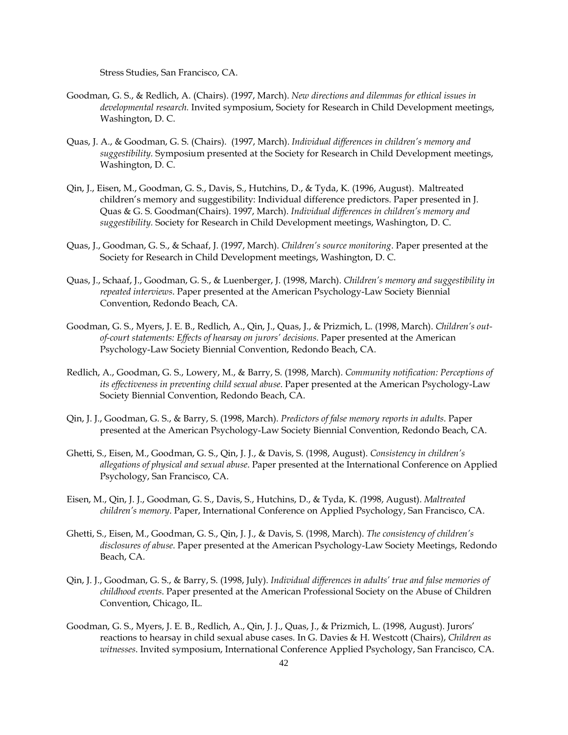Stress Studies, San Francisco, CA.

- Goodman, G. S., & Redlich, A. (Chairs). (1997, March). *New directions and dilemmas for ethical issues in developmental research.* Invited symposium, Society for Research in Child Development meetings, Washington, D. C.
- Quas, J. A., & Goodman, G. S. (Chairs). (1997, March). *Individual differences in children's memory and suggestibility.* Symposium presented at the Society for Research in Child Development meetings, Washington, D. C.
- Qin, J., Eisen, M., Goodman, G. S., Davis, S., Hutchins, D., & Tyda, K. (1996, August). Maltreated children's memory and suggestibility: Individual difference predictors. Paper presented in J. Quas & G. S. Goodman(Chairs). 1997, March). *Individual differences in children's memory and suggestibility.* Society for Research in Child Development meetings, Washington, D. C.
- Quas, J., Goodman, G. S., & Schaaf, J. (1997, March). *Children's source monitoring*. Paper presented at the Society for Research in Child Development meetings, Washington, D. C.
- Quas, J., Schaaf, J., Goodman, G. S., & Luenberger, J. (1998, March). *Children's memory and suggestibility in repeated interviews*. Paper presented at the American Psychology-Law Society Biennial Convention, Redondo Beach, CA.
- Goodman, G. S., Myers, J. E. B., Redlich, A., Qin, J., Quas, J., & Prizmich, L. (1998, March). *Children's outof-court statements: Effects of hearsay on jurors' decisions*. Paper presented at the American Psychology-Law Society Biennial Convention, Redondo Beach, CA.
- Redlich, A., Goodman, G. S., Lowery, M., & Barry, S. (1998, March). *Community notification: Perceptions of its effectiveness in preventing child sexual abuse*. Paper presented at the American Psychology-Law Society Biennial Convention, Redondo Beach, CA.
- Qin, J. J., Goodman, G. S., & Barry, S. (1998, March). *Predictors of false memory reports in adults*. Paper presented at the American Psychology-Law Society Biennial Convention, Redondo Beach, CA.
- Ghetti, S., Eisen, M., Goodman, G. S., Qin, J. J., & Davis, S. (1998, August). *Consistency in children's allegations of physical and sexual abuse*. Paper presented at the International Conference on Applied Psychology, San Francisco, CA.
- Eisen, M., Qin, J. J., Goodman, G. S., Davis, S., Hutchins, D., & Tyda, K. *(*1998, August). *Maltreated children's memory*. Paper, International Conference on Applied Psychology, San Francisco, CA.
- Ghetti, S., Eisen, M., Goodman, G. S., Qin, J. J., & Davis, S. (1998, March). *The consistency of children's disclosures of abuse*. Paper presented at the American Psychology-Law Society Meetings, Redondo Beach, CA.
- Qin, J. J., Goodman, G. S., & Barry, S. (1998, July). *Individual differences in adults' true and false memories of childhood events*. Paper presented at the American Professional Society on the Abuse of Children Convention, Chicago, IL.
- Goodman, G. S., Myers, J. E. B., Redlich, A., Qin, J. J., Quas, J., & Prizmich, L. (1998, August). Jurors' reactions to hearsay in child sexual abuse cases. In G. Davies & H. Westcott (Chairs), *Children as witnesses*. Invited symposium, International Conference Applied Psychology, San Francisco, CA.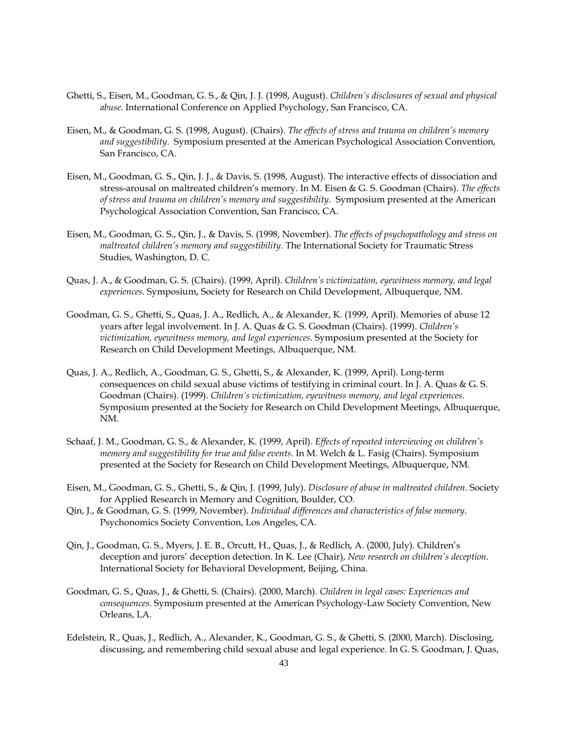- Ghetti, S., Eisen, M., Goodman, G. S., & Qin, J. J. (1998, August). *Children's disclosures of sexual and physical abuse*. International Conference on Applied Psychology, San Francisco, CA.
- Eisen, M., & Goodman, G. S. (1998, August). (Chairs). *The effects of stress and trauma on children's memory and suggestibility*. Symposium presented at the American Psychological Association Convention, San Francisco, CA.
- Eisen, M., Goodman, G. S., Qin, J. J., & Davis, S. (1998, August). The interactive effects of dissociation and stress-arousal on maltreated children's memory. In M. Eisen & G. S. Goodman (Chairs). *The effects of stress and trauma on children's memory and suggestibility*. Symposium presented at the American Psychological Association Convention, San Francisco, CA.
- Eisen, M., Goodman, G. S., Qin, J., & Davis, S. (1998, November). *The effects of psychopathology and stress on maltreated children's memory and suggestibility*. The International Society for Traumatic Stress Studies, Washington, D. C.
- Quas, J. A., & Goodman, G. S. (Chairs). (1999, April). *Children's victimization, eyewitness memory, and legal experiences*. Symposium, Society for Research on Child Development, Albuquerque, NM.
- Goodman, G. S., Ghetti, S., Quas, J. A., Redlich, A., & Alexander, K. (1999, April). Memories of abuse 12 years after legal involvement. In J. A. Quas & G. S. Goodman (Chairs). (1999). *Children's victimization, eyewitness memory, and legal experiences*. Symposium presented at the Society for Research on Child Development Meetings, Albuquerque, NM.
- Quas, J. A., Redlich, A., Goodman, G. S., Ghetti, S., & Alexander, K. (1999, April). Long-term consequences on child sexual abuse victims of testifying in criminal court. In J. A. Quas & G. S. Goodman (Chairs). (1999). *Children's victimization, eyewitness memory, and legal experiences*. Symposium presented at the Society for Research on Child Development Meetings, Albuquerque, NM.
- Schaaf, J. M., Goodman, G. S., & Alexander, K. (1999, April). *Effects of repeated interviewing on children's memory and suggestibility for true and false events*. In M. Welch & L. Fasig (Chairs). Symposium presented at the Society for Research on Child Development Meetings, Albuquerque, NM.
- Eisen, M., Goodman, G. S., Ghetti, S., & Qin, J. (1999, July). *Disclosure of abuse in maltreated children*. Society for Applied Research in Memory and Cognition, Boulder, CO.
- Qin, J., & Goodman, G. S. (1999, November). *Individual differences and characteristics of false memory*. Psychonomics Society Convention, Los Angeles, CA.
- Qin, J., Goodman, G. S., Myers, J. E. B., Orcutt, H., Quas, J., & Redlich, A. (2000, July). Children's deception and jurors' deception detection. In K. Lee (Chair), *New research on children's deception*. International Society for Behavioral Development, Beijing, China.
- Goodman, G. S., Quas, J., & Ghetti, S. (Chairs). (2000, March)*. Children in legal cases: Experiences and consequences*. Symposium presented at the American Psychology-Law Society Convention, New Orleans, LA.
- Edelstein, R., Quas, J., Redlich, A., Alexander, K., Goodman, G. S., & Ghetti, S. (2000, March). Disclosing, discussing, and remembering child sexual abuse and legal experience. In G. S. Goodman, J. Quas,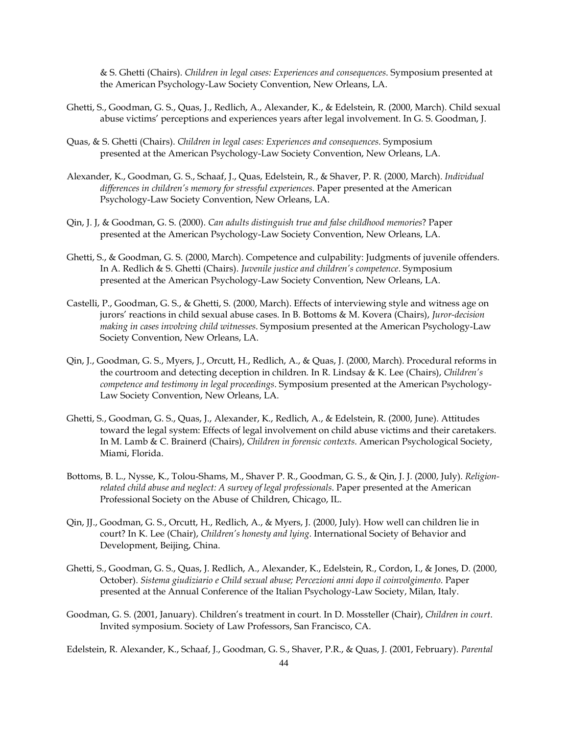& S. Ghetti (Chairs). *Children in legal cases: Experiences and consequences*. Symposium presented at the American Psychology-Law Society Convention, New Orleans, LA.

- Ghetti, S., Goodman, G. S., Quas, J., Redlich, A., Alexander, K., & Edelstein, R. (2000, March). Child sexual abuse victims' perceptions and experiences years after legal involvement. In G. S. Goodman, J.
- Quas, & S. Ghetti (Chairs). *Children in legal cases: Experiences and consequences*. Symposium presented at the American Psychology-Law Society Convention, New Orleans, LA.
- Alexander, K., Goodman, G. S., Schaaf, J., Quas, Edelstein, R., & Shaver, P. R. (2000, March). *Individual differences in children's memory for stressful experiences*. Paper presented at the American Psychology-Law Society Convention, New Orleans, LA.
- Qin, J. J, & Goodman, G. S. (2000). *Can adults distinguish true and false childhood memories*? Paper presented at the American Psychology-Law Society Convention, New Orleans, LA.
- Ghetti, S., & Goodman, G. S. (2000, March). Competence and culpability: Judgments of juvenile offenders. In A. Redlich & S. Ghetti (Chairs). *Juvenile justice and children's competence*. Symposium presented at the American Psychology-Law Society Convention, New Orleans, LA.
- Castelli, P., Goodman, G. S., & Ghetti, S. (2000, March). Effects of interviewing style and witness age on jurors' reactions in child sexual abuse cases. In B. Bottoms & M. Kovera (Chairs), *Juror-decision making in cases involving child witnesses*. Symposium presented at the American Psychology-Law Society Convention, New Orleans, LA.
- Qin, J., Goodman, G. S., Myers, J., Orcutt, H., Redlich, A., & Quas, J. (2000, March). Procedural reforms in the courtroom and detecting deception in children. In R. Lindsay & K. Lee (Chairs), *Children's competence and testimony in legal proceedings*. Symposium presented at the American Psychology-Law Society Convention, New Orleans, LA.
- Ghetti, S., Goodman, G. S., Quas, J., Alexander, K., Redlich, A., & Edelstein, R. (2000, June). Attitudes toward the legal system: Effects of legal involvement on child abuse victims and their caretakers. In M. Lamb & C. Brainerd (Chairs), *Children in forensic contexts*. American Psychological Society, Miami, Florida.
- Bottoms, B. L., Nysse, K., Tolou-Shams, M., Shaver P. R., Goodman, G. S., & Qin, J. J. (2000, July). *Religionrelated child abuse and neglect: A survey of legal professionals*. Paper presented at the American Professional Society on the Abuse of Children, Chicago, IL.
- Qin, JJ., Goodman, G. S., Orcutt, H., Redlich, A., & Myers, J. (2000, July). How well can children lie in court? In K. Lee (Chair), *Children's honesty and lying*. International Society of Behavior and Development, Beijing, China.
- Ghetti, S., Goodman, G. S., Quas, J. Redlich, A., Alexander, K., Edelstein, R., Cordon, I., & Jones, D. (2000, October). *Sistema giudiziario e Child sexual abuse; Percezioni anni dopo il coinvolgimento*. Paper presented at the Annual Conference of the Italian Psychology-Law Society, Milan, Italy.
- Goodman, G. S. (2001, January). Children's treatment in court. In D. Mossteller (Chair), *Children in court*. Invited symposium. Society of Law Professors, San Francisco, CA.

Edelstein, R. Alexander, K., Schaaf, J., Goodman, G. S., Shaver, P.R., & Quas, J. (2001, February). *Parental*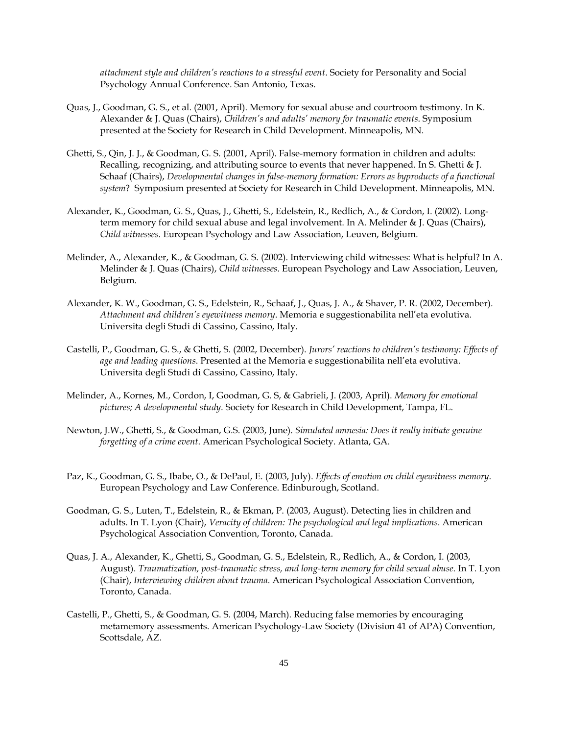*attachment style and children's reactions to a stressful event*. Society for Personality and Social Psychology Annual Conference. San Antonio, Texas.

- Quas, J., Goodman, G. S., et al. (2001, April). Memory for sexual abuse and courtroom testimony. In K. Alexander & J. Quas (Chairs), *Children's and adults' memory for traumatic events*. Symposium presented at the Society for Research in Child Development. Minneapolis, MN.
- Ghetti, S., Qin, J. J., & Goodman, G. S. (2001, April). False-memory formation in children and adults: Recalling, recognizing, and attributing source to events that never happened. In S. Ghetti & J. Schaaf (Chairs), *Developmental changes in false-memory formation: Errors as byproducts of a functional system*? Symposium presented at Society for Research in Child Development. Minneapolis, MN.
- Alexander, K., Goodman, G. S., Quas, J., Ghetti, S., Edelstein, R., Redlich, A., & Cordon, I. (2002). Longterm memory for child sexual abuse and legal involvement. In A. Melinder & J. Quas (Chairs), *Child witnesses*. European Psychology and Law Association, Leuven, Belgium.
- Melinder, A., Alexander, K., & Goodman, G. S. (2002). Interviewing child witnesses: What is helpful? In A. Melinder & J. Quas (Chairs), *Child witnesses*. European Psychology and Law Association, Leuven, Belgium.
- Alexander, K. W., Goodman, G. S., Edelstein, R., Schaaf, J., Quas, J. A., & Shaver, P. R. (2002, December). *Attachment and children's eyewitness memory*. Memoria e suggestionabilita nell'eta evolutiva. Universita degli Studi di Cassino, Cassino, Italy.
- Castelli, P., Goodman, G. S., & Ghetti, S. (2002, December). *Jurors' reactions to children's testimony: Effects of age and leading questions*. Presented at the Memoria e suggestionabilita nell'eta evolutiva. Universita degli Studi di Cassino, Cassino, Italy.
- Melinder, A., Kornes, M., Cordon, I, Goodman, G. S, & Gabrieli, J. (2003, April). *Memory for emotional pictures; A developmental study*. Society for Research in Child Development, Tampa, FL.
- Newton, J.W., Ghetti, S., & Goodman, G.S. (2003, June). *Simulated amnesia: Does it really initiate genuine forgetting of a crime event*. American Psychological Society. Atlanta, GA.
- Paz, K., Goodman, G. S., Ibabe, O., & DePaul, E. (2003, July). *Effects of emotion on child eyewitness memory*. European Psychology and Law Conference. Edinburough, Scotland.
- Goodman, G. S., Luten, T., Edelstein, R., & Ekman, P. (2003, August). Detecting lies in children and adults. In T. Lyon (Chair), *Veracity of children: The psychological and legal implications*. American Psychological Association Convention, Toronto, Canada.
- Quas, J. A., Alexander, K., Ghetti, S., Goodman, G. S., Edelstein, R., Redlich, A., & Cordon, I. (2003, August). *Traumatization, post-traumatic stress, and long-term memory for child sexual abuse*. In T. Lyon (Chair), *Interviewing children about trauma*. American Psychological Association Convention, Toronto, Canada.
- Castelli, P., Ghetti, S., & Goodman, G. S. (2004, March). Reducing false memories by encouraging metamemory assessments. American Psychology-Law Society (Division 41 of APA) Convention, Scottsdale, AZ.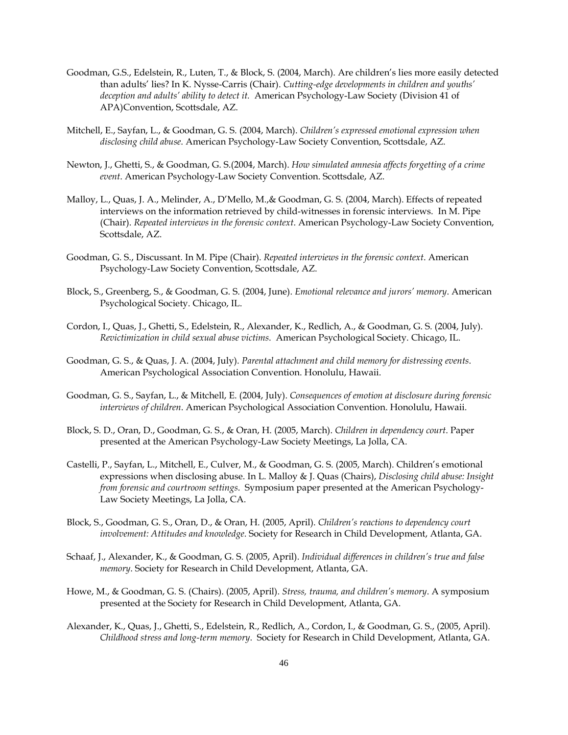- Goodman, G.S., Edelstein, R., Luten, T., & Block, S. (2004, March). Are children's lies more easily detected than adults' lies? In K. Nysse-Carris (Chair). *Cutting-edge developments in children and youths' deception and adults' ability to detect it.* American Psychology-Law Society (Division 41 of APA)Convention, Scottsdale, AZ.
- Mitchell, E., Sayfan, L., & Goodman, G. S. (2004, March). *Children's expressed emotional expression when disclosing child abuse*. American Psychology-Law Society Convention, Scottsdale, AZ.
- Newton, J., Ghetti, S., & Goodman, G. S.(2004, March). *How simulated amnesia affects forgetting of a crime event*. American Psychology-Law Society Convention. Scottsdale, AZ.
- Malloy, L., Quas, J. A., Melinder, A., D'Mello, M.,& Goodman, G. S. (2004, March). Effects of repeated interviews on the information retrieved by child-witnesses in forensic interviews. In M. Pipe (Chair). *Repeated interviews in the forensic context*. American Psychology-Law Society Convention, Scottsdale, AZ.
- Goodman, G. S., Discussant. In M. Pipe (Chair). *Repeated interviews in the forensic context*. American Psychology-Law Society Convention, Scottsdale, AZ.
- Block, S., Greenberg, S., & Goodman, G. S. (2004, June). *Emotional relevance and jurors' memory*. American Psychological Society. Chicago, IL.
- Cordon, I., Quas, J., Ghetti, S., Edelstein, R., Alexander, K., Redlich, A., & Goodman, G. S. (2004, July). *Revictimization in child sexual abuse victims*. American Psychological Society. Chicago, IL.
- Goodman, G. S., & Quas, J. A. (2004, July). *Parental attachment and child memory for distressing events*. American Psychological Association Convention. Honolulu, Hawaii.
- Goodman, G. S., Sayfan, L., & Mitchell, E. (2004, July). *Consequences of emotion at disclosure during forensic interviews of children*. American Psychological Association Convention. Honolulu, Hawaii.
- Block, S. D., Oran, D., Goodman, G. S., & Oran, H. (2005, March). *Children in dependency court*. Paper presented at the American Psychology-Law Society Meetings, La Jolla, CA.
- Castelli, P., Sayfan, L., Mitchell, E., Culver, M., & Goodman, G. S. (2005, March). Children's emotional expressions when disclosing abuse. In L. Malloy & J. Quas (Chairs), *Disclosing child abuse: Insight from forensic and courtroom settings*. Symposium paper presented at the American Psychology-Law Society Meetings, La Jolla, CA.
- Block, S., Goodman, G. S., Oran, D., & Oran, H. (2005, April). *Children's reactions to dependency court involvement: Attitudes and knowledge*. Society for Research in Child Development, Atlanta, GA.
- Schaaf, J., Alexander, K., & Goodman, G. S. (2005, April). *Individual differences in children's true and false memory*. Society for Research in Child Development, Atlanta, GA.
- Howe, M., & Goodman, G. S. (Chairs). (2005, April). *Stress, trauma, and children's memory*. A symposium presented at the Society for Research in Child Development, Atlanta, GA.
- Alexander, K., Quas, J., Ghetti, S., Edelstein, R., Redlich, A., Cordon, I., & Goodman, G. S., (2005, April). *Childhood stress and long-term memory*. Society for Research in Child Development, Atlanta, GA.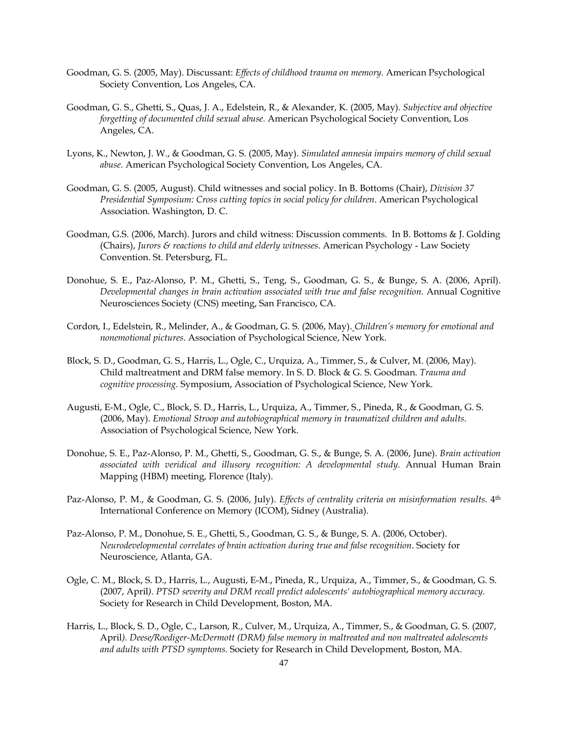- Goodman, G. S. (2005, May). Discussant: *Effects of childhood trauma on memory.* American Psychological Society Convention, Los Angeles, CA.
- Goodman, G. S., Ghetti, S., Quas, J. A., Edelstein, R., & Alexander, K. (2005, May). *Subjective and objective forgetting of documented child sexual abuse*. American Psychological Society Convention, Los Angeles, CA.
- Lyons, K., Newton, J. W., & Goodman, G. S. (2005, May). *Simulated amnesia impairs memory of child sexual abuse*. American Psychological Society Convention, Los Angeles, CA.
- Goodman, G. S. (2005, August). Child witnesses and social policy. In B. Bottoms (Chair), *Division 37 Presidential Symposium: Cross cutting topics in social policy for children*. American Psychological Association. Washington, D. C.
- Goodman, G.S. (2006, March). Jurors and child witness: Discussion comments. In B. Bottoms & J. Golding (Chairs), *Jurors & reactions to child and elderly witnesses*. American Psychology - Law Society Convention. St. Petersburg, FL.
- Donohue, S. E., Paz-Alonso, P. M., Ghetti, S., Teng, S., Goodman, G. S., & Bunge, S. A. (2006, April). *Developmental changes in brain activation associated with true and false recognition.* Annual Cognitive Neurosciences Society (CNS) meeting, San Francisco, CA.
- Cordon, I., Edelstein, R., Melinder, A., & Goodman, G. S. (2006, May). *Children's memory for emotional and nonemotional pictures*. Association of Psychological Science, New York.
- Block, S. D., Goodman, G. S., Harris, L., Ogle, C., Urquiza, A., Timmer, S., & Culver, M. (2006, May). Child maltreatment and DRM false memory. In S. D. Block & G. S. Goodman. *Trauma and cognitive processing.* Symposium, Association of Psychological Science, New York.
- Augusti, E-M., Ogle, C., Block, S. D., Harris, L., Urquiza, A., Timmer, S., Pineda, R., & Goodman, G. S. (2006, May). *Emotional Stroop and autobiographical memory in traumatized children and adults*. Association of Psychological Science, New York.
- Donohue, S. E., Paz-Alonso, P. M., Ghetti, S., Goodman, G. S., & Bunge, S. A. (2006, June). *Brain activation associated with veridical and illusory recognition: A developmental study.* Annual Human Brain Mapping (HBM) meeting, Florence (Italy).
- Paz-Alonso, P. M., & Goodman, G. S. (2006, July). *Effects of centrality criteria on misinformation results*.  $4<sup>th</sup>$ International Conference on Memory (ICOM), Sidney (Australia).
- Paz-Alonso, P. M., Donohue, S. E., Ghetti, S., Goodman, G. S., & Bunge, S. A. (2006, October). *Neurodevelopmental correlates of brain activation during true and false recognition*. Society for Neuroscience, Atlanta, GA.
- Ogle, C. M., Block, S. D., Harris, L., Augusti, E-M., Pineda, R., Urquiza, A., Timmer, S., & Goodman, G. S. (2007, April*). PTSD severity and DRM recall predict adolescents' autobiographical memory accuracy.*  Society for Research in Child Development, Boston, MA.
- Harris, L., Block, S. D., Ogle, C., Larson, R., Culver, M., Urquiza, A., Timmer, S., & Goodman, G. S. (2007, April*). Deese/Roediger-McDermott (DRM) false memory in maltreated and non maltreated adolescents and adults with PTSD symptoms.* Society for Research in Child Development, Boston, MA.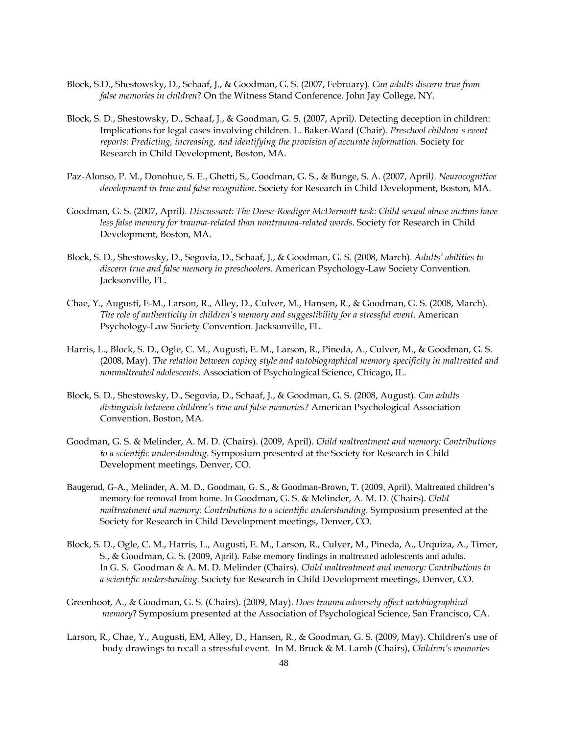- Block, S.D., Shestowsky, D., Schaaf, J., & Goodman, G. S. (2007, February)*. Can adults discern true from false memories in children*? On the Witness Stand Conference. John Jay College, NY.
- Block, S. D., Shestowsky, D., Schaaf, J., & Goodman, G. S. (2007, April*).* Detecting deception in children: Implications for legal cases involving children. L. Baker-Ward (Chair). *Preschool children's event reports: Predicting, increasing, and identifying the provision of accurate information.* Society for Research in Child Development, Boston, MA.
- Paz-Alonso, P. M., Donohue, S. E., Ghetti, S., Goodman, G. S., & Bunge, S. A. (2007, April*). Neurocognitive development in true and false recognition*. Society for Research in Child Development, Boston, MA.
- Goodman, G. S. (2007, April*). Discussant: The Deese-Roediger McDermott task: Child sexual abuse victims have less false memory for trauma-related than nontrauma-related words*. Society for Research in Child Development, Boston, MA.
- Block, S. D., Shestowsky, D., Segovia, D., Schaaf, J., & Goodman, G. S. (2008, March). *Adults' abilities to discern true and false memory in preschoolers.* American Psychology-Law Society Convention. Jacksonville, FL.
- Chae, Y., Augusti, E-M., Larson, R., Alley, D., Culver, M., Hansen, R., & Goodman, G. S. (2008, March). *The role of authenticity in children's memory and suggestibility for a stressful event.* American Psychology-Law Society Convention. Jacksonville, FL.
- Harris, L., Block, S. D., Ogle, C. M., Augusti, E. M., Larson, R., Pineda, A., Culver, M., & Goodman, G. S. (2008, May). *The relation between coping style and autobiographical memory specificity in maltreated and nonmaltreated adolescents*. Association of Psychological Science, Chicago, IL.
- Block, S. D., Shestowsky, D., Segovia, D., Schaaf, J., & Goodman, G. S. (2008, August). *Can adults distinguish between children's true and false memories?* American Psychological Association Convention. Boston, MA.
- Goodman, G. S. & Melinder, A. M. D. (Chairs). (2009, April). *Child maltreatment and memory: Contributions to a scientific understanding.* Symposium presented at the Society for Research in Child Development meetings, Denver, CO.
- Baugerud, G-A., Melinder, A. M. D., Goodman, G. S., & Goodman-Brown, T. (2009, April). Maltreated children's memory for removal from home. In Goodman, G. S. & Melinder, A. M. D. (Chairs). *Child maltreatment and memory: Contributions to a scientific understanding.* Symposium presented at the Society for Research in Child Development meetings, Denver, CO.
- Block, S. D., Ogle, C. M., Harris, L., Augusti, E. M., Larson, R., Culver, M., Pineda, A., Urquiza, A., Timer, S., & Goodman, G. S. (2009, April). False memory findings in maltreated adolescents and adults. In G. S. Goodman & A. M. D. Melinder (Chairs). *Child maltreatment and memory: Contributions to a scientific understanding.* Society for Research in Child Development meetings, Denver, CO.
- Greenhoot, A., & Goodman, G. S. (Chairs). (2009, May). *Does trauma adversely affect autobiographical memory*? Symposium presented at the Association of Psychological Science, San Francisco, CA.
- Larson, R., Chae, Y., Augusti, EM, Alley, D., Hansen, R., & Goodman, G. S. (2009, May). Children's use of body drawings to recall a stressful event. In M. Bruck & M. Lamb (Chairs), *Children's memories*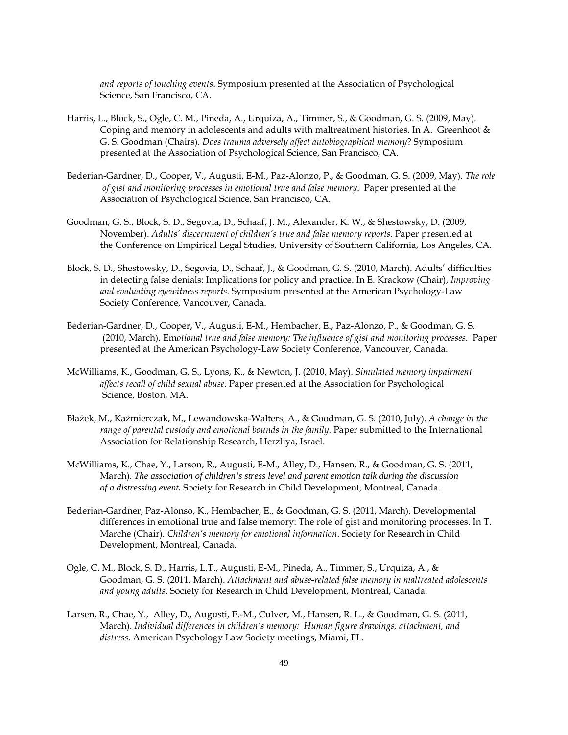*and reports of touching events*. Symposium presented at the Association of Psychological Science, San Francisco, CA.

- Harris, L., Block, S., Ogle, C. M., Pineda, A., Urquiza, A., Timmer, S., & Goodman, G. S. (2009, May). Coping and memory in adolescents and adults with maltreatment histories. In A. Greenhoot & G. S. Goodman (Chairs). *Does trauma adversely affect autobiographical memory*? Symposium presented at the Association of Psychological Science, San Francisco, CA.
- Bederian-Gardner, D., Cooper, V., Augusti, E-M., Paz-Alonzo, P., & Goodman, G. S. (2009, May). *The role of gist and monitoring processes in emotional true and false memory*. Paper presented at the Association of Psychological Science, San Francisco, CA.
- Goodman, G. S., Block, S. D., Segovia, D., Schaaf, J. M., Alexander, K. W., & Shestowsky, D. (2009, November). *Adults' discernment of children's true and false memory reports*. Paper presented at the Conference on Empirical Legal Studies, University of Southern California, Los Angeles, CA.
- Block, S. D., Shestowsky, D., Segovia, D., Schaaf, J., & Goodman, G. S. (2010, March). Adults' difficulties in detecting false denials: Implications for policy and practice. In E. Krackow (Chair), *Improving and evaluating eyewitness reports.* Symposium presented at the American Psychology-Law Society Conference, Vancouver, Canada.
- Bederian-Gardner, D., Cooper, V., Augusti, E-M., Hembacher, E., Paz-Alonzo, P., & Goodman, G. S. (2010, March). Em*otional true and false memory: The influence of gist and monitoring processes*. Paper presented at the American Psychology-Law Society Conference, Vancouver, Canada.
- McWilliams, K., Goodman, G. S., Lyons, K., & Newton, J. (2010, May). *Simulated memory impairment affects recall of child sexual abuse.* Paper presented at the Association for Psychological Science, Boston, MA.
- Błażek, M., Kaźmierczak, M., Lewandowska-Walters, A., & Goodman, G. S. (2010, July). *A change in the range of parental custody and emotional bounds in the family.* Paper submitted to the International Association for Relationship Research, Herzliya, Israel.
- McWilliams, K., Chae, Y., Larson, R., Augusti, E-M., Alley, D., Hansen, R., & Goodman, G. S. (2011, March). *The association of children's stress level and parent emotion talk during the discussion of a distressing event***.** Society for Research in Child Development, Montreal, Canada.
- Bederian-Gardner, Paz-Alonso, K., Hembacher, E., & Goodman, G. S. (2011, March). Developmental differences in emotional true and false memory: The role of gist and monitoring processes. In T. Marche (Chair). *Children's memory for emotional information*. Society for Research in Child Development, Montreal, Canada.
- Ogle, C. M., Block, S. D., Harris, L.T., Augusti, E-M., Pineda, A., Timmer, S., Urquiza, A., & Goodman, G. S. (2011, March). *Attachment and abuse-related false memory in maltreated adolescents and young adults*. Society for Research in Child Development, Montreal, Canada.
- Larsen, R., Chae, Y., Alley, D., Augusti, E.-M., Culver, M., Hansen, R. L., & Goodman, G. S. (2011, March). *Individual differences in children's memory: Human figure drawings, attachment, and distress*. American Psychology Law Society meetings, Miami, FL.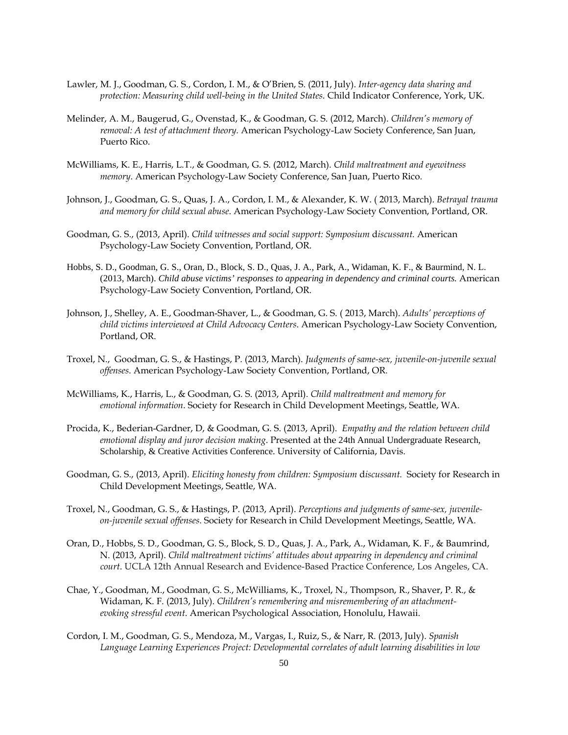- Lawler, M. J., Goodman, G. S., Cordon, I. M., & O'Brien, S. (2011, July). *Inter-agency data sharing and protection: Measuring child well-being in the United States*. Child Indicator Conference, York, UK.
- Melinder, A. M., Baugerud, G., Ovenstad, K., & Goodman, G. S. (2012, March). *Children's memory of removal: A test of attachment theory.* American Psychology-Law Society Conference, San Juan, Puerto Rico.
- McWilliams, K. E., Harris, L.T., & Goodman, G. S. (2012, March). *Child maltreatment and eyewitness memory*. American Psychology-Law Society Conference, San Juan, Puerto Rico.
- Johnson, J., Goodman, G. S., Quas, J. A., Cordon, I. M., & Alexander, K. W. ( 2013, March). *Betrayal trauma and memory for child sexual abuse*. American Psychology-Law Society Convention, Portland, OR.
- Goodman, G. S., (2013, April). *Child witnesses and social support: Symposium* d*iscussant.* American Psychology-Law Society Convention, Portland, OR.
- Hobbs, S. D., Goodman, G. S., Oran, D., Block, S. D., Quas, J. A., Park, A., Widaman, K. F., & Baurmind, N. L. (2013, March). *Child abuse victims' responses to appearing in dependency and criminal courts.* American Psychology-Law Society Convention, Portland, OR.
- Johnson, J., Shelley, A. E., Goodman-Shaver, L., & Goodman, G. S. ( 2013, March). *Adults' perceptions of child victims interviewed at Child Advocacy Centers*. American Psychology-Law Society Convention, Portland, OR.
- Troxel, N., Goodman, G. S., & Hastings, P. (2013, March). *Judgments of same-sex, juvenile-on-juvenile sexual offenses*. American Psychology-Law Society Convention, Portland, OR.
- McWilliams, K., Harris, L., & Goodman, G. S. (2013, April). *Child maltreatment and memory for emotional information*. Society for Research in Child Development Meetings, Seattle, WA.
- Procida, K., Bederian-Gardner, D, & Goodman, G. S. (2013, April). *Empathy and the relation between child emotional display and juror decision making*. Presented at the 24th Annual Undergraduate Research, Scholarship, & Creative Activities Conference. University of California, Davis.
- Goodman, G. S., (2013, April). *Eliciting honesty from children: Symposium* d*iscussant.* Society for Research in Child Development Meetings, Seattle, WA.
- Troxel, N., Goodman, G. S., & Hastings, P. (2013, April). *Perceptions and judgments of same-sex, juvenileon-juvenile sexual offenses*. Society for Research in Child Development Meetings, Seattle, WA.
- Oran, D., Hobbs, S. D., Goodman, G. S., Block, S. D., Quas, J. A., Park, A., Widaman, K. F., & Baumrind, N. (2013, April). *Child maltreatment victims' attitudes about appearing in dependency and criminal court*. UCLA 12th Annual Research and Evidence-Based Practice Conference, Los Angeles, CA.
- Chae, Y., Goodman, M., Goodman, G. S., McWilliams, K., Troxel, N., Thompson, R., Shaver, P. R., & Widaman, K. F. (2013, July). *Children's remembering and misremembering of an attachmentevoking stressful event*. American Psychological Association, Honolulu, Hawaii.
- Cordon, I. M., Goodman, G. S., Mendoza, M., Vargas, I., Ruiz, S., & Narr, R. (2013, July). *Spanish Language Learning Experiences Project: Developmental correlates of adult learning disabilities in low*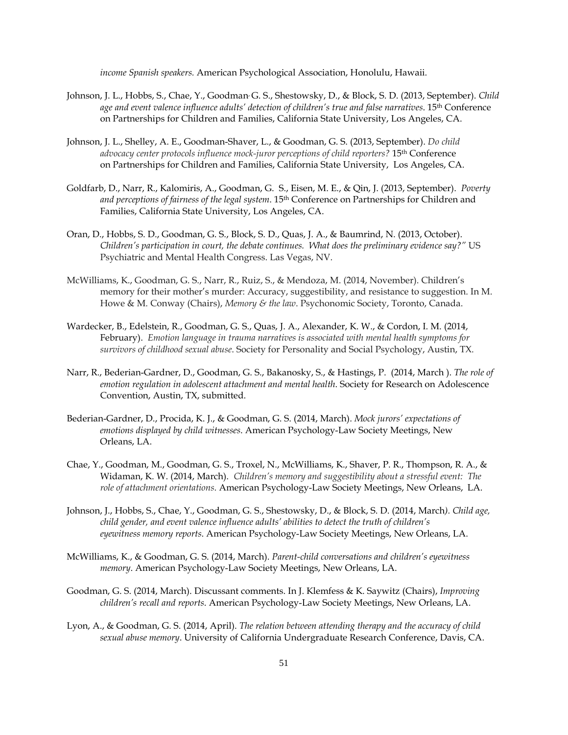*income Spanish speakers.* American Psychological Association, Honolulu, Hawaii.

- Johnson, J. L., Hobbs, S., Chae, Y., Goodman, G. S., Shestowsky, D., & Block, S. D. (2013, September). *Child age and event valence influence adults' detection of children's true and false narratives*. 15th Conference on Partnerships for Children and Families, California State University, Los Angeles, CA.
- Johnson, J. L., Shelley, A. E., Goodman-Shaver, L., & Goodman, G. S. (2013, September). *Do child advocacy center protocols influence mock-juror perceptions of child reporters?* 15th Conference on Partnerships for Children and Families, California State University, Los Angeles, CA.
- Goldfarb, D., Narr, R., Kalomiris, A., Goodman, G. S., Eisen, M. E., & Qin, J. (2013, September). *Poverty and perceptions of fairness of the legal system*. 15th Conference on Partnerships for Children and Families, California State University, Los Angeles, CA.
- Oran, D., Hobbs, S. D., Goodman, G. S., Block, S. D., Quas, J. A., & Baumrind, N. (2013, October). *Children's participation in court, the debate continues. What does the preliminary evidence say?"* US Psychiatric and Mental Health Congress. Las Vegas, NV.
- McWilliams, K., Goodman, G. S., Narr, R., Ruiz, S., & Mendoza, M. (2014, November). Children's memory for their mother's murder: Accuracy, suggestibility, and resistance to suggestion. In M. Howe & M. Conway (Chairs), *Memory & the law*. Psychonomic Society, Toronto, Canada.
- Wardecker, B., Edelstein, R., Goodman, G. S., Quas, J. A., Alexander, K. W., & Cordon, I. M. (2014, February). *Emotion language in trauma narratives is associated with mental health symptoms for survivors of childhood sexual abuse*. Society for Personality and Social Psychology, Austin, TX.
- Narr, R., Bederian-Gardner, D., Goodman, G. S., Bakanosky, S., & Hastings, P. (2014, March ). *The role of emotion regulation in adolescent attachment and mental health*. Society for Research on Adolescence Convention, Austin, TX, submitted.
- Bederian-Gardner, D., Procida, K. J., & Goodman, G. S. (2014, March). *Mock jurors' expectations of emotions displayed by child witnesses*. American Psychology-Law Society Meetings, New Orleans, LA.
- Chae, Y., Goodman, M., Goodman, G. S., Troxel, N., McWilliams, K., Shaver, P. R., Thompson, R. A., & Widaman, K. W. (2014, March). *Children's memory and suggestibility about a stressful event: The role of attachment orientations*. American Psychology-Law Society Meetings, New Orleans, LA.
- Johnson, J., Hobbs, S., Chae, Y., Goodman, G. S., Shestowsky, D., & Block, S. D. (2014, March*). Child age, child gender, and event valence influence adults' abilities to detect the truth of children's eyewitness memory reports*. American Psychology-Law Society Meetings, New Orleans, LA.
- McWilliams, K., & Goodman, G. S. (2014, March). *Parent-child conversations and children's eyewitness memory*. American Psychology-Law Society Meetings, New Orleans, LA.
- Goodman, G. S. (2014, March). Discussant comments. In J. Klemfess & K. Saywitz (Chairs), *Improving children's recall and reports*. American Psychology-Law Society Meetings, New Orleans, LA.
- Lyon, A., & Goodman, G. S. (2014, April). *The relation between attending therapy and the accuracy of child sexual abuse memory*. University of California Undergraduate Research Conference, Davis, CA.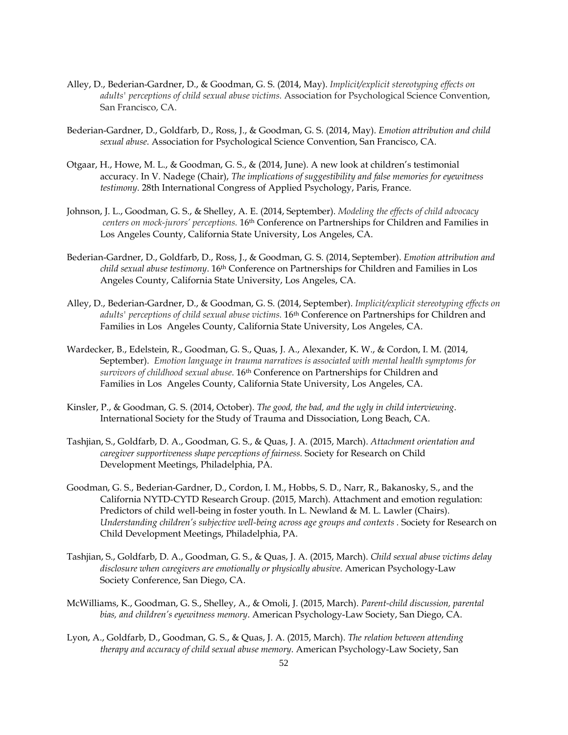- Alley, D., Bederian-Gardner, D., & Goodman, G. S. (2014, May). *Implicit/explicit stereotyping effects on adults' perceptions of child sexual abuse victims.* Association for Psychological Science Convention, San Francisco, CA.
- Bederian-Gardner, D., Goldfarb, D., Ross, J., & Goodman, G. S. (2014, May). *Emotion attribution and child sexual abuse*. Association for Psychological Science Convention, San Francisco, CA.
- Otgaar, H., Howe, M. L., & Goodman, G. S., & (2014, June). A new look at children's testimonial accuracy. In V. Nadege (Chair), *The implications of suggestibility and false memories for eyewitness testimony*. 28th International Congress of Applied Psychology, Paris, France.
- Johnson, J. L., Goodman, G. S., & Shelley, A. E. (2014, September). *Modeling the effects of child advocacy centers on mock-jurors' perceptions.* 16th Conference on Partnerships for Children and Families in Los Angeles County, California State University, Los Angeles, CA.
- Bederian-Gardner, D., Goldfarb, D., Ross, J., & Goodman, G. S. (2014, September). *Emotion attribution and child sexual abuse testimony*. 16th Conference on Partnerships for Children and Families in Los Angeles County, California State University, Los Angeles, CA.
- Alley, D., Bederian-Gardner, D., & Goodman, G. S. (2014, September). *Implicit/explicit stereotyping effects on*  adults' perceptions of child sexual abuse victims. 16<sup>th</sup> Conference on Partnerships for Children and Families in Los Angeles County, California State University, Los Angeles, CA.
- Wardecker, B., Edelstein, R., Goodman, G. S., Quas, J. A., Alexander, K. W., & Cordon, I. M. (2014, September). *Emotion language in trauma narratives is associated with mental health symptoms for survivors of childhood sexual abuse*. 16th Conference on Partnerships for Children and Families in Los Angeles County, California State University, Los Angeles, CA.
- Kinsler, P., & Goodman, G. S. (2014, October). *The good, the bad, and the ugly in child interviewing*. International Society for the Study of Trauma and Dissociation, Long Beach, CA.
- Tashjian, S., Goldfarb, D. A., Goodman, G. S., & Quas, J. A. (2015, March). *Attachment orientation and caregiver supportiveness shape perceptions of fairness.* Society for Research on Child Development Meetings, Philadelphia, PA.
- Goodman, G. S., Bederian-Gardner, D., Cordon, I. M., Hobbs, S. D., Narr, R., Bakanosky, S., and the California NYTD-CYTD Research Group. (2015, March). Attachment and emotion regulation: Predictors of child well-being in foster youth. In L. Newland & M. L. Lawler (Chairs). *Understanding children's subjective well-being across age groups and contexts .* Society for Research on Child Development Meetings, Philadelphia, PA.
- Tashjian, S., Goldfarb, D. A., Goodman, G. S., & Quas, J. A. (2015, March). *Child sexual abuse victims delay disclosure when caregivers are emotionally or physically abusive*. American Psychology-Law Society Conference, San Diego, CA.
- McWilliams, K., Goodman, G. S., Shelley, A., & Omoli, J. (2015, March). *Parent-child discussion, parental bias, and children's eyewitness memory*. American Psychology-Law Society, San Diego, CA.
- Lyon, A., Goldfarb, D., Goodman, G. S., & Quas, J. A. (2015, March). *The relation between attending therapy and accuracy of child sexual abuse memory*. American Psychology-Law Society, San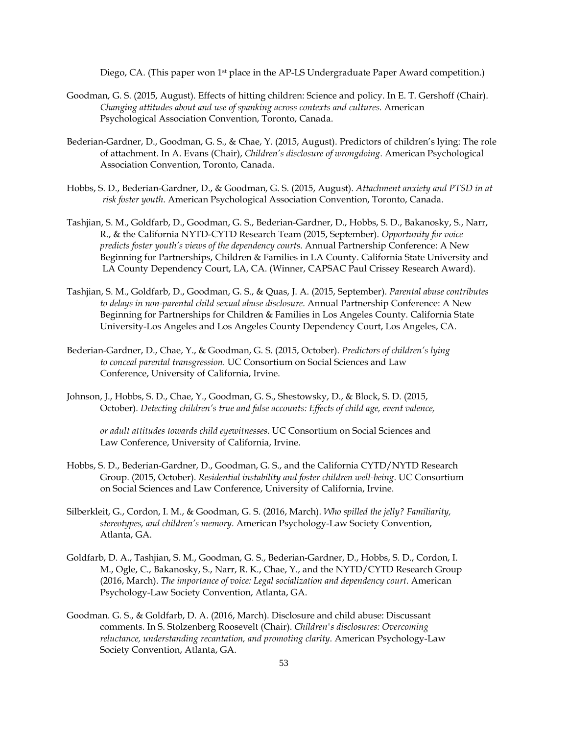Diego, CA. (This paper won 1<sup>st</sup> place in the AP-LS Undergraduate Paper Award competition.)

- Goodman, G. S. (2015, August). Effects of hitting children: Science and policy. In E. T. Gershoff (Chair). *Changing attitudes about and use of spanking across contexts and cultures*. American Psychological Association Convention, Toronto, Canada.
- Bederian-Gardner, D., Goodman, G. S., & Chae, Y. (2015, August). Predictors of children's lying: The role of attachment. In A. Evans (Chair), *Children's disclosure of wrongdoing*. American Psychological Association Convention, Toronto, Canada.
- Hobbs, S. D., Bederian-Gardner, D., & Goodman, G. S. (2015, August). *Attachment anxiety and PTSD in at risk foster youth*. American Psychological Association Convention, Toronto, Canada.
- Tashjian, S. M., Goldfarb, D., Goodman, G. S., Bederian-Gardner, D., Hobbs, S. D., Bakanosky, S., Narr, R., & the California NYTD-CYTD Research Team (2015, September). *Opportunity for voice predicts foster youth's views of the dependency courts*. Annual Partnership Conference: A New Beginning for Partnerships, Children & Families in LA County. California State University and LA County Dependency Court, LA, CA. (Winner, CAPSAC Paul Crissey Research Award).
- Tashjian, S. M., Goldfarb, D., Goodman, G. S., & Quas, J. A. (2015, September). *Parental abuse contributes to delays in non-parental child sexual abuse disclosure*. Annual Partnership Conference: A New Beginning for Partnerships for Children & Families in Los Angeles County. California State University-Los Angeles and Los Angeles County Dependency Court, Los Angeles, CA.
- Bederian-Gardner, D., Chae, Y., & Goodman, G. S. (2015, October). *Predictors of children's lying to conceal parental transgression.* UC Consortium on Social Sciences and Law Conference, University of California, Irvine.
- Johnson, J., Hobbs, S. D., Chae, Y., Goodman, G. S., Shestowsky, D., & Block, S. D. (2015, October). *Detecting children's true and false accounts: Effects of child age, event valence,*

*or adult attitudes towards child eyewitnesses*. UC Consortium on Social Sciences and Law Conference, University of California, Irvine.

- Hobbs, S. D., Bederian-Gardner, D., Goodman, G. S., and the California CYTD/NYTD Research Group. (2015, October). *Residential instability and foster children well-being*. UC Consortium on Social Sciences and Law Conference, University of California, Irvine.
- Silberkleit, G., Cordon, I. M., & Goodman, G. S. (2016, March). *Who spilled the jelly? Familiarity, stereotypes, and children's memory*. American Psychology-Law Society Convention, Atlanta, GA.
- Goldfarb, D. A., Tashjian, S. M., Goodman, G. S., Bederian-Gardner, D., Hobbs, S. D., Cordon, I. M., Ogle, C., Bakanosky, S., Narr, R. K., Chae, Y., and the NYTD/CYTD Research Group (2016, March). *The importance of voice: Legal socialization and dependency court*. American Psychology-Law Society Convention, Atlanta, GA.
- Goodman. G. S., & Goldfarb, D. A. (2016, March). Disclosure and child abuse: Discussant comments. In S. Stolzenberg Roosevelt (Chair). *Children's disclosures: Overcoming reluctance, understanding recantation, and promoting clarity*. American Psychology-Law Society Convention, Atlanta, GA.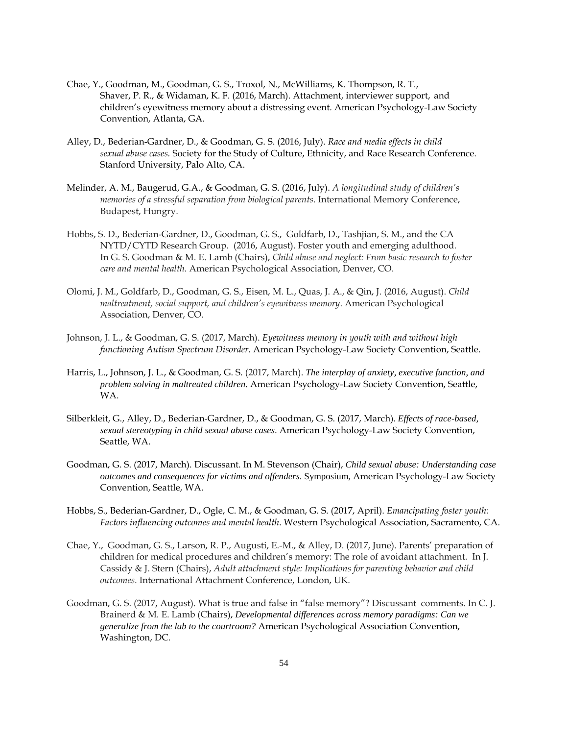- Chae, Y., Goodman, M., Goodman, G. S., Troxol, N., McWilliams, K. Thompson, R. T., Shaver, P. R., & Widaman, K. F. (2016, March). Attachment, interviewer support, and children's eyewitness memory about a distressing event. American Psychology-Law Society Convention, Atlanta, GA.
- Alley, D., Bederian-Gardner, D., & Goodman, G. S. (2016, July). *Race and media effects in child sexual abuse cases.* Society for the Study of Culture, Ethnicity, and Race Research Conference. Stanford University, Palo Alto, CA.
- Melinder, A. M., Baugerud, G.A., & Goodman, G. S. (2016, July). *A longitudinal study of children's memories of a stressful separation from biological parents*. International Memory Conference, Budapest, Hungry.
- Hobbs, S. D., Bederian-Gardner, D., Goodman, G. S., Goldfarb, D., Tashjian, S. M., and the CA NYTD/CYTD Research Group. (2016, August). Foster youth and emerging adulthood. In G. S. Goodman & M. E. Lamb (Chairs), *Child abuse and neglect: From basic research to foster care and mental health*. American Psychological Association, Denver, CO.
- Olomi, J. M., Goldfarb, D., Goodman, G. S., Eisen, M. L., Quas, J. A., & Qin, J. (2016, August). *Child maltreatment, social support, and children's eyewitness memory*. American Psychological Association, Denver, CO.
- Johnson, J. L., & Goodman, G. S. (2017, March). *Eyewitness memory in youth with and without high functioning Autism Spectrum Disorder*. American Psychology-Law Society Convention, Seattle.
- Harris, L., Johnson, J. L., & Goodman, G. S. (2017, March). *The interplay of anxiety, executive function, and problem solving in maltreated children*. American Psychology-Law Society Convention, Seattle, WA.
- Silberkleit, G., Alley, D., Bederian-Gardner, D., & Goodman, G. S. (2017, March). *Effects of race-based, sexual stereotyping in child sexual abuse cases*. American Psychology-Law Society Convention, Seattle, WA.
- Goodman, G. S. (2017, March). Discussant. In M. Stevenson (Chair), *Child sexual abuse: Understanding case outcomes and consequences for victims and offenders*. Symposium, American Psychology-Law Society Convention, Seattle, WA.
- Hobbs, S., Bederian-Gardner, D., Ogle, C. M., & Goodman, G. S. (2017, April). *Emancipating foster youth: Factors influencing outcomes and mental health*. Western Psychological Association, Sacramento, CA.
- Chae, Y., Goodman, G. S., Larson, R. P., Augusti, E.-M., & Alley, D. (2017, June). Parents' preparation of children for medical procedures and children's memory: The role of avoidant attachment. In J. Cassidy & J. Stern (Chairs), *Adult attachment style: Implications for parenting behavior and child outcomes*. International Attachment Conference, London, UK.
- Goodman, G. S. (2017, August). What is true and false in "false memory"? Discussant comments. In C. J. Brainerd & M. E. Lamb (Chairs), *Developmental differences across memory paradigms: Can we generalize from the lab to the courtroom?* American Psychological Association Convention, Washington, DC.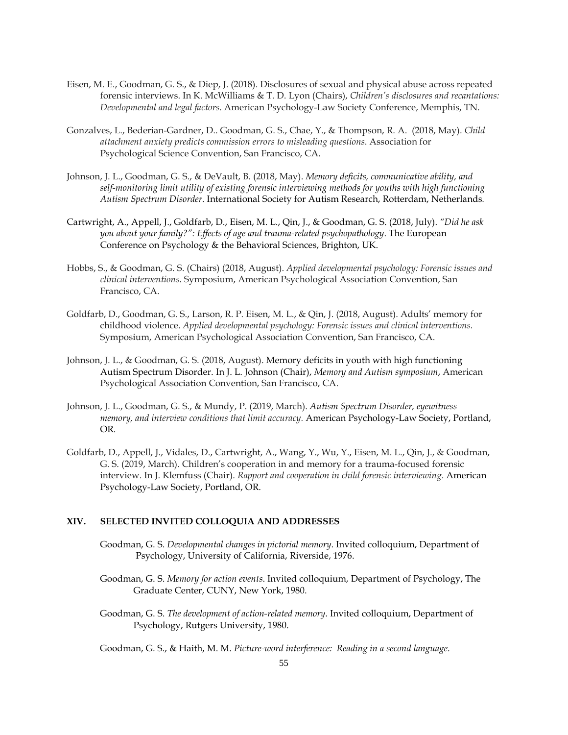- Eisen, M. E., Goodman, G. S., & Diep, J. (2018). Disclosures of sexual and physical abuse across repeated forensic interviews. In K. McWilliams & T. D. Lyon (Chairs), *Children's disclosures and recantations: Developmental and legal factors*. American Psychology-Law Society Conference, Memphis, TN.
- Gonzalves, L., Bederian-Gardner, D.. Goodman, G. S., Chae, Y., & Thompson, R. A. (2018, May). *Child attachment anxiety predicts commission errors to misleading questions*. Association for Psychological Science Convention, San Francisco, CA.
- Johnson, J. L., Goodman, G. S., & DeVault, B. (2018, May). *Memory deficits, communicative ability, and self-monitoring limit utility of existing forensic interviewing methods for youths with high functioning Autism Spectrum Disorder*. International Society for Autism Research, Rotterdam, Netherlands*.*
- Cartwright, A., Appell, J., Goldfarb, D., Eisen, M. L., Qin, J., & Goodman, G. S. (2018, July). *"Did he ask you about your family?": Effects of age and trauma-related psychopathology*. The European Conference on Psychology & the Behavioral Sciences, Brighton, UK.
- Hobbs, S., & Goodman, G. S. (Chairs) (2018, August). *Applied developmental psychology: Forensic issues and clinical interventions.* Symposium, American Psychological Association Convention, San Francisco, CA.
- Goldfarb, D., Goodman, G. S., Larson, R. P. Eisen, M. L., & Qin, J. (2018, August). Adults' memory for childhood violence. *Applied developmental psychology: Forensic issues and clinical interventions.* Symposium, American Psychological Association Convention, San Francisco, CA.
- Johnson, J. L., & Goodman, G. S. (2018, August). Memory deficits in youth with high functioning Autism Spectrum Disorder. In J. L. Johnson (Chair), *Memory and Autism symposium*, American Psychological Association Convention, San Francisco, CA.
- Johnson, J. L., Goodman, G. S., & Mundy, P. (2019, March). *Autism Spectrum Disorder, eyewitness memory, and interview conditions that limit accuracy.* American Psychology-Law Society, Portland, OR.
- Goldfarb, D., Appell, J., Vidales, D., Cartwright, A., Wang, Y., Wu, Y., Eisen, M. L., Qin, J., & Goodman, G. S. (2019, March). Children's cooperation in and memory for a trauma-focused forensic interview. In J. Klemfuss (Chair). *Rapport and cooperation in child forensic interviewing*. American Psychology-Law Society, Portland, OR.

## **XIV. SELECTED INVITED COLLOQUIA AND ADDRESSES**

- Goodman, G. S. *Developmental changes in pictorial memory*. Invited colloquium, Department of Psychology, University of California, Riverside, 1976.
- Goodman, G. S. *Memory for action events*. Invited colloquium, Department of Psychology, The Graduate Center, CUNY, New York, 1980.
- Goodman, G. S. *The development of action-related memory*. Invited colloquium, Department of Psychology, Rutgers University, 1980.
- Goodman, G. S., & Haith, M. M. *Picture-word interference: Reading in a second language*.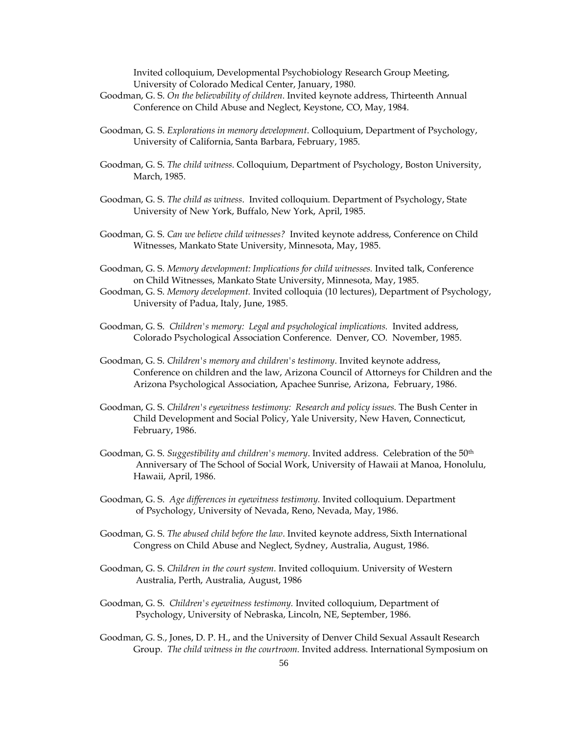Invited colloquium, Developmental Psychobiology Research Group Meeting, University of Colorado Medical Center, January, 1980.

- Goodman, G. S. *On the believability of children*. Invited keynote address, Thirteenth Annual Conference on Child Abuse and Neglect, Keystone, CO, May, 1984.
- Goodman, G. S. *Explorations in memory development*. Colloquium, Department of Psychology, University of California, Santa Barbara, February, 1985.
- Goodman, G. S. *The child witness*. Colloquium, Department of Psychology, Boston University, March, 1985.
- Goodman, G. S. *The child as witness*. Invited colloquium. Department of Psychology, State University of New York, Buffalo, New York, April, 1985.
- Goodman, G. S. *Can we believe child witnesses?* Invited keynote address, Conference on Child Witnesses, Mankato State University, Minnesota, May, 1985.
- Goodman, G. S. *Memory development: Implications for child witnesses.* Invited talk, Conference on Child Witnesses, Mankato State University, Minnesota, May, 1985.
- Goodman, G. S. *Memory development.* Invited colloquia (10 lectures), Department of Psychology, University of Padua, Italy, June, 1985.
- Goodman, G. S. *Children's memory: Legal and psychological implications.* Invited address, Colorado Psychological Association Conference. Denver, CO. November, 1985.
- Goodman, G. S. *Children's memory and children's testimony*. Invited keynote address, Conference on children and the law, Arizona Council of Attorneys for Children and the Arizona Psychological Association, Apachee Sunrise, Arizona, February, 1986.
- Goodman, G. S. *Children's eyewitness testimony: Research and policy issues.* The Bush Center in Child Development and Social Policy, Yale University, New Haven, Connecticut, February, 1986.
- Goodman, G. S. *Suggestibility and children's memory*. Invited address. Celebration of the 50th Anniversary of The School of Social Work, University of Hawaii at Manoa, Honolulu, Hawaii, April, 1986.
- Goodman, G. S. *Age differences in eyewitness testimony.* Invited colloquium. Department of Psychology, University of Nevada, Reno, Nevada, May, 1986.
- Goodman, G. S. *The abused child before the law*. Invited keynote address, Sixth International Congress on Child Abuse and Neglect, Sydney, Australia, August, 1986.
- Goodman, G. S. *Children in the court system.* Invited colloquium. University of Western Australia, Perth, Australia, August, 1986
- Goodman, G. S. *Children's eyewitness testimony.* Invited colloquium, Department of Psychology, University of Nebraska, Lincoln, NE, September, 1986.
- Goodman, G. S., Jones, D. P. H., and the University of Denver Child Sexual Assault Research Group. *The child witness in the courtroom.* Invited address. International Symposium on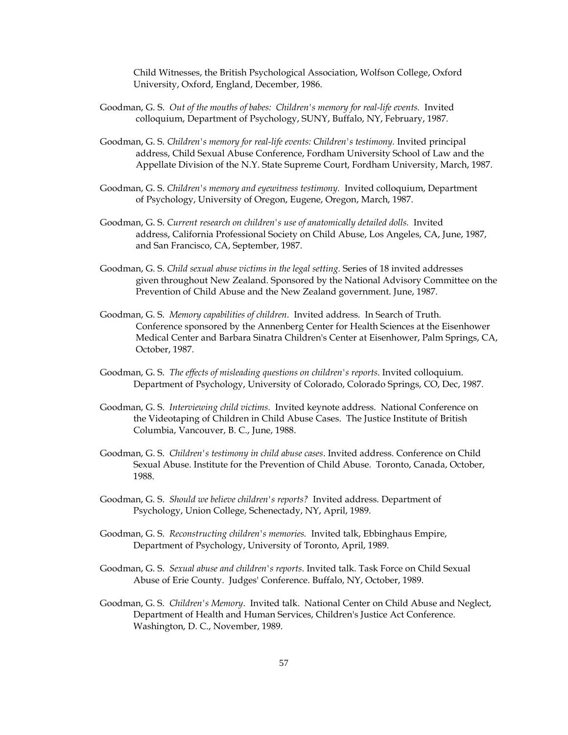Child Witnesses, the British Psychological Association, Wolfson College, Oxford University, Oxford, England, December, 1986.

- Goodman, G. S. *Out of the mouths of babes: Children's memory for real-life events.* Invited colloquium, Department of Psychology, SUNY, Buffalo, NY, February, 1987.
- Goodman, G. S. *Children's memory for real-life events: Children's testimony.* Invited principal address, Child Sexual Abuse Conference, Fordham University School of Law and the Appellate Division of the N.Y. State Supreme Court, Fordham University, March, 1987.
- Goodman, G. S. *Children's memory and eyewitness testimony.* Invited colloquium, Department of Psychology, University of Oregon, Eugene, Oregon, March, 1987.
- Goodman, G. S. *Current research on children's use of anatomically detailed dolls.* Invited address, California Professional Society on Child Abuse, Los Angeles, CA, June, 1987, and San Francisco, CA, September, 1987.
- Goodman, G. S. *Child sexual abuse victims in the legal setting.* Series of 18 invited addresses given throughout New Zealand. Sponsored by the National Advisory Committee on the Prevention of Child Abuse and the New Zealand government. June, 1987.
- Goodman, G. S. *Memory capabilities of children*. Invited address. In Search of Truth. Conference sponsored by the Annenberg Center for Health Sciences at the Eisenhower Medical Center and Barbara Sinatra Children's Center at Eisenhower, Palm Springs, CA, October, 1987.
- Goodman, G. S. *The effects of misleading questions on children's reports*. Invited colloquium. Department of Psychology, University of Colorado, Colorado Springs, CO, Dec, 1987.
- Goodman, G. S. *Interviewing child victims.* Invited keynote address. National Conference on the Videotaping of Children in Child Abuse Cases. The Justice Institute of British Columbia, Vancouver, B. C., June, 1988.
- Goodman, G. S. *Children's testimony in child abuse cases*. Invited address. Conference on Child Sexual Abuse. Institute for the Prevention of Child Abuse. Toronto, Canada, October, 1988.
- Goodman, G. S. *Should we believe children's reports?* Invited address. Department of Psychology, Union College, Schenectady, NY, April, 1989.
- Goodman, G. S. *Reconstructing children's memories.* Invited talk, Ebbinghaus Empire, Department of Psychology, University of Toronto, April, 1989.
- Goodman, G. S. *Sexual abuse and children's reports*. Invited talk. Task Force on Child Sexual Abuse of Erie County. Judges' Conference. Buffalo, NY, October, 1989.
- Goodman, G. S. *Children's Memory*. Invited talk. National Center on Child Abuse and Neglect, Department of Health and Human Services, Children's Justice Act Conference. Washington, D. C., November, 1989.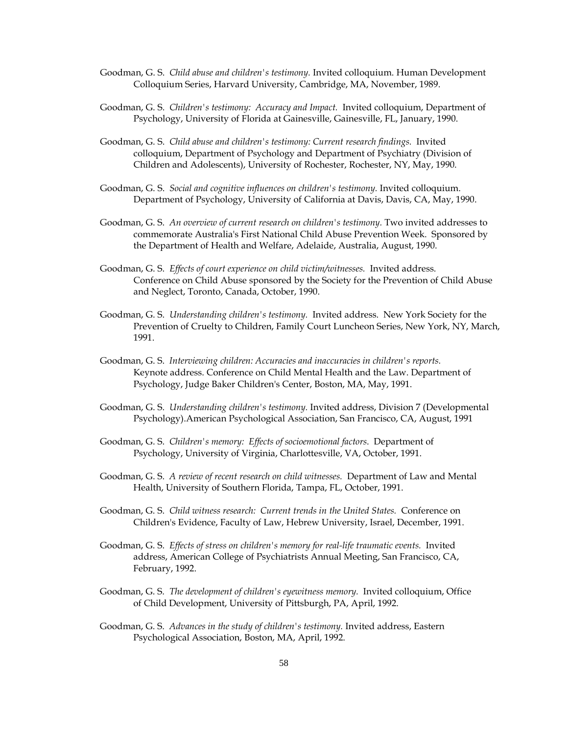- Goodman, G. S. *Child abuse and children's testimony.* Invited colloquium. Human Development Colloquium Series, Harvard University, Cambridge, MA, November, 1989.
- Goodman, G. S. *Children's testimony: Accuracy and Impact.* Invited colloquium, Department of Psychology, University of Florida at Gainesville, Gainesville, FL, January, 1990.
- Goodman, G. S. *Child abuse and children's testimony: Current research findings.* Invited colloquium, Department of Psychology and Department of Psychiatry (Division of Children and Adolescents), University of Rochester, Rochester, NY, May, 1990.
- Goodman, G. S. *Social and cognitive influences on children's testimony.* Invited colloquium. Department of Psychology, University of California at Davis, Davis, CA, May, 1990.
- Goodman, G. S. An overview of current research on children's testimony. Two invited addresses to commemorate Australia's First National Child Abuse Prevention Week. Sponsored by the Department of Health and Welfare, Adelaide, Australia, August, 1990.
- Goodman, G. S. *Effects of court experience on child victim/witnesses.* Invited address. Conference on Child Abuse sponsored by the Society for the Prevention of Child Abuse and Neglect, Toronto, Canada, October, 1990.
- Goodman, G. S. *Understanding children's testimony.* Invited address. New York Society for the Prevention of Cruelty to Children, Family Court Luncheon Series, New York, NY, March, 1991.
- Goodman, G. S. *Interviewing children: Accuracies and inaccuracies in children's reports.*  Keynote address. Conference on Child Mental Health and the Law. Department of Psychology, Judge Baker Children's Center, Boston, MA, May, 1991.
- Goodman, G. S. *Understanding children's testimony.* Invited address, Division 7 (Developmental Psychology).American Psychological Association, San Francisco, CA, August, 1991
- Goodman, G. S. *Children's memory: Effects of socioemotional factors*. Department of Psychology, University of Virginia, Charlottesville, VA, October, 1991.
- Goodman, G. S. *A review of recent research on child witnesses.* Department of Law and Mental Health, University of Southern Florida, Tampa, FL, October, 1991.
- Goodman, G. S. *Child witness research: Current trends in the United States.* Conference on Children's Evidence, Faculty of Law, Hebrew University, Israel, December, 1991.
- Goodman, G. S. Effects of stress on children's memory for real-life traumatic events. Invited address, American College of Psychiatrists Annual Meeting, San Francisco, CA, February, 1992.
- Goodman, G. S. *The development of children's eyewitness memory.* Invited colloquium, Office of Child Development, University of Pittsburgh, PA, April, 1992.
- Goodman, G. S. *Advances in the study of children's testimony.* Invited address, Eastern Psychological Association, Boston, MA, April, 1992.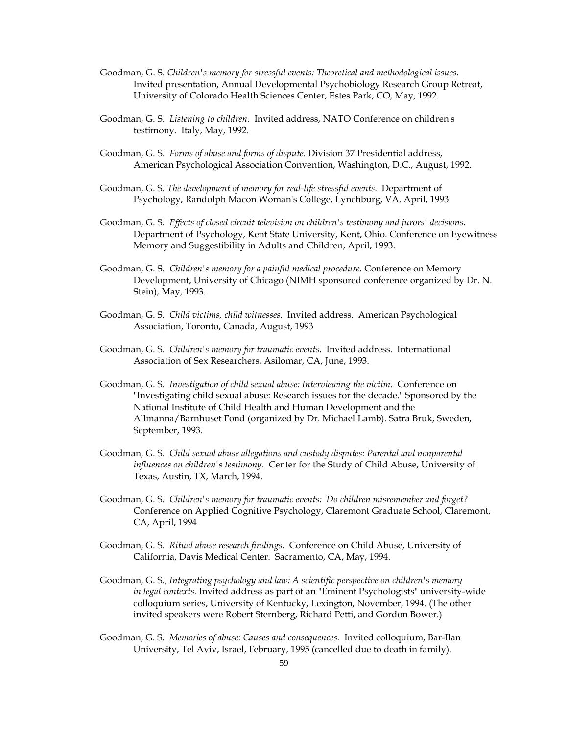- Goodman, G. S. *Children's memory for stressful events: Theoretical and methodological issues.* Invited presentation, Annual Developmental Psychobiology Research Group Retreat, University of Colorado Health Sciences Center, Estes Park, CO, May, 1992.
- Goodman, G. S. *Listening to children.* Invited address, NATO Conference on children's testimony. Italy, May, 1992.
- Goodman, G. S. *Forms of abuse and forms of dispute*. Division 37 Presidential address, American Psychological Association Convention, Washington, D.C., August, 1992.
- Goodman, G. S. *The development of memory for real-life stressful events*. Department of Psychology, Randolph Macon Woman's College, Lynchburg, VA. April, 1993.
- Goodman, G. S. *Effects of closed circuit television on children's testimony and jurors' decisions.* Department of Psychology, Kent State University, Kent, Ohio. Conference on Eyewitness Memory and Suggestibility in Adults and Children, April, 1993.
- Goodman, G. S. *Children's memory for a painful medical procedure.* Conference on Memory Development, University of Chicago (NIMH sponsored conference organized by Dr. N. Stein), May, 1993.
- Goodman, G. S. *Child victims, child witnesses.* Invited address. American Psychological Association, Toronto, Canada, August, 1993
- Goodman, G. S. *Children's memory for traumatic events.* Invited address. International Association of Sex Researchers, Asilomar, CA, June, 1993.
- Goodman, G. S. *Investigation of child sexual abuse: Interviewing the victim*. Conference on "Investigating child sexual abuse: Research issues for the decade." Sponsored by the National Institute of Child Health and Human Development and the Allmanna/Barnhuset Fond (organized by Dr. Michael Lamb). Satra Bruk, Sweden, September, 1993.
- Goodman, G. S. *Child sexual abuse allegations and custody disputes: Parental and nonparental influences on children's testimony*. Center for the Study of Child Abuse, University of Texas, Austin, TX, March, 1994.
- Goodman, G. S. *Children's memory for traumatic events: Do children misremember and forget?*  Conference on Applied Cognitive Psychology, Claremont Graduate School, Claremont, CA, April, 1994
- Goodman, G. S. *Ritual abuse research findings.* Conference on Child Abuse, University of California, Davis Medical Center. Sacramento, CA, May, 1994.
- Goodman, G. S., *Integrating psychology and law: A scientific perspective on children's memory in legal contexts.* Invited address as part of an "Eminent Psychologists" university-wide colloquium series, University of Kentucky, Lexington, November, 1994. (The other invited speakers were Robert Sternberg, Richard Petti, and Gordon Bower.)
- Goodman, G. S. *Memories of abuse: Causes and consequences.* Invited colloquium, Bar-Ilan University, Tel Aviv, Israel, February, 1995 (cancelled due to death in family).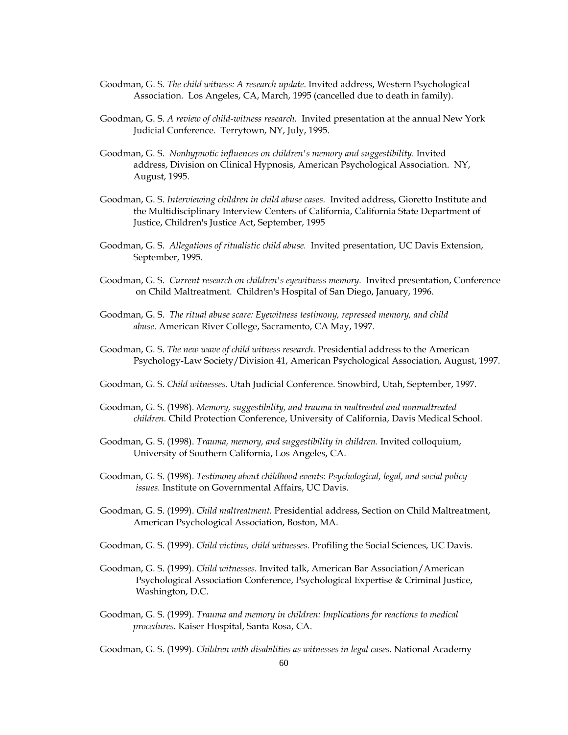- Goodman, G. S. *The child witness: A research update*. Invited address, Western Psychological Association. Los Angeles, CA, March, 1995 (cancelled due to death in family).
- Goodman, G. S. *A review of child-witness research.* Invited presentation at the annual New York Judicial Conference. Terrytown, NY, July, 1995.
- Goodman, G. S. *Nonhypnotic influences on children's memory and suggestibility.* Invited address, Division on Clinical Hypnosis, American Psychological Association. NY, August, 1995.
- Goodman, G. S. *Interviewing children in child abuse cases.* Invited address, Gioretto Institute and the Multidisciplinary Interview Centers of California, California State Department of Justice, Children's Justice Act, September, 1995
- Goodman, G. S. *Allegations of ritualistic child abuse.* Invited presentation, UC Davis Extension, September, 1995.
- Goodman, G. S. *Current research on children's eyewitness memory.* Invited presentation, Conference on Child Maltreatment. Children's Hospital of San Diego, January, 1996.
- Goodman, G. S. *The ritual abuse scare: Eyewitness testimony, repressed memory, and child abuse*. American River College, Sacramento, CA May, 1997.
- Goodman, G. S. *The new wave of child witness research*. Presidential address to the American Psychology-Law Society/Division 41, American Psychological Association, August, 1997.
- Goodman, G. S. *Child witnesses*. Utah Judicial Conference. Snowbird, Utah, September, 1997.
- Goodman, G. S. (1998). *Memory, suggestibility, and trauma in maltreated and nonmaltreated children.* Child Protection Conference, University of California, Davis Medical School.
- Goodman, G. S. (1998). *Trauma, memory, and suggestibility in children.* Invited colloquium, University of Southern California, Los Angeles, CA.
- Goodman, G. S. (1998). *Testimony about childhood events: Psychological, legal, and social policy issues.* Institute on Governmental Affairs, UC Davis.
- Goodman, G. S. (1999). *Child maltreatment.* Presidential address, Section on Child Maltreatment, American Psychological Association, Boston, MA.
- Goodman, G. S. (1999). *Child victims, child witnesses.* Profiling the Social Sciences, UC Davis.
- Goodman, G. S. (1999). *Child witnesses.* Invited talk, American Bar Association/American Psychological Association Conference, Psychological Expertise & Criminal Justice, Washington, D.C.
- Goodman, G. S. (1999). *Trauma and memory in children: Implications for reactions to medical procedures.* Kaiser Hospital, Santa Rosa, CA.

Goodman, G. S. (1999). *Children with disabilities as witnesses in legal cases.* National Academy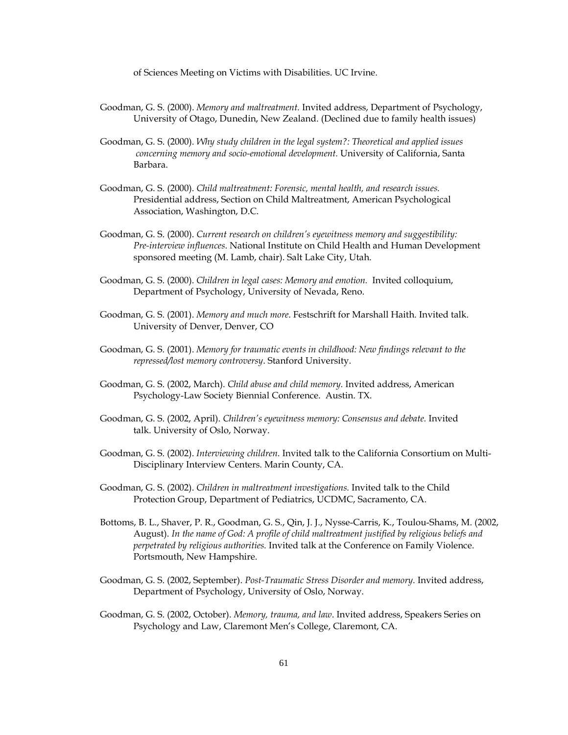of Sciences Meeting on Victims with Disabilities. UC Irvine.

- Goodman, G. S. (2000). *Memory and maltreatment.* Invited address, Department of Psychology, University of Otago, Dunedin, New Zealand. (Declined due to family health issues)
- Goodman, G. S. (2000). *Why study children in the legal system?: Theoretical and applied issues concerning memory and socio-emotional development.* University of California, Santa Barbara.
- Goodman, G. S. (2000). *Child maltreatment: Forensic, mental health, and research issues.*  Presidential address, Section on Child Maltreatment, American Psychological Association, Washington, D.C.
- Goodman, G. S. (2000). *Current research on children's eyewitness memory and suggestibility: Pre-interview influences*. National Institute on Child Health and Human Development sponsored meeting (M. Lamb, chair). Salt Lake City, Utah.
- Goodman, G. S. (2000). *Children in legal cases: Memory and emotion.* Invited colloquium, Department of Psychology, University of Nevada, Reno.
- Goodman, G. S. (2001). *Memory and much more*. Festschrift for Marshall Haith. Invited talk. University of Denver, Denver, CO
- Goodman, G. S. (2001). *Memory for traumatic events in childhood: New findings relevant to the repressed/lost memory controversy*. Stanford University.
- Goodman, G. S. (2002, March). *Child abuse and child memory.* Invited address, American Psychology-Law Society Biennial Conference. Austin. TX.
- Goodman, G. S. (2002, April). *Children's eyewitness memory: Consensus and debate.* Invited talk. University of Oslo, Norway.
- Goodman, G. S. (2002). *Interviewing children.* Invited talk to the California Consortium on Multi-Disciplinary Interview Centers. Marin County, CA.
- Goodman, G. S. (2002). *Children in maltreatment investigations.* Invited talk to the Child Protection Group, Department of Pediatrics, UCDMC, Sacramento, CA.
- Bottoms, B. L., Shaver, P. R., Goodman, G. S., Qin, J. J., Nysse-Carris, K., Toulou-Shams, M. (2002, August). *In the name of God: A profile of child maltreatment justified by religious beliefs and perpetrated by religious authorities.* Invited talk at the Conference on Family Violence. Portsmouth, New Hampshire.
- Goodman, G. S. (2002, September). *Post-Traumatic Stress Disorder and memory*. Invited address, Department of Psychology, University of Oslo, Norway.
- Goodman, G. S. (2002, October). *Memory, trauma, and law*. Invited address, Speakers Series on Psychology and Law, Claremont Men's College, Claremont, CA.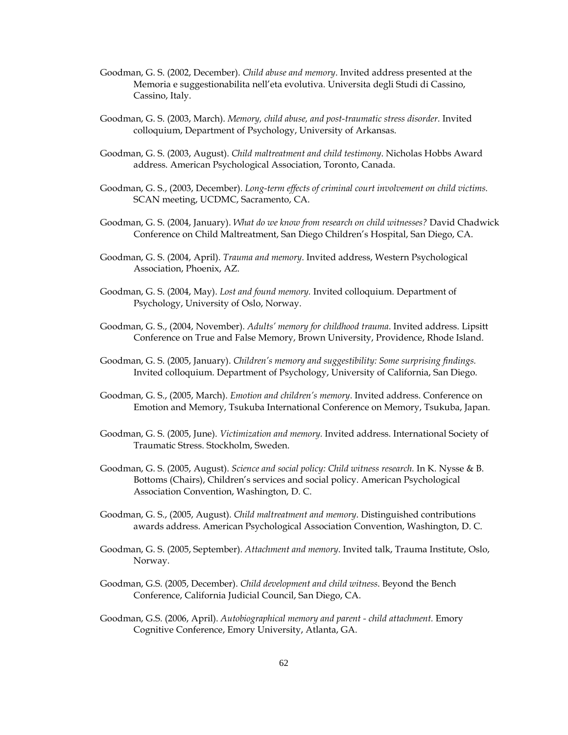- Goodman, G. S. (2002, December). *Child abuse and memory*. Invited address presented at the Memoria e suggestionabilita nell'eta evolutiva. Universita degli Studi di Cassino, Cassino, Italy.
- Goodman, G. S. (2003, March). *Memory, child abuse, and post-traumatic stress disorder.* Invited colloquium, Department of Psychology, University of Arkansas.
- Goodman, G. S. (2003, August). *Child maltreatment and child testimony*. Nicholas Hobbs Award address. American Psychological Association, Toronto, Canada.
- Goodman, G. S., (2003, December). *Long-term effects of criminal court involvement on child victims.* SCAN meeting, UCDMC, Sacramento, CA.
- Goodman, G. S. (2004, January). *What do we know from research on child witnesses?* David Chadwick Conference on Child Maltreatment, San Diego Children's Hospital, San Diego, CA.
- Goodman, G. S. (2004, April). *Trauma and memory*. Invited address, Western Psychological Association, Phoenix, AZ.
- Goodman, G. S. (2004, May). *Lost and found memory.* Invited colloquium. Department of Psychology, University of Oslo, Norway.
- Goodman, G. S., (2004, November). *Adults' memory for childhood trauma*. Invited address. Lipsitt Conference on True and False Memory, Brown University, Providence, Rhode Island.
- Goodman, G. S. (2005, January). *Children's memory and suggestibility: Some surprising findings.*  Invited colloquium. Department of Psychology, University of California, San Diego.
- Goodman, G. S., (2005, March). *Emotion and children's memory*. Invited address. Conference on Emotion and Memory, Tsukuba International Conference on Memory, Tsukuba, Japan.
- Goodman, G. S. (2005, June). *Victimization and memory.* Invited address. International Society of Traumatic Stress. Stockholm, Sweden.
- Goodman, G. S. (2005, August). *Science and social policy: Child witness research.* In K. Nysse & B. Bottoms (Chairs), Children's services and social policy. American Psychological Association Convention, Washington, D. C.
- Goodman, G. S., (2005, August). *Child maltreatment and memory*. Distinguished contributions awards address. American Psychological Association Convention, Washington, D. C.
- Goodman, G. S. (2005, September). *Attachment and memory*. Invited talk, Trauma Institute, Oslo, Norway.
- Goodman, G.S. (2005, December). *Child development and child witness*. Beyond the Bench Conference, California Judicial Council, San Diego, CA.
- Goodman, G.S. (2006, April). *Autobiographical memory and parent - child attachment.* Emory Cognitive Conference, Emory University, Atlanta, GA.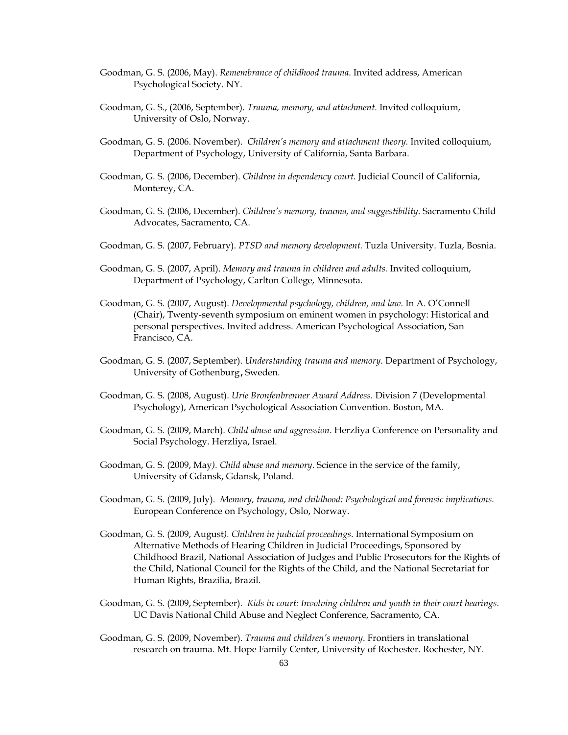- Goodman, G. S. (2006, May). *Remembrance of childhood trauma*. Invited address, American Psychological Society. NY.
- Goodman, G. S., (2006, September). *Trauma, memory, and attachment*. Invited colloquium, University of Oslo, Norway.
- Goodman, G. S. (2006. November). *Children's memory and attachment theory.* Invited colloquium, Department of Psychology, University of California, Santa Barbara.
- Goodman, G. S. (2006, December). *Children in dependency court.* Judicial Council of California, Monterey, CA.
- Goodman, G. S. (2006, December). *Children's memory, trauma, and suggestibility*. Sacramento Child Advocates, Sacramento, CA.
- Goodman, G. S. (2007, February). *PTSD and memory development.* Tuzla University. Tuzla, Bosnia.
- Goodman, G. S. (2007, April). *Memory and trauma in children and adults.* Invited colloquium, Department of Psychology, Carlton College, Minnesota.
- Goodman, G. S. (2007, August). *Developmental psychology, children, and law.* In A. O'Connell (Chair), Twenty-seventh symposium on eminent women in psychology: Historical and personal perspectives. Invited address. American Psychological Association, San Francisco, CA.
- Goodman, G. S. (2007, September). *Understanding trauma and memory*. Department of Psychology, University of Gothenburg, Sweden.
- Goodman, G. S. (2008, August). *Urie Bronfenbrenner Award Address*. Division 7 (Developmental Psychology), American Psychological Association Convention. Boston, MA.
- Goodman, G. S. (2009, March). *Child abuse and aggression*. Herzliya Conference on Personality and Social Psychology. Herzliya, Israel.
- Goodman, G. S. (2009, May*). Child abuse and memory*. Science in the service of the family, University of Gdansk, Gdansk, Poland.
- Goodman, G. S. (2009, July). *Memory, trauma, and childhood: Psychological and forensic implications*. European Conference on Psychology, Oslo, Norway.
- Goodman, G. S. (2009, August*). Children in judicial proceedings*. International Symposium on Alternative Methods of Hearing Children in Judicial Proceedings, Sponsored by Childhood Brazil, National Association of Judges and Public Prosecutors for the Rights of the Child, National Council for the Rights of the Child, and the National Secretariat for Human Rights, Brazilia, Brazil.
- Goodman, G. S. (2009, September). *Kids in court: Involving children and youth in their court hearings*. UC Davis National Child Abuse and Neglect Conference, Sacramento, CA.
- Goodman, G. S. (2009, November). *Trauma and children's memory*. Frontiers in translational research on trauma. Mt. Hope Family Center, University of Rochester. Rochester, NY.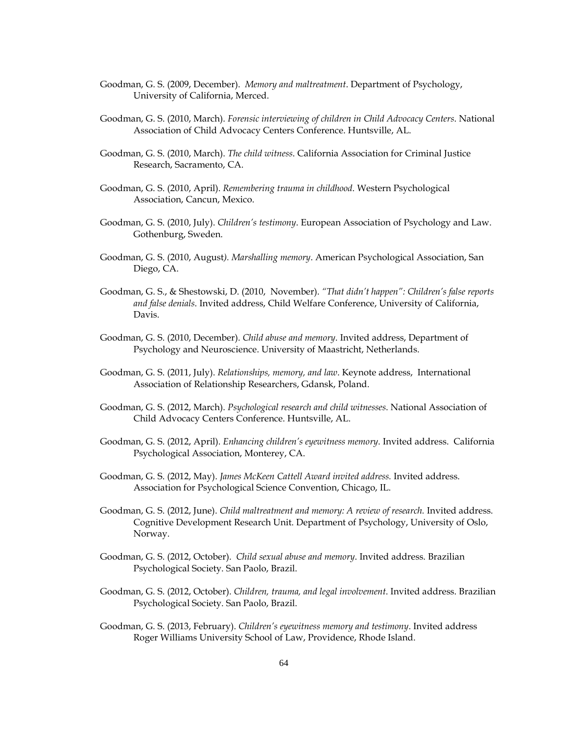- Goodman, G. S. (2009, December). *Memory and maltreatment*. Department of Psychology, University of California, Merced.
- Goodman, G. S. (2010, March). *Forensic interviewing of children in Child Advocacy Centers*. National Association of Child Advocacy Centers Conference. Huntsville, AL.
- Goodman, G. S. (2010, March). *The child witness*. California Association for Criminal Justice Research, Sacramento, CA.
- Goodman, G. S. (2010, April). *Remembering trauma in childhood*. Western Psychological Association, Cancun, Mexico.
- Goodman, G. S. (2010, July). *Children's testimony*. European Association of Psychology and Law. Gothenburg, Sweden.
- Goodman, G. S. (2010, August*). Marshalling memory*. American Psychological Association, San Diego, CA.
- Goodman, G. S., & Shestowski, D. (2010, November). *"That didn't happen": Children's false reports and false denials*. Invited address, Child Welfare Conference, University of California, Davis.
- Goodman, G. S. (2010, December). *Child abuse and memory*. Invited address, Department of Psychology and Neuroscience. University of Maastricht, Netherlands.
- Goodman, G. S. (2011, July). *Relationships, memory, and law*. Keynote address, International Association of Relationship Researchers, Gdansk, Poland.
- Goodman, G. S. (2012, March). *Psychological research and child witnesses*. National Association of Child Advocacy Centers Conference. Huntsville, AL.
- Goodman, G. S. (2012, April). *Enhancing children's eyewitness memory*. Invited address. California Psychological Association, Monterey, CA.
- Goodman, G. S. (2012, May). *James McKeen Cattell Award invited address.* Invited address. Association for Psychological Science Convention, Chicago, IL.
- Goodman, G. S. (2012, June). *Child maltreatment and memory: A review of research.* Invited address. Cognitive Development Research Unit. Department of Psychology, University of Oslo, Norway.
- Goodman, G. S. (2012, October). *Child sexual abuse and memory*. Invited address. Brazilian Psychological Society. San Paolo, Brazil.
- Goodman, G. S. (2012, October). *Children, trauma, and legal involvement*. Invited address. Brazilian Psychological Society. San Paolo, Brazil.
- Goodman, G. S. (2013, February). *Children's eyewitness memory and testimony*. Invited address Roger Williams University School of Law, Providence, Rhode Island.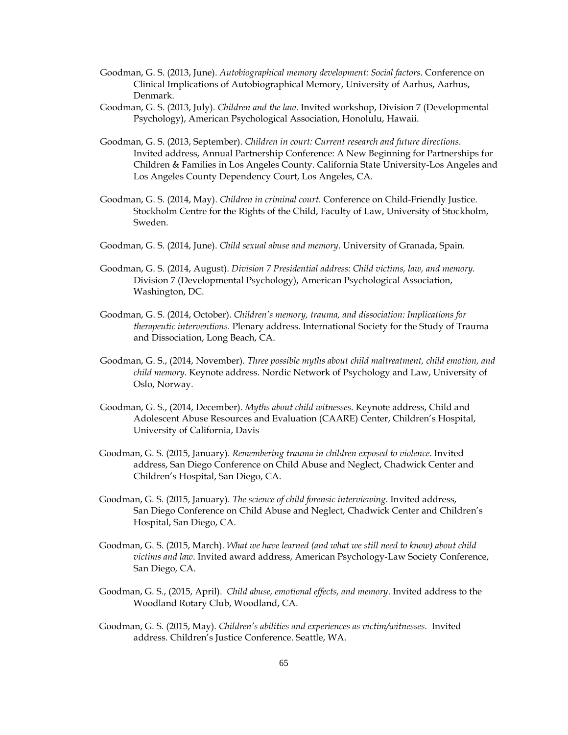- Goodman, G. S. (2013, June). *Autobiographical memory development: Social factors*. Conference on Clinical Implications of Autobiographical Memory, University of Aarhus, Aarhus, Denmark.
- Goodman, G. S. (2013, July). *Children and the law*. Invited workshop, Division 7 (Developmental Psychology), American Psychological Association, Honolulu, Hawaii.
- Goodman, G. S. (2013, September). *Children in court: Current research and future directions*. Invited address, Annual Partnership Conference: A New Beginning for Partnerships for Children & Families in Los Angeles County. California State University-Los Angeles and Los Angeles County Dependency Court, Los Angeles, CA.
- Goodman, G. S. (2014, May). *Children in criminal court*. Conference on Child-Friendly Justice. Stockholm Centre for the Rights of the Child, Faculty of Law, University of Stockholm, Sweden.
- Goodman, G. S. (2014, June). *Child sexual abuse and memory*. University of Granada, Spain.
- Goodman, G. S. (2014, August). *Division 7 Presidential address: Child victims, law, and memory.* Division 7 (Developmental Psychology), American Psychological Association, Washington, DC.
- Goodman, G. S. (2014, October). *Children's memory, trauma, and dissociation: Implications for therapeutic interventions*. Plenary address. International Society for the Study of Trauma and Dissociation, Long Beach, CA.
- Goodman, G. S., (2014, November). *Three possible myths about child maltreatment, child emotion, and child memory*. Keynote address. Nordic Network of Psychology and Law, University of Oslo, Norway.
- Goodman, G. S., (2014, December). *Myths about child witnesses*. Keynote address, Child and Adolescent Abuse Resources and Evaluation (CAARE) Center, Children's Hospital, University of California, Davis
- Goodman, G. S. (2015, January). *Remembering trauma in children exposed to violence*. Invited address, San Diego Conference on Child Abuse and Neglect, Chadwick Center and Children's Hospital, San Diego, CA.
- Goodman, G. S. (2015, January). *The science of child forensic interviewing*. Invited address, San Diego Conference on Child Abuse and Neglect, Chadwick Center and Children's Hospital, San Diego, CA.
- Goodman, G. S. (2015, March). *What we have learned (and what we still need to know) about child victims and law*. Invited award address, American Psychology-Law Society Conference, San Diego, CA.
- Goodman, G. S., (2015, April). *Child abuse, emotional effects, and memory*. Invited address to the Woodland Rotary Club, Woodland, CA.
- Goodman, G. S. (2015, May). *Children's abilities and experiences as victim/witnesses*. Invited address. Children's Justice Conference. Seattle, WA.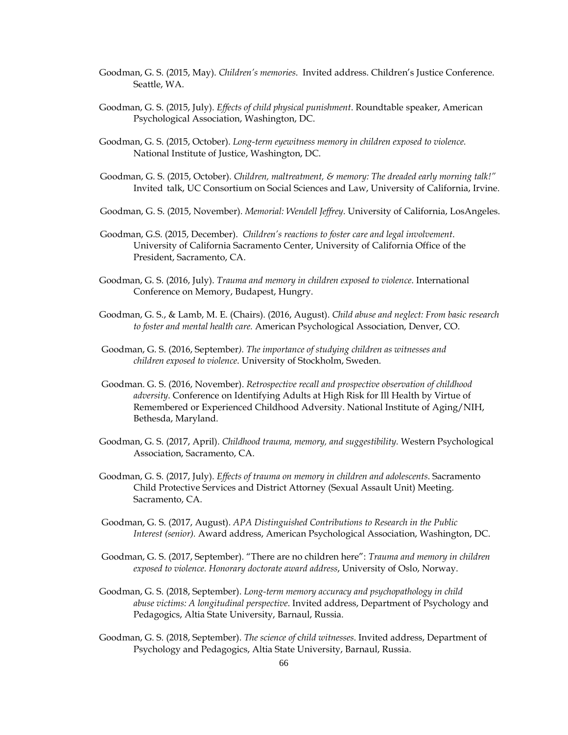- Goodman, G. S. (2015, May). *Children's memories*. Invited address. Children's Justice Conference. Seattle, WA.
- Goodman, G. S. (2015, July). *Effects of child physical punishment*. Roundtable speaker, American Psychological Association, Washington, DC.
- Goodman, G. S. (2015, October). *Long-term eyewitness memory in children exposed to violence.* National Institute of Justice, Washington, DC.
- Goodman, G. S. (2015, October). *Children, maltreatment, & memory: The dreaded early morning talk!"* Invited talk, UC Consortium on Social Sciences and Law, University of California, Irvine.
- Goodman, G. S. (2015, November). *Memorial: Wendell Jeffrey*. University of California, LosAngeles.
- Goodman, G.S. (2015, December). *Children's reactions to foster care and legal involvement*. University of California Sacramento Center, University of California Office of the President, Sacramento, CA.
- Goodman, G. S. (2016, July). *Trauma and memory in children exposed to violence*. International Conference on Memory, Budapest, Hungry.
- Goodman, G. S., & Lamb, M. E. (Chairs). (2016, August). *Child abuse and neglect: From basic research to foster and mental health care.* American Psychological Association, Denver, CO.
- Goodman, G. S. (2016, September*). The importance of studying children as witnesses and children exposed to violence*. University of Stockholm, Sweden.
- Goodman. G. S. (2016, November). *Retrospective recall and prospective observation of childhood adversity*. Conference on Identifying Adults at High Risk for Ill Health by Virtue of Remembered or Experienced Childhood Adversity. National Institute of Aging/NIH, Bethesda, Maryland.
- Goodman, G. S. (2017, April). *Childhood trauma, memory, and suggestibility.* Western Psychological Association, Sacramento, CA.
- Goodman, G. S. (2017, July). *Effects of trauma on memory in children and adolescents*. Sacramento Child Protective Services and District Attorney (Sexual Assault Unit) Meeting. Sacramento, CA.
- Goodman, G. S. (2017, August). *APA Distinguished Contributions to Research in the Public Interest (senior).* Award address, American Psychological Association, Washington, DC.
- Goodman, G. S. (2017, September). "There are no children here": *Trauma and memory in children exposed to violence. Honorary doctorate award address*, University of Oslo, Norway.
- Goodman, G. S. (2018, September). *Long-term memory accuracy and psychopathology in child abuse victims: A longitudinal perspective*. Invited address, Department of Psychology and Pedagogics, Altia State University, Barnaul, Russia.
- Goodman, G. S. (2018, September). *The science of* c*hild witnesses*. Invited address, Department of Psychology and Pedagogics, Altia State University, Barnaul, Russia.